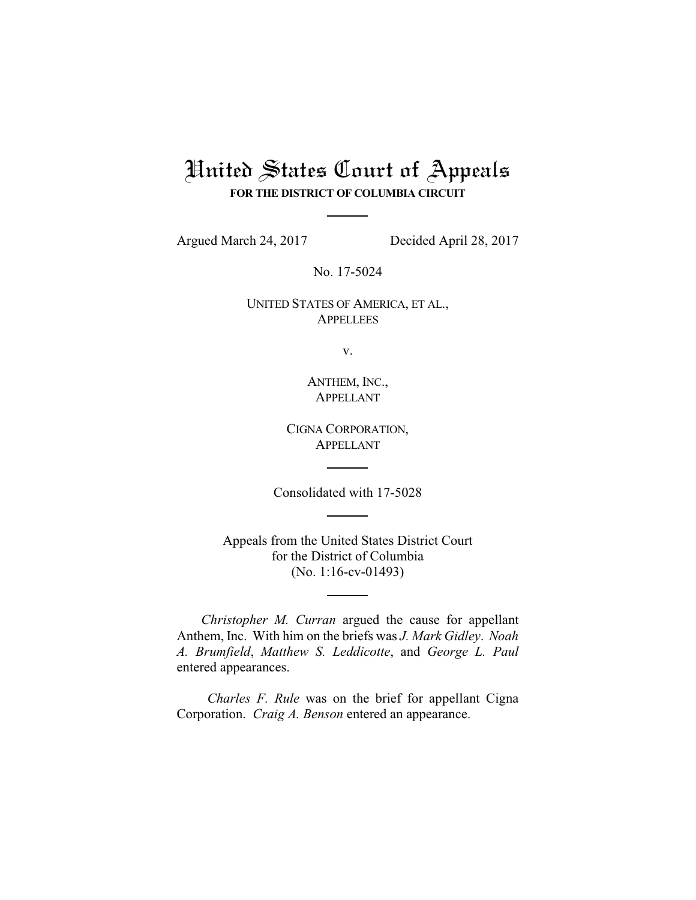# United States Court of Appeals **FOR THE DISTRICT OF COLUMBIA CIRCUIT**

Argued March 24, 2017 Decided April 28, 2017

No. 17-5024

UNITED STATES OF AMERICA, ET AL., **APPELLEES** 

v.

ANTHEM, INC., APPELLANT

CIGNA CORPORATION, APPELLANT

Consolidated with 17-5028

Appeals from the United States District Court for the District of Columbia (No. 1:16-cv-01493)

*Christopher M. Curran* argued the cause for appellant Anthem, Inc. With him on the briefs was *J. Mark Gidley*. *Noah A. Brumfield*, *Matthew S. Leddicotte*, and *George L. Paul* entered appearances.

*Charles F. Rule* was on the brief for appellant Cigna Corporation. *Craig A. Benson* entered an appearance.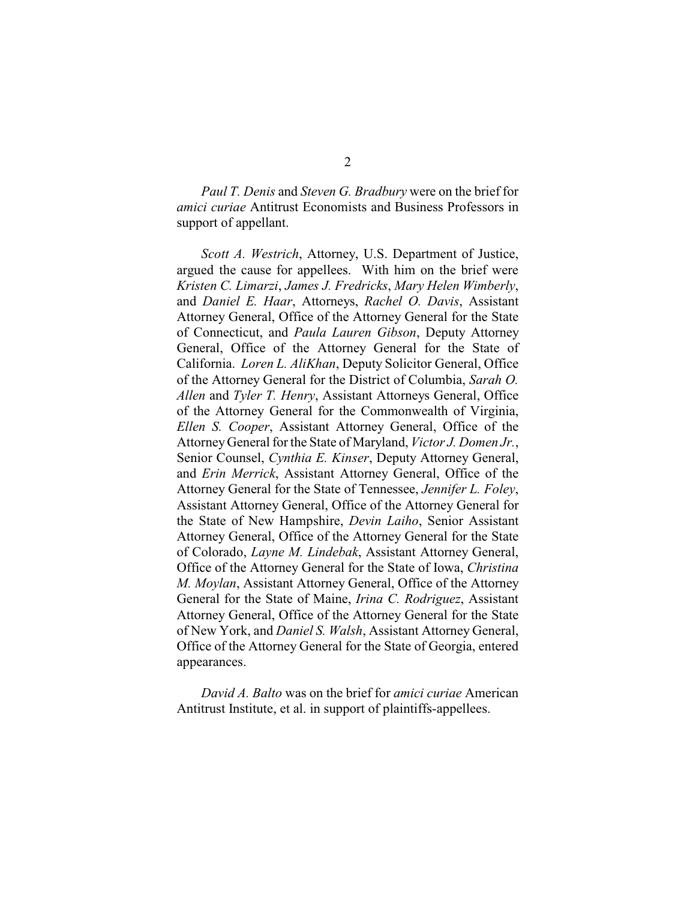*Paul T. Denis* and *Steven G. Bradbury* were on the brief for *amici curiae* Antitrust Economists and Business Professors in support of appellant.

*Scott A. Westrich*, Attorney, U.S. Department of Justice, argued the cause for appellees. With him on the brief were *Kristen C. Limarzi*, *James J. Fredricks*, *Mary Helen Wimberly*, and *Daniel E. Haar*, Attorneys, *Rachel O. Davis*, Assistant Attorney General, Office of the Attorney General for the State of Connecticut, and *Paula Lauren Gibson*, Deputy Attorney General, Office of the Attorney General for the State of California. *Loren L. AliKhan*, Deputy Solicitor General, Office of the Attorney General for the District of Columbia, *Sarah O. Allen* and *Tyler T. Henry*, Assistant Attorneys General, Office of the Attorney General for the Commonwealth of Virginia, *Ellen S. Cooper*, Assistant Attorney General, Office of the AttorneyGeneral for the State of Maryland, *Victor J. Domen Jr.*, Senior Counsel, *Cynthia E. Kinser*, Deputy Attorney General, and *Erin Merrick*, Assistant Attorney General, Office of the Attorney General for the State of Tennessee, *Jennifer L. Foley*, Assistant Attorney General, Office of the Attorney General for the State of New Hampshire, *Devin Laiho*, Senior Assistant Attorney General, Office of the Attorney General for the State of Colorado, *Layne M. Lindebak*, Assistant Attorney General, Office of the Attorney General for the State of Iowa, *Christina M. Moylan*, Assistant Attorney General, Office of the Attorney General for the State of Maine, *Irina C. Rodriguez*, Assistant Attorney General, Office of the Attorney General for the State of New York, and *Daniel S. Walsh*, Assistant Attorney General, Office of the Attorney General for the State of Georgia, entered appearances.

*David A. Balto* was on the brief for *amici curiae* American Antitrust Institute, et al. in support of plaintiffs-appellees.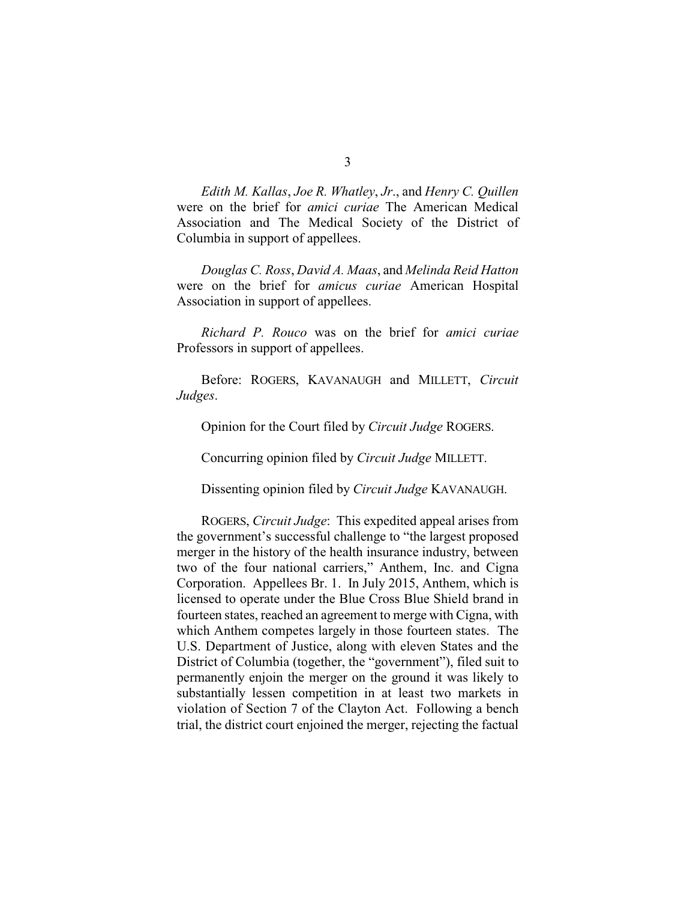*Edith M. Kallas*, *Joe R. Whatley*, *Jr*., and *Henry C. Quillen* were on the brief for *amici curiae* The American Medical Association and The Medical Society of the District of Columbia in support of appellees.

*Douglas C. Ross*, *David A. Maas*, and *Melinda Reid Hatton* were on the brief for *amicus curiae* American Hospital Association in support of appellees.

*Richard P. Rouco* was on the brief for *amici curiae* Professors in support of appellees.

Before: ROGERS, KAVANAUGH and MILLETT, *Circuit Judges*.

Opinion for the Court filed by *Circuit Judge* ROGERS.

Concurring opinion filed by *Circuit Judge* MILLETT.

Dissenting opinion filed by *Circuit Judge* KAVANAUGH.

ROGERS, *Circuit Judge*: This expedited appeal arises from the government's successful challenge to "the largest proposed merger in the history of the health insurance industry, between two of the four national carriers," Anthem, Inc. and Cigna Corporation. Appellees Br. 1. In July 2015, Anthem, which is licensed to operate under the Blue Cross Blue Shield brand in fourteen states, reached an agreement to merge with Cigna, with which Anthem competes largely in those fourteen states. The U.S. Department of Justice, along with eleven States and the District of Columbia (together, the "government"), filed suit to permanently enjoin the merger on the ground it was likely to substantially lessen competition in at least two markets in violation of Section 7 of the Clayton Act. Following a bench trial, the district court enjoined the merger, rejecting the factual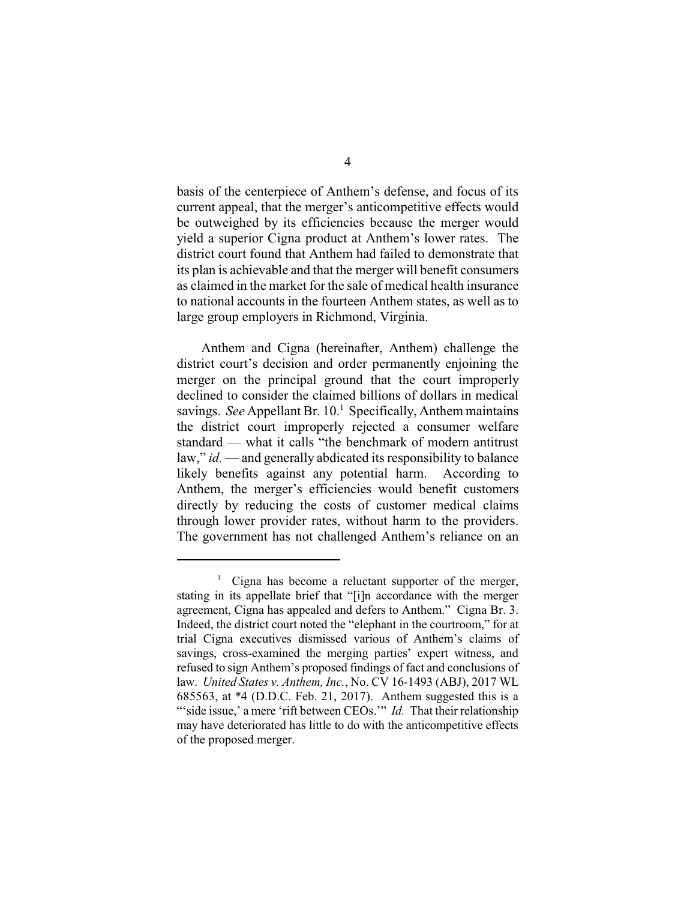basis of the centerpiece of Anthem's defense, and focus of its current appeal, that the merger's anticompetitive effects would be outweighed by its efficiencies because the merger would yield a superior Cigna product at Anthem's lower rates. The district court found that Anthem had failed to demonstrate that its plan is achievable and that the merger will benefit consumers as claimed in the market for the sale of medical health insurance to national accounts in the fourteen Anthem states, as well as to large group employers in Richmond, Virginia.

Anthem and Cigna (hereinafter, Anthem) challenge the district court's decision and order permanently enjoining the merger on the principal ground that the court improperly declined to consider the claimed billions of dollars in medical savings. *See* Appellant Br.  $10<sup>1</sup>$  Specifically, Anthem maintains the district court improperly rejected a consumer welfare standard — what it calls "the benchmark of modern antitrust law," *id.* — and generally abdicated its responsibility to balance likely benefits against any potential harm. According to Anthem, the merger's efficiencies would benefit customers directly by reducing the costs of customer medical claims through lower provider rates, without harm to the providers. The government has not challenged Anthem's reliance on an

<sup>&</sup>lt;sup>1</sup> Cigna has become a reluctant supporter of the merger, stating in its appellate brief that "[i]n accordance with the merger agreement, Cigna has appealed and defers to Anthem." Cigna Br. 3. Indeed, the district court noted the "elephant in the courtroom," for at trial Cigna executives dismissed various of Anthem's claims of savings, cross-examined the merging parties' expert witness, and refused to sign Anthem's proposed findings of fact and conclusions of law. *United States v. Anthem, Inc.*, No. CV 16-1493 (ABJ), 2017 WL 685563, at \*4 (D.D.C. Feb. 21, 2017). Anthem suggested this is a "side issue,' a mere 'rift between CEOs.'" *Id.* That their relationship may have deteriorated has little to do with the anticompetitive effects of the proposed merger.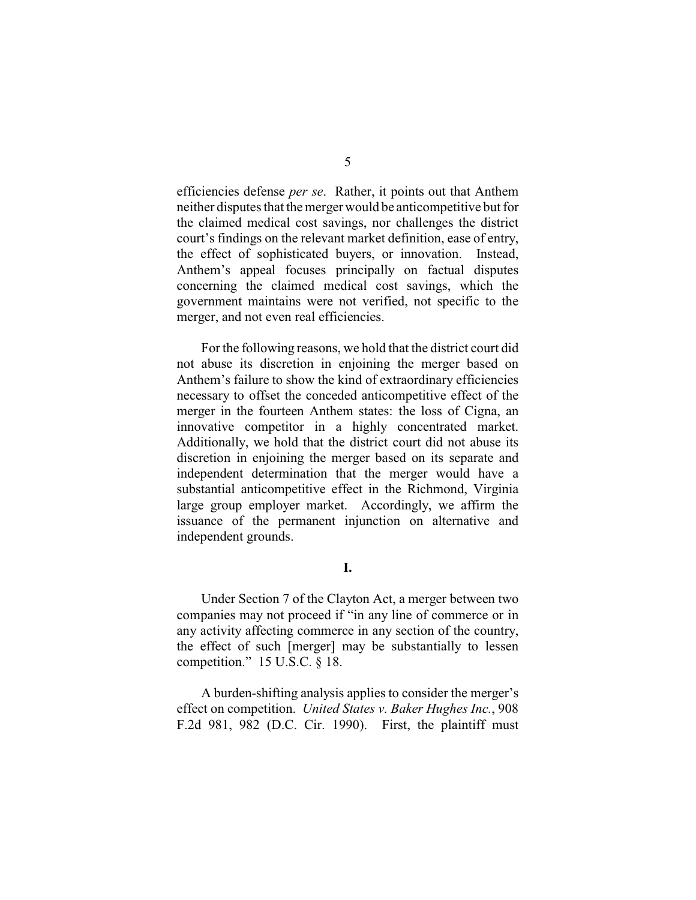efficiencies defense *per se*. Rather, it points out that Anthem neither disputes that the merger would be anticompetitive but for the claimed medical cost savings, nor challenges the district court's findings on the relevant market definition, ease of entry, the effect of sophisticated buyers, or innovation. Instead, Anthem's appeal focuses principally on factual disputes concerning the claimed medical cost savings, which the government maintains were not verified, not specific to the merger, and not even real efficiencies.

For the following reasons, we hold that the district court did not abuse its discretion in enjoining the merger based on Anthem's failure to show the kind of extraordinary efficiencies necessary to offset the conceded anticompetitive effect of the merger in the fourteen Anthem states: the loss of Cigna, an innovative competitor in a highly concentrated market. Additionally, we hold that the district court did not abuse its discretion in enjoining the merger based on its separate and independent determination that the merger would have a substantial anticompetitive effect in the Richmond, Virginia large group employer market. Accordingly, we affirm the issuance of the permanent injunction on alternative and independent grounds.

**I.**

Under Section 7 of the Clayton Act, a merger between two companies may not proceed if "in any line of commerce or in any activity affecting commerce in any section of the country, the effect of such [merger] may be substantially to lessen competition." 15 U.S.C. § 18.

A burden-shifting analysis applies to consider the merger's effect on competition. *United States v. Baker Hughes Inc.*, 908 F.2d 981, 982 (D.C. Cir. 1990). First, the plaintiff must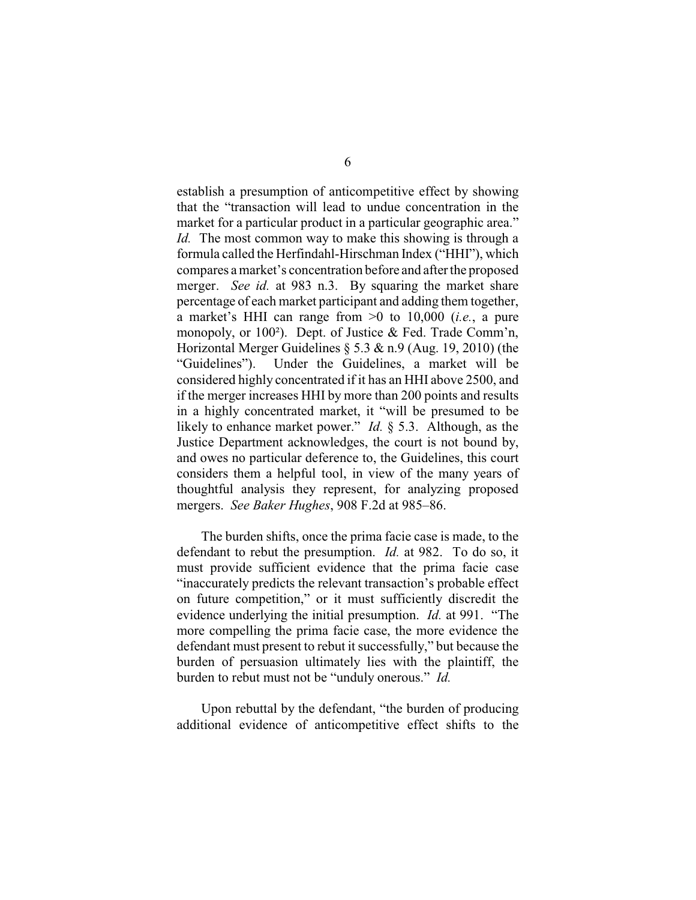establish a presumption of anticompetitive effect by showing that the "transaction will lead to undue concentration in the market for a particular product in a particular geographic area." *Id.* The most common way to make this showing is through a formula called the Herfindahl-Hirschman Index ("HHI"), which compares a market's concentration before and after the proposed merger. *See id.* at 983 n.3. By squaring the market share percentage of each market participant and adding them together, a market's HHI can range from >0 to 10,000 (*i.e.*, a pure monopoly, or 100²). Dept. of Justice & Fed. Trade Comm'n, Horizontal Merger Guidelines § 5.3 & n.9 (Aug. 19, 2010) (the "Guidelines"). Under the Guidelines, a market will be considered highly concentrated if it has an HHI above 2500, and if the merger increases HHI by more than 200 points and results in a highly concentrated market, it "will be presumed to be likely to enhance market power." *Id.* § 5.3. Although, as the Justice Department acknowledges, the court is not bound by, and owes no particular deference to, the Guidelines, this court considers them a helpful tool, in view of the many years of thoughtful analysis they represent, for analyzing proposed mergers. *See Baker Hughes*, 908 F.2d at 985–86.

The burden shifts, once the prima facie case is made, to the defendant to rebut the presumption. *Id.* at 982. To do so, it must provide sufficient evidence that the prima facie case "inaccurately predicts the relevant transaction's probable effect on future competition," or it must sufficiently discredit the evidence underlying the initial presumption. *Id.* at 991. "The more compelling the prima facie case, the more evidence the defendant must present to rebut it successfully," but because the burden of persuasion ultimately lies with the plaintiff, the burden to rebut must not be "unduly onerous." *Id.*

Upon rebuttal by the defendant, "the burden of producing additional evidence of anticompetitive effect shifts to the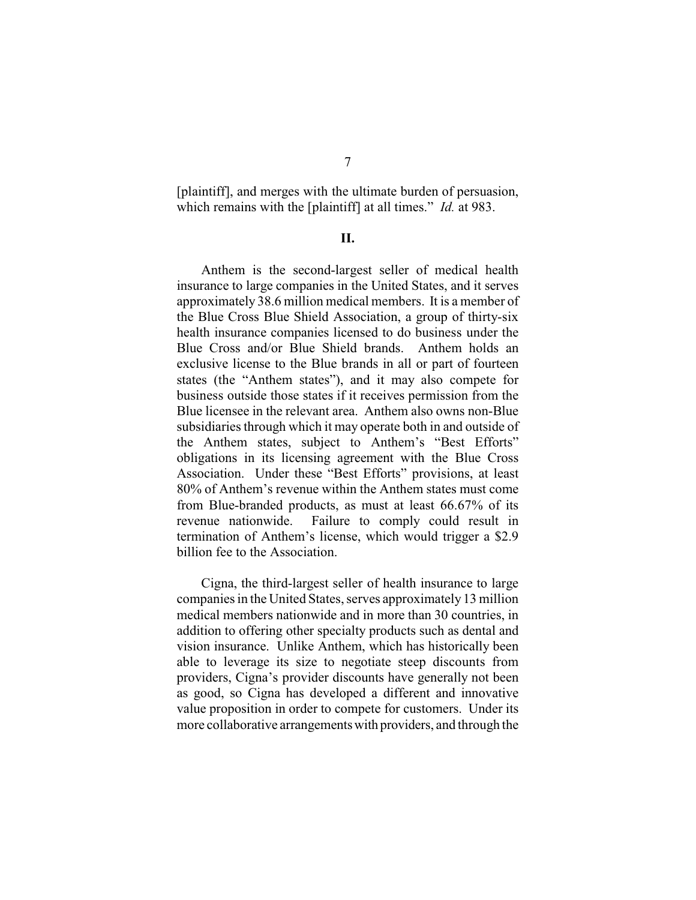[plaintiff], and merges with the ultimate burden of persuasion, which remains with the [plaintiff] at all times." *Id.* at 983.

## **II.**

Anthem is the second-largest seller of medical health insurance to large companies in the United States, and it serves approximately 38.6 million medical members. It is a member of the Blue Cross Blue Shield Association, a group of thirty-six health insurance companies licensed to do business under the Blue Cross and/or Blue Shield brands. Anthem holds an exclusive license to the Blue brands in all or part of fourteen states (the "Anthem states"), and it may also compete for business outside those states if it receives permission from the Blue licensee in the relevant area. Anthem also owns non-Blue subsidiaries through which it may operate both in and outside of the Anthem states, subject to Anthem's "Best Efforts" obligations in its licensing agreement with the Blue Cross Association. Under these "Best Efforts" provisions, at least 80% of Anthem's revenue within the Anthem states must come from Blue-branded products, as must at least 66.67% of its revenue nationwide. Failure to comply could result in termination of Anthem's license, which would trigger a \$2.9 billion fee to the Association.

Cigna, the third-largest seller of health insurance to large companies in the United States, serves approximately 13 million medical members nationwide and in more than 30 countries, in addition to offering other specialty products such as dental and vision insurance. Unlike Anthem, which has historically been able to leverage its size to negotiate steep discounts from providers, Cigna's provider discounts have generally not been as good, so Cigna has developed a different and innovative value proposition in order to compete for customers. Under its more collaborative arrangementswith providers, and through the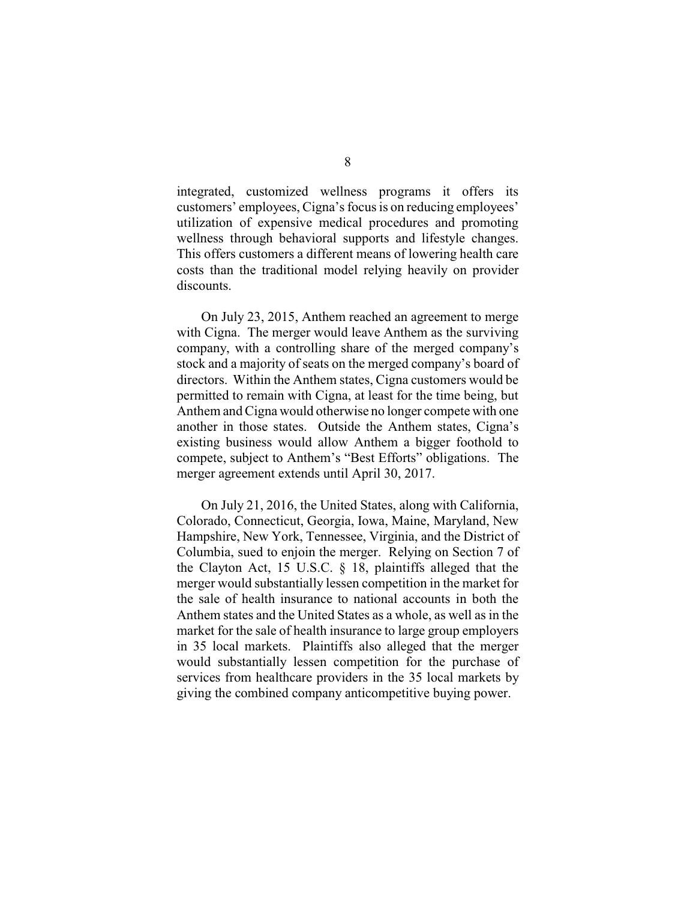integrated, customized wellness programs it offers its customers' employees, Cigna's focus is on reducing employees' utilization of expensive medical procedures and promoting wellness through behavioral supports and lifestyle changes. This offers customers a different means of lowering health care costs than the traditional model relying heavily on provider discounts.

On July 23, 2015, Anthem reached an agreement to merge with Cigna. The merger would leave Anthem as the surviving company, with a controlling share of the merged company's stock and a majority of seats on the merged company's board of directors. Within the Anthem states, Cigna customers would be permitted to remain with Cigna, at least for the time being, but Anthem and Cigna would otherwise no longer compete with one another in those states. Outside the Anthem states, Cigna's existing business would allow Anthem a bigger foothold to compete, subject to Anthem's "Best Efforts" obligations. The merger agreement extends until April 30, 2017.

On July 21, 2016, the United States, along with California, Colorado, Connecticut, Georgia, Iowa, Maine, Maryland, New Hampshire, New York, Tennessee, Virginia, and the District of Columbia, sued to enjoin the merger. Relying on Section 7 of the Clayton Act, 15 U.S.C. § 18, plaintiffs alleged that the merger would substantially lessen competition in the market for the sale of health insurance to national accounts in both the Anthem states and the United States as a whole, as well as in the market for the sale of health insurance to large group employers in 35 local markets. Plaintiffs also alleged that the merger would substantially lessen competition for the purchase of services from healthcare providers in the 35 local markets by giving the combined company anticompetitive buying power.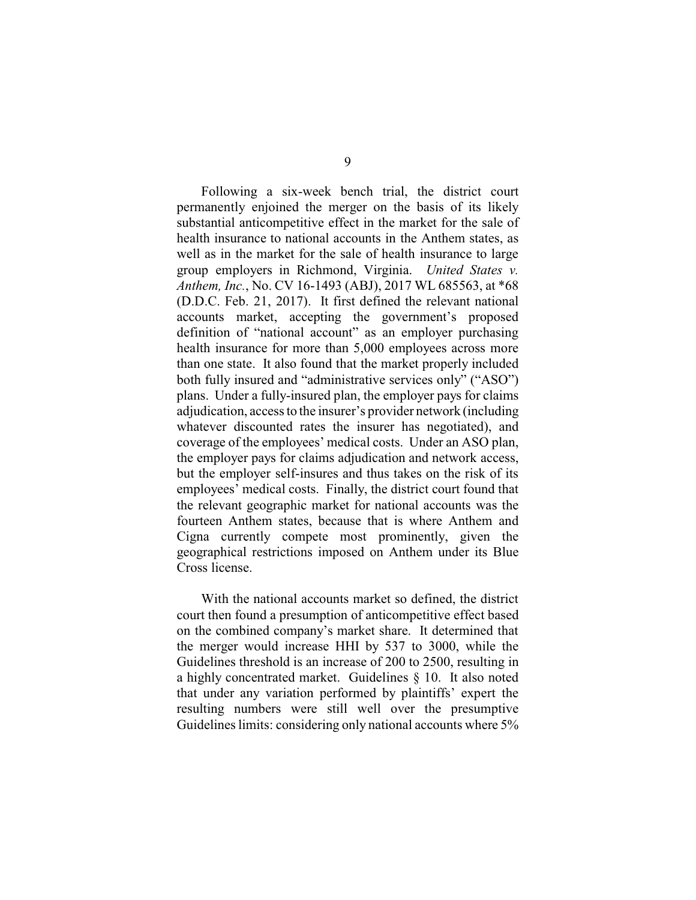Following a six-week bench trial, the district court permanently enjoined the merger on the basis of its likely substantial anticompetitive effect in the market for the sale of health insurance to national accounts in the Anthem states, as well as in the market for the sale of health insurance to large group employers in Richmond, Virginia. *United States v. Anthem, Inc.*, No. CV 16-1493 (ABJ), 2017 WL 685563, at \*68 (D.D.C. Feb. 21, 2017). It first defined the relevant national accounts market, accepting the government's proposed definition of "national account" as an employer purchasing health insurance for more than 5,000 employees across more than one state. It also found that the market properly included both fully insured and "administrative services only" ("ASO") plans. Under a fully-insured plan, the employer pays for claims adjudication, access to the insurer's provider network (including whatever discounted rates the insurer has negotiated), and coverage of the employees' medical costs. Under an ASO plan, the employer pays for claims adjudication and network access, but the employer self-insures and thus takes on the risk of its employees' medical costs. Finally, the district court found that the relevant geographic market for national accounts was the fourteen Anthem states, because that is where Anthem and Cigna currently compete most prominently, given the geographical restrictions imposed on Anthem under its Blue Cross license.

With the national accounts market so defined, the district court then found a presumption of anticompetitive effect based on the combined company's market share. It determined that the merger would increase HHI by 537 to 3000, while the Guidelines threshold is an increase of 200 to 2500, resulting in a highly concentrated market. Guidelines § 10. It also noted that under any variation performed by plaintiffs' expert the resulting numbers were still well over the presumptive Guidelines limits: considering only national accounts where 5%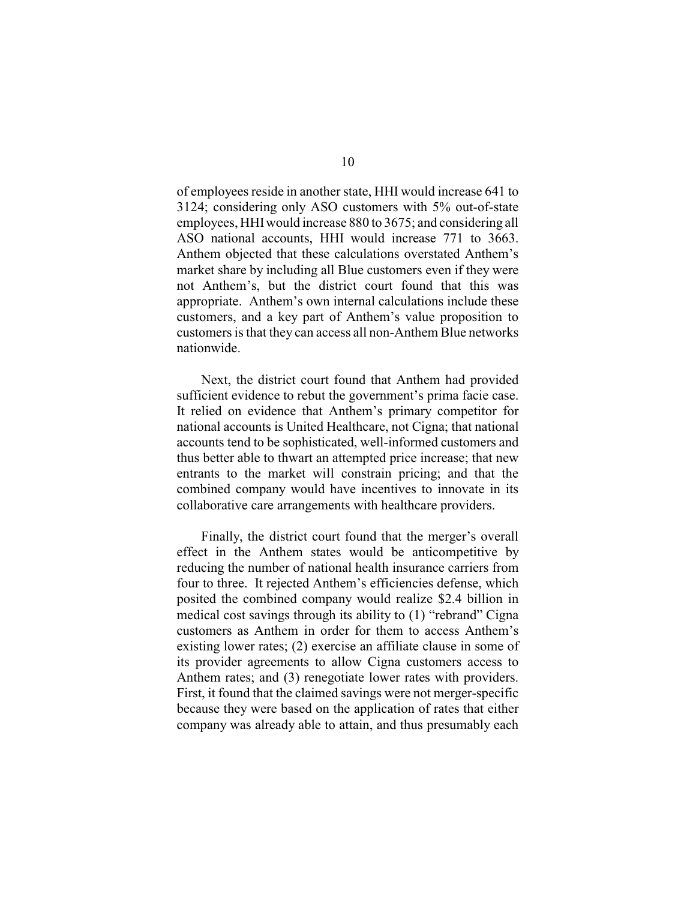of employees reside in another state, HHI would increase 641 to 3124; considering only ASO customers with 5% out-of-state employees, HHIwould increase 880 to 3675; and considering all ASO national accounts, HHI would increase 771 to 3663. Anthem objected that these calculations overstated Anthem's market share by including all Blue customers even if they were not Anthem's, but the district court found that this was appropriate. Anthem's own internal calculations include these customers, and a key part of Anthem's value proposition to customers is that they can access all non-Anthem Blue networks nationwide.

Next, the district court found that Anthem had provided sufficient evidence to rebut the government's prima facie case. It relied on evidence that Anthem's primary competitor for national accounts is United Healthcare, not Cigna; that national accounts tend to be sophisticated, well-informed customers and thus better able to thwart an attempted price increase; that new entrants to the market will constrain pricing; and that the combined company would have incentives to innovate in its collaborative care arrangements with healthcare providers.

Finally, the district court found that the merger's overall effect in the Anthem states would be anticompetitive by reducing the number of national health insurance carriers from four to three. It rejected Anthem's efficiencies defense, which posited the combined company would realize \$2.4 billion in medical cost savings through its ability to (1) "rebrand" Cigna customers as Anthem in order for them to access Anthem's existing lower rates; (2) exercise an affiliate clause in some of its provider agreements to allow Cigna customers access to Anthem rates; and (3) renegotiate lower rates with providers. First, it found that the claimed savings were not merger-specific because they were based on the application of rates that either company was already able to attain, and thus presumably each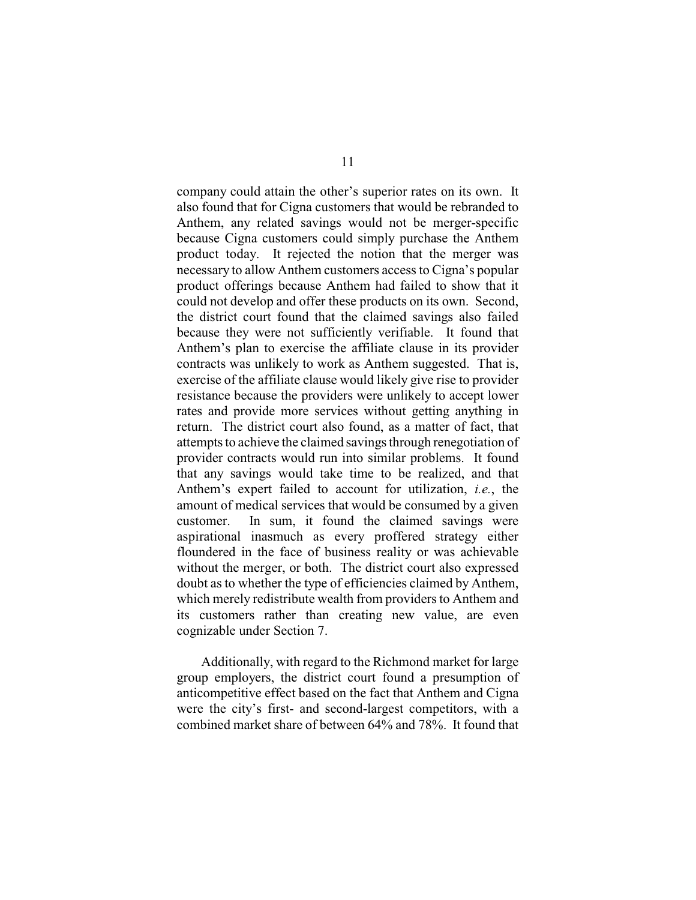company could attain the other's superior rates on its own. It also found that for Cigna customers that would be rebranded to Anthem, any related savings would not be merger-specific because Cigna customers could simply purchase the Anthem product today. It rejected the notion that the merger was necessary to allow Anthem customers access to Cigna's popular product offerings because Anthem had failed to show that it could not develop and offer these products on its own. Second, the district court found that the claimed savings also failed because they were not sufficiently verifiable. It found that Anthem's plan to exercise the affiliate clause in its provider contracts was unlikely to work as Anthem suggested. That is, exercise of the affiliate clause would likely give rise to provider resistance because the providers were unlikely to accept lower rates and provide more services without getting anything in return. The district court also found, as a matter of fact, that attempts to achieve the claimed savings through renegotiation of provider contracts would run into similar problems. It found that any savings would take time to be realized, and that Anthem's expert failed to account for utilization, *i.e.*, the amount of medical services that would be consumed by a given customer. In sum, it found the claimed savings were aspirational inasmuch as every proffered strategy either floundered in the face of business reality or was achievable without the merger, or both. The district court also expressed doubt as to whether the type of efficiencies claimed by Anthem, which merely redistribute wealth from providers to Anthem and its customers rather than creating new value, are even cognizable under Section 7.

Additionally, with regard to the Richmond market for large group employers, the district court found a presumption of anticompetitive effect based on the fact that Anthem and Cigna were the city's first- and second-largest competitors, with a combined market share of between 64% and 78%. It found that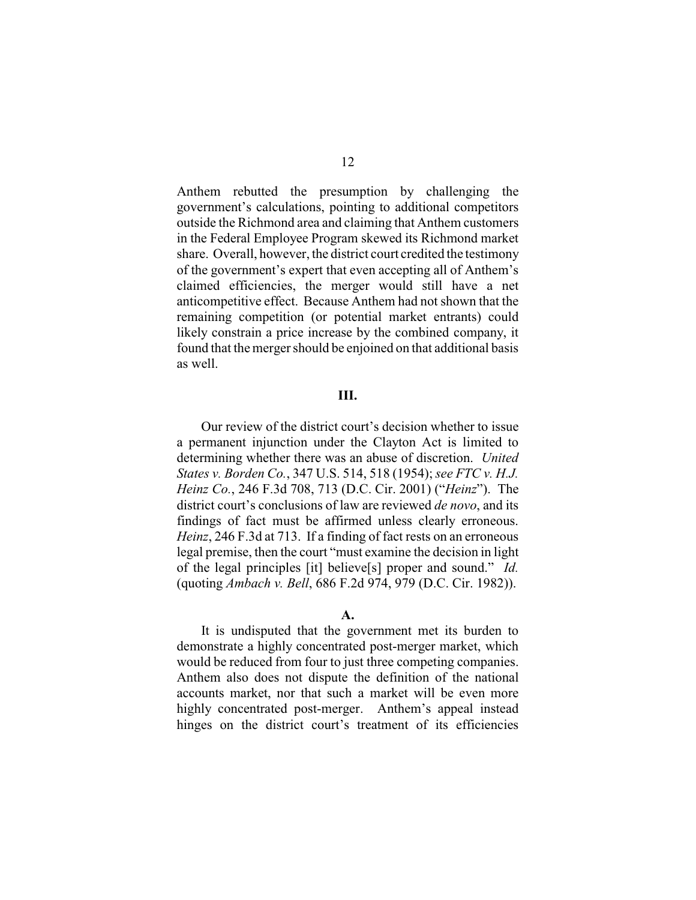Anthem rebutted the presumption by challenging the government's calculations, pointing to additional competitors outside the Richmond area and claiming that Anthem customers in the Federal Employee Program skewed its Richmond market share. Overall, however, the district court credited the testimony of the government's expert that even accepting all of Anthem's claimed efficiencies, the merger would still have a net anticompetitive effect. Because Anthem had not shown that the remaining competition (or potential market entrants) could likely constrain a price increase by the combined company, it found that the merger should be enjoined on that additional basis as well.

## **III.**

Our review of the district court's decision whether to issue a permanent injunction under the Clayton Act is limited to determining whether there was an abuse of discretion. *United States v. Borden Co.*, 347 U.S. 514, 518 (1954); *see FTC v. H.J. Heinz Co.*, 246 F.3d 708, 713 (D.C. Cir. 2001) ("*Heinz*"). The district court's conclusions of law are reviewed *de novo*, and its findings of fact must be affirmed unless clearly erroneous. *Heinz*, 246 F.3d at 713. If a finding of fact rests on an erroneous legal premise, then the court "must examine the decision in light of the legal principles [it] believe[s] proper and sound." *Id.* (quoting *Ambach v. Bell*, 686 F.2d 974, 979 (D.C. Cir. 1982)).

#### **A.**

It is undisputed that the government met its burden to demonstrate a highly concentrated post-merger market, which would be reduced from four to just three competing companies. Anthem also does not dispute the definition of the national accounts market, nor that such a market will be even more highly concentrated post-merger. Anthem's appeal instead hinges on the district court's treatment of its efficiencies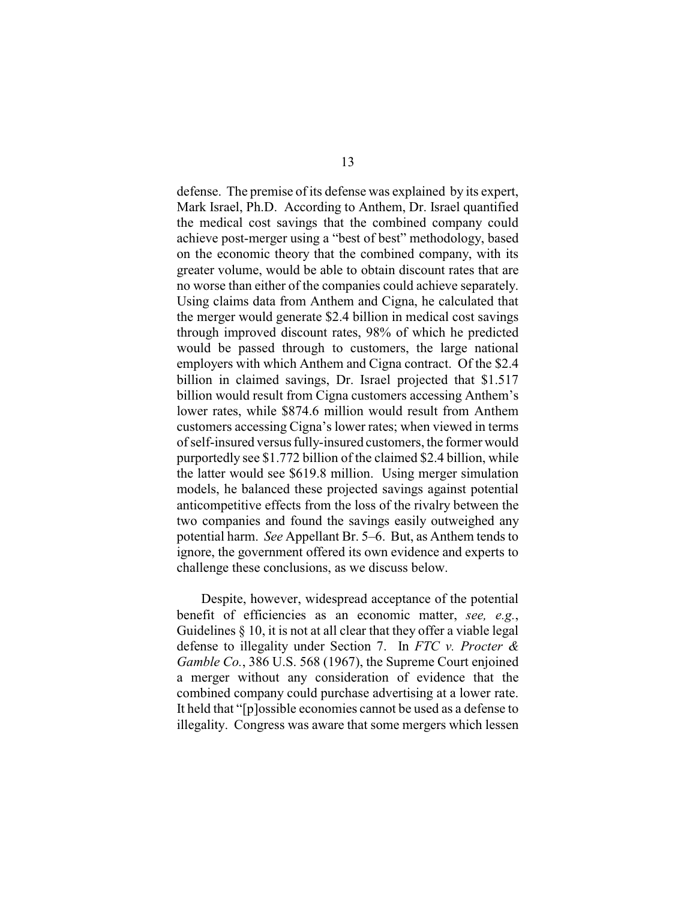defense. The premise of its defense was explained by its expert, Mark Israel, Ph.D. According to Anthem, Dr. Israel quantified the medical cost savings that the combined company could achieve post-merger using a "best of best" methodology, based on the economic theory that the combined company, with its greater volume, would be able to obtain discount rates that are no worse than either of the companies could achieve separately. Using claims data from Anthem and Cigna, he calculated that the merger would generate \$2.4 billion in medical cost savings through improved discount rates, 98% of which he predicted would be passed through to customers, the large national employers with which Anthem and Cigna contract. Of the \$2.4 billion in claimed savings, Dr. Israel projected that \$1.517 billion would result from Cigna customers accessing Anthem's lower rates, while \$874.6 million would result from Anthem customers accessing Cigna's lower rates; when viewed in terms of self-insured versus fully-insured customers, the former would purportedly see \$1.772 billion of the claimed \$2.4 billion, while the latter would see \$619.8 million. Using merger simulation models, he balanced these projected savings against potential anticompetitive effects from the loss of the rivalry between the two companies and found the savings easily outweighed any potential harm. *See* Appellant Br. 5–6. But, as Anthem tends to ignore, the government offered its own evidence and experts to challenge these conclusions, as we discuss below.

Despite, however, widespread acceptance of the potential benefit of efficiencies as an economic matter, *see, e.g.*, Guidelines § 10, it is not at all clear that they offer a viable legal defense to illegality under Section 7. In *FTC v. Procter & Gamble Co.*, 386 U.S. 568 (1967), the Supreme Court enjoined a merger without any consideration of evidence that the combined company could purchase advertising at a lower rate. It held that "[p]ossible economies cannot be used as a defense to illegality. Congress was aware that some mergers which lessen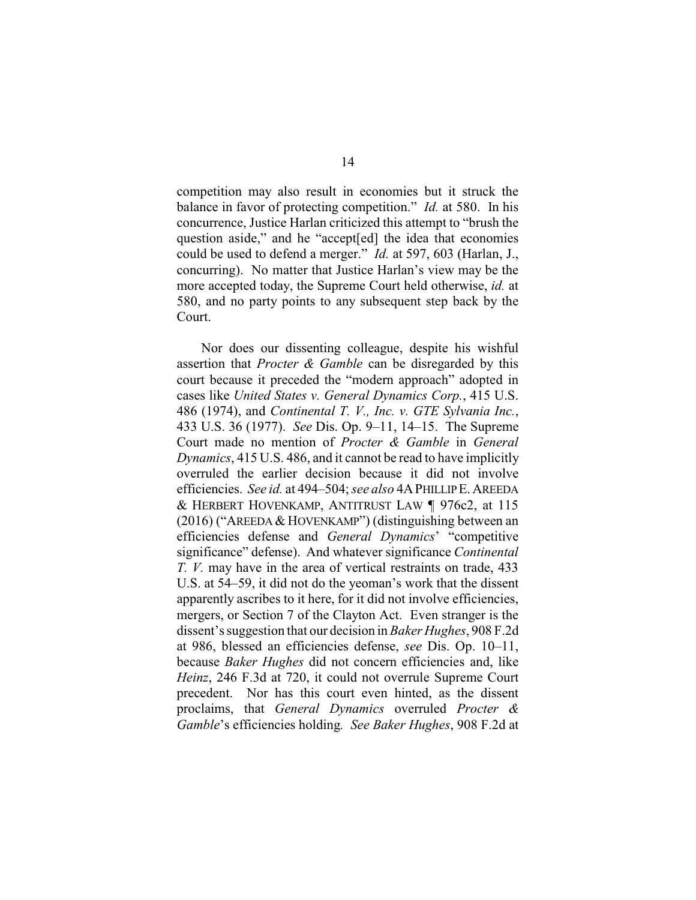competition may also result in economies but it struck the balance in favor of protecting competition." *Id.* at 580. In his concurrence, Justice Harlan criticized this attempt to "brush the question aside," and he "accept[ed] the idea that economies could be used to defend a merger." *Id.* at 597, 603 (Harlan, J., concurring). No matter that Justice Harlan's view may be the more accepted today, the Supreme Court held otherwise, *id.* at 580, and no party points to any subsequent step back by the Court.

Nor does our dissenting colleague, despite his wishful assertion that *Procter & Gamble* can be disregarded by this court because it preceded the "modern approach" adopted in cases like *United States v. General Dynamics Corp.*, 415 U.S. 486 (1974), and *Continental T. V., Inc. v. GTE Sylvania Inc.*, 433 U.S. 36 (1977). *See* Dis. Op. 9–11, 14–15. The Supreme Court made no mention of *Procter & Gamble* in *General Dynamics*, 415 U.S. 486, and it cannot be read to have implicitly overruled the earlier decision because it did not involve efficiencies. *See id.* at 494–504; *see also* 4APHILLIPE.AREEDA & HERBERT HOVENKAMP, ANTITRUST LAW ¶ 976c2, at 115 (2016) ("AREEDA& HOVENKAMP") (distinguishing between an efficiencies defense and *General Dynamics*' "competitive significance" defense). And whatever significance *Continental T. V.* may have in the area of vertical restraints on trade, 433 U.S. at 54–59, it did not do the yeoman's work that the dissent apparently ascribes to it here, for it did not involve efficiencies, mergers, or Section 7 of the Clayton Act. Even stranger is the dissent's suggestion that our decision in *Baker Hughes*, 908 F.2d at 986, blessed an efficiencies defense, *see* Dis. Op. 10–11, because *Baker Hughes* did not concern efficiencies and, like *Heinz*, 246 F.3d at 720, it could not overrule Supreme Court precedent. Nor has this court even hinted, as the dissent proclaims, that *General Dynamics* overruled *Procter & Gamble*'s efficiencies holding*. See Baker Hughes*, 908 F.2d at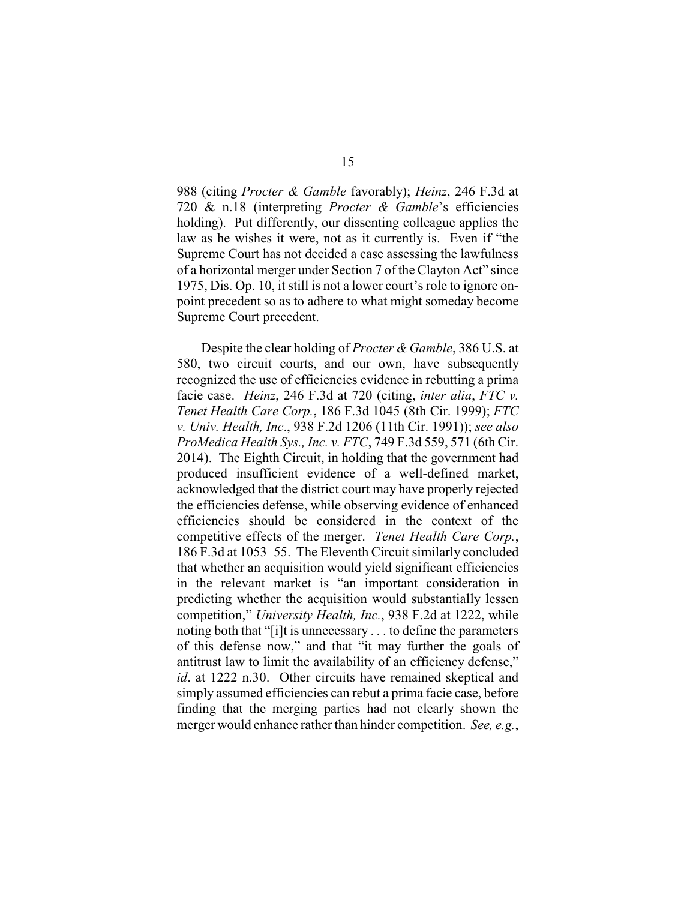988 (citing *Procter & Gamble* favorably); *Heinz*, 246 F.3d at 720 & n.18 (interpreting *Procter & Gamble*'s efficiencies holding). Put differently, our dissenting colleague applies the law as he wishes it were, not as it currently is. Even if "the Supreme Court has not decided a case assessing the lawfulness of a horizontal merger under Section 7 of the Clayton Act" since 1975, Dis. Op. 10, it still is not a lower court's role to ignore onpoint precedent so as to adhere to what might someday become Supreme Court precedent.

Despite the clear holding of *Procter & Gamble*, 386 U.S. at 580, two circuit courts, and our own, have subsequently recognized the use of efficiencies evidence in rebutting a prima facie case. *Heinz*, 246 F.3d at 720 (citing, *inter alia*, *FTC v. Tenet Health Care Corp.*, 186 F.3d 1045 (8th Cir. 1999); *FTC v. Univ. Health, Inc*., 938 F.2d 1206 (11th Cir. 1991)); *see also ProMedica Health Sys., Inc. v. FTC*, 749 F.3d 559, 571 (6th Cir. 2014). The Eighth Circuit, in holding that the government had produced insufficient evidence of a well-defined market, acknowledged that the district court may have properly rejected the efficiencies defense, while observing evidence of enhanced efficiencies should be considered in the context of the competitive effects of the merger. *Tenet Health Care Corp.*, 186 F.3d at 1053–55. The Eleventh Circuit similarly concluded that whether an acquisition would yield significant efficiencies in the relevant market is "an important consideration in predicting whether the acquisition would substantially lessen competition," *University Health, Inc.*, 938 F.2d at 1222, while noting both that "[i]t is unnecessary . . . to define the parameters of this defense now," and that "it may further the goals of antitrust law to limit the availability of an efficiency defense," *id*. at 1222 n.30. Other circuits have remained skeptical and simply assumed efficiencies can rebut a prima facie case, before finding that the merging parties had not clearly shown the merger would enhance rather than hinder competition. *See, e.g.*,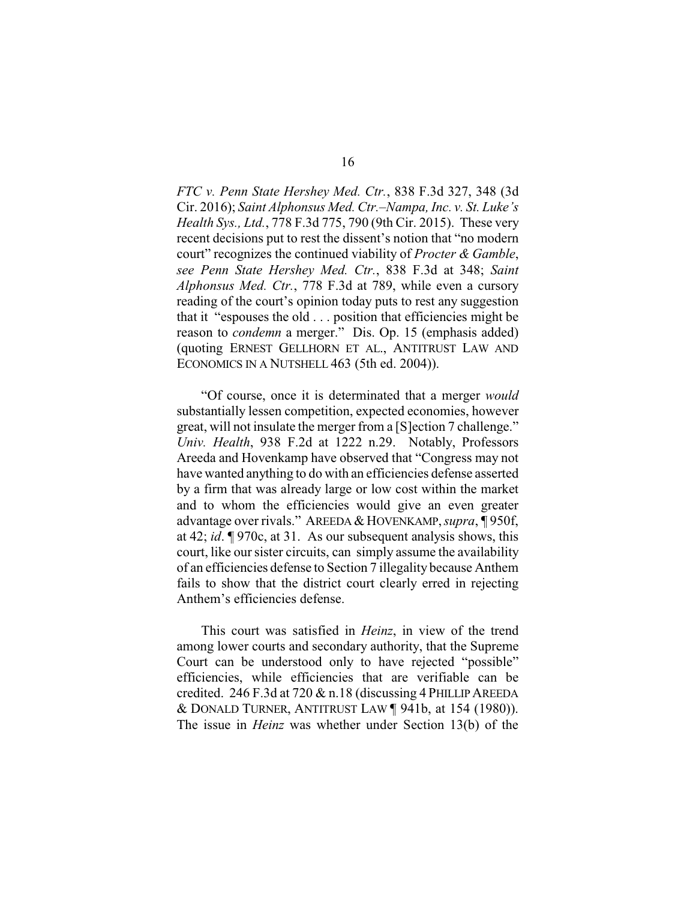*FTC v. Penn State Hershey Med. Ctr.*, 838 F.3d 327, 348 (3d Cir. 2016); *Saint Alphonsus Med. Ctr.–Nampa, Inc. v. St. Luke's Health Sys., Ltd.*, 778 F.3d 775, 790 (9th Cir. 2015). These very recent decisions put to rest the dissent's notion that "no modern court" recognizes the continued viability of *Procter & Gamble*, *see Penn State Hershey Med. Ctr.*, 838 F.3d at 348; *Saint Alphonsus Med. Ctr.*, 778 F.3d at 789, while even a cursory reading of the court's opinion today puts to rest any suggestion that it "espouses the old . . . position that efficiencies might be reason to *condemn* a merger." Dis. Op. 15 (emphasis added) (quoting ERNEST GELLHORN ET AL., ANTITRUST LAW AND ECONOMICS IN A NUTSHELL 463 (5th ed. 2004)).

"Of course, once it is determinated that a merger *would* substantially lessen competition, expected economies, however great, will not insulate the merger from a [S]ection 7 challenge." *Univ. Health*, 938 F.2d at 1222 n.29. Notably, Professors Areeda and Hovenkamp have observed that "Congress may not have wanted anything to do with an efficiencies defense asserted by a firm that was already large or low cost within the market and to whom the efficiencies would give an even greater advantage over rivals." AREEDA&HOVENKAMP,*supra*, ¶ 950f, at 42; *id*. ¶ 970c, at 31. As our subsequent analysis shows, this court, like our sister circuits, can simply assume the availability of an efficiencies defense to Section 7 illegality because Anthem fails to show that the district court clearly erred in rejecting Anthem's efficiencies defense.

This court was satisfied in *Heinz*, in view of the trend among lower courts and secondary authority, that the Supreme Court can be understood only to have rejected "possible" efficiencies, while efficiencies that are verifiable can be credited. 246 F.3d at 720 & n.18 (discussing 4 PHILLIPAREEDA & DONALD TURNER, ANTITRUST LAW ¶ 941b, at 154 (1980)). The issue in *Heinz* was whether under Section 13(b) of the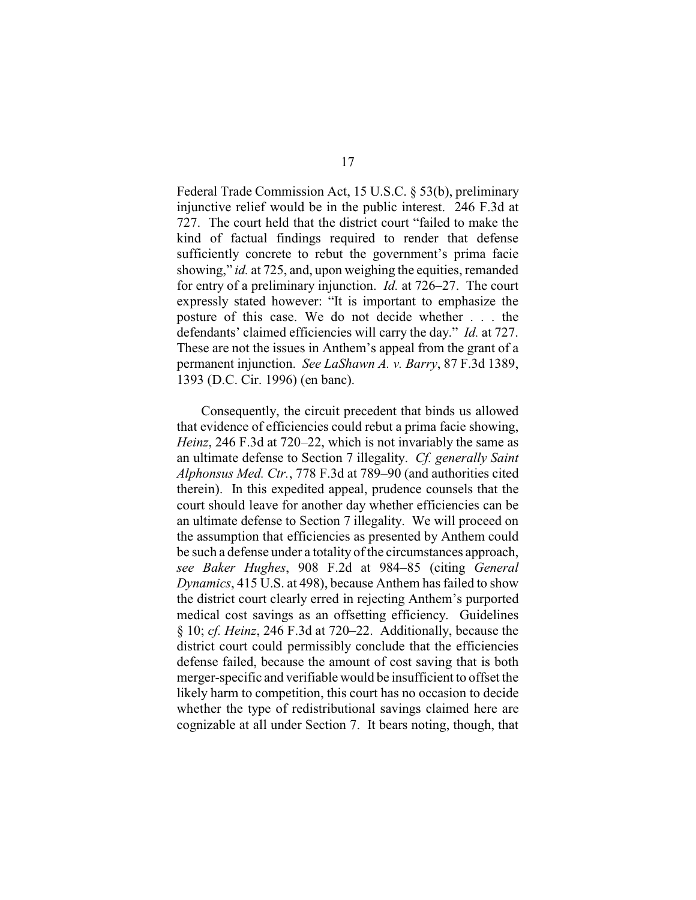Federal Trade Commission Act, 15 U.S.C. § 53(b), preliminary injunctive relief would be in the public interest. 246 F.3d at 727. The court held that the district court "failed to make the kind of factual findings required to render that defense sufficiently concrete to rebut the government's prima facie showing," *id.* at 725, and, upon weighing the equities, remanded for entry of a preliminary injunction. *Id.* at 726–27. The court expressly stated however: "It is important to emphasize the posture of this case. We do not decide whether . . . the defendants' claimed efficiencies will carry the day." *Id.* at 727. These are not the issues in Anthem's appeal from the grant of a permanent injunction. *See LaShawn A. v. Barry*, 87 F.3d 1389, 1393 (D.C. Cir. 1996) (en banc).

Consequently, the circuit precedent that binds us allowed that evidence of efficiencies could rebut a prima facie showing, *Heinz*, 246 F.3d at 720–22, which is not invariably the same as an ultimate defense to Section 7 illegality. *Cf. generally Saint Alphonsus Med. Ctr.*, 778 F.3d at 789–90 (and authorities cited therein). In this expedited appeal, prudence counsels that the court should leave for another day whether efficiencies can be an ultimate defense to Section 7 illegality. We will proceed on the assumption that efficiencies as presented by Anthem could be such a defense under a totality of the circumstances approach, *see Baker Hughes*, 908 F.2d at 984–85 (citing *General Dynamics*, 415 U.S. at 498), because Anthem has failed to show the district court clearly erred in rejecting Anthem's purported medical cost savings as an offsetting efficiency. Guidelines § 10; *cf. Heinz*, 246 F.3d at 720–22. Additionally, because the district court could permissibly conclude that the efficiencies defense failed, because the amount of cost saving that is both merger-specific and verifiable would be insufficient to offset the likely harm to competition, this court has no occasion to decide whether the type of redistributional savings claimed here are cognizable at all under Section 7. It bears noting, though, that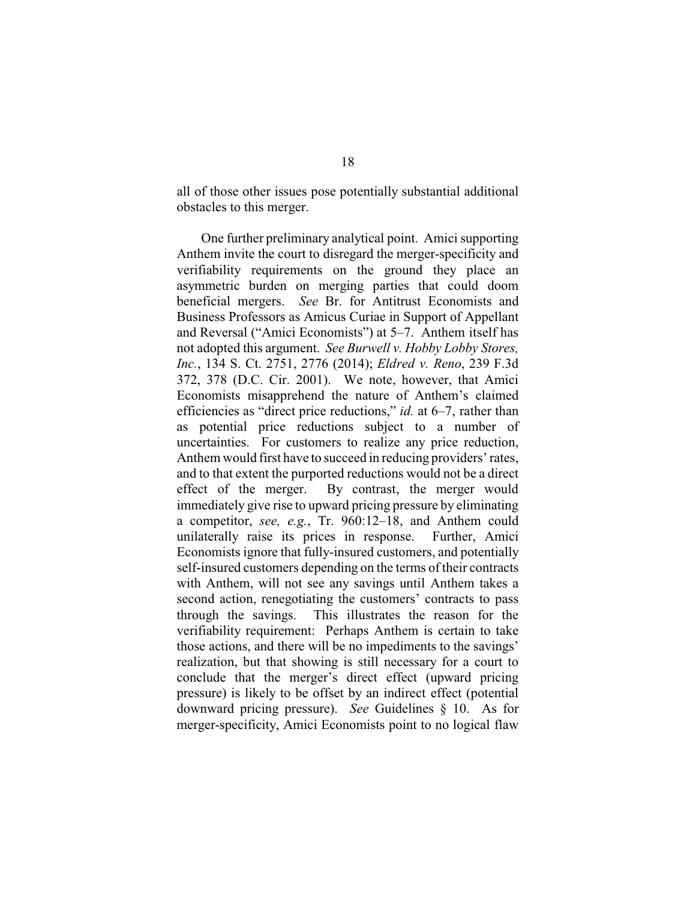all of those other issues pose potentially substantial additional obstacles to this merger.

One further preliminary analytical point. Amici supporting Anthem invite the court to disregard the merger-specificity and verifiability requirements on the ground they place an asymmetric burden on merging parties that could doom beneficial mergers. *See* Br. for Antitrust Economists and Business Professors as Amicus Curiae in Support of Appellant and Reversal ("Amici Economists") at 5–7. Anthem itself has not adopted this argument. *See Burwell v. Hobby Lobby Stores, Inc.*, 134 S. Ct. 2751, 2776 (2014); *Eldred v. Reno*, 239 F.3d 372, 378 (D.C. Cir. 2001). We note, however, that Amici Economists misapprehend the nature of Anthem's claimed efficiencies as "direct price reductions," *id.* at 6–7, rather than as potential price reductions subject to a number of uncertainties. For customers to realize any price reduction, Anthem would first have to succeed in reducing providers' rates, and to that extent the purported reductions would not be a direct effect of the merger. By contrast, the merger would immediately give rise to upward pricing pressure by eliminating a competitor, *see, e.g.*, Tr. 960:12–18, and Anthem could unilaterally raise its prices in response. Further, Amici Economists ignore that fully-insured customers, and potentially self-insured customers depending on the terms of their contracts with Anthem, will not see any savings until Anthem takes a second action, renegotiating the customers' contracts to pass through the savings. This illustrates the reason for the verifiability requirement: Perhaps Anthem is certain to take those actions, and there will be no impediments to the savings' realization, but that showing is still necessary for a court to conclude that the merger's direct effect (upward pricing pressure) is likely to be offset by an indirect effect (potential downward pricing pressure). *See* Guidelines § 10. As for merger-specificity, Amici Economists point to no logical flaw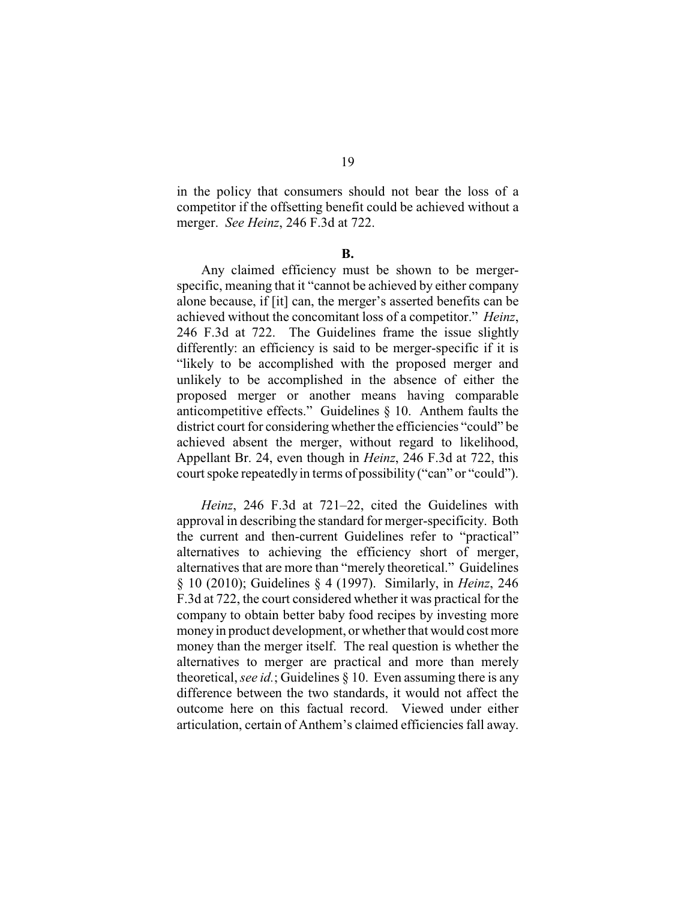in the policy that consumers should not bear the loss of a competitor if the offsetting benefit could be achieved without a merger. *See Heinz*, 246 F.3d at 722.

#### **B.**

Any claimed efficiency must be shown to be mergerspecific, meaning that it "cannot be achieved by either company alone because, if [it] can, the merger's asserted benefits can be achieved without the concomitant loss of a competitor." *Heinz*, 246 F.3d at 722. The Guidelines frame the issue slightly differently: an efficiency is said to be merger-specific if it is "likely to be accomplished with the proposed merger and unlikely to be accomplished in the absence of either the proposed merger or another means having comparable anticompetitive effects." Guidelines § 10. Anthem faults the district court for considering whether the efficiencies "could" be achieved absent the merger, without regard to likelihood, Appellant Br. 24, even though in *Heinz*, 246 F.3d at 722, this court spoke repeatedly in terms of possibility ("can" or "could").

*Heinz*, 246 F.3d at 721–22, cited the Guidelines with approval in describing the standard for merger-specificity. Both the current and then-current Guidelines refer to "practical" alternatives to achieving the efficiency short of merger, alternatives that are more than "merely theoretical." Guidelines § 10 (2010); Guidelines § 4 (1997). Similarly, in *Heinz*, 246 F.3d at 722, the court considered whether it was practical for the company to obtain better baby food recipes by investing more money in product development, or whether that would cost more money than the merger itself. The real question is whether the alternatives to merger are practical and more than merely theoretical, *see id.*; Guidelines § 10. Even assuming there is any difference between the two standards, it would not affect the outcome here on this factual record. Viewed under either articulation, certain of Anthem's claimed efficiencies fall away.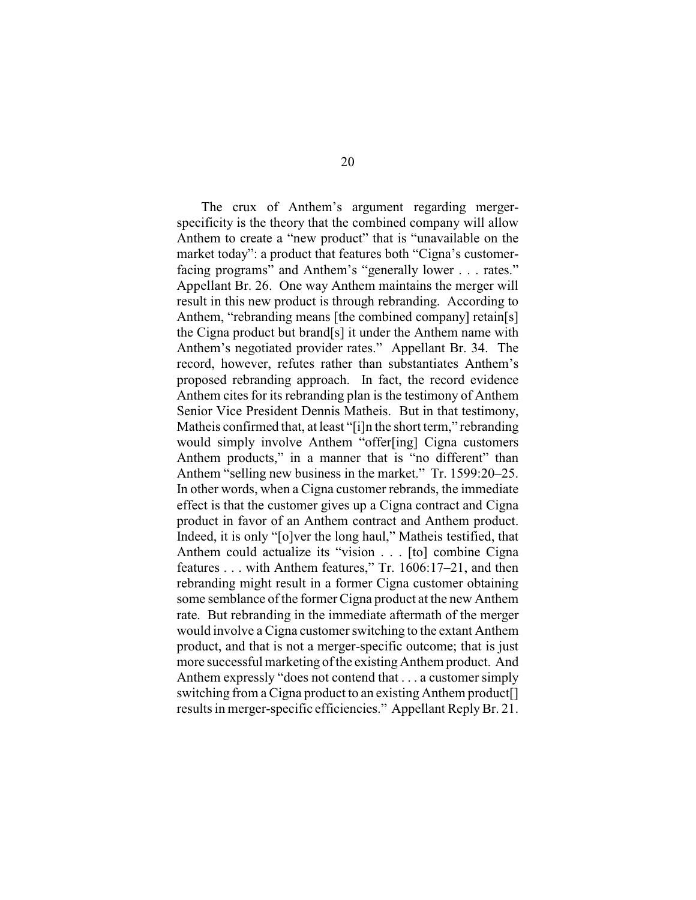The crux of Anthem's argument regarding mergerspecificity is the theory that the combined company will allow Anthem to create a "new product" that is "unavailable on the market today": a product that features both "Cigna's customerfacing programs" and Anthem's "generally lower . . . rates." Appellant Br. 26. One way Anthem maintains the merger will result in this new product is through rebranding. According to Anthem, "rebranding means [the combined company] retain[s] the Cigna product but brand[s] it under the Anthem name with Anthem's negotiated provider rates." Appellant Br. 34. The record, however, refutes rather than substantiates Anthem's proposed rebranding approach. In fact, the record evidence Anthem cites for its rebranding plan is the testimony of Anthem Senior Vice President Dennis Matheis. But in that testimony, Matheis confirmed that, at least "[i]n the short term," rebranding would simply involve Anthem "offer[ing] Cigna customers Anthem products," in a manner that is "no different" than Anthem "selling new business in the market." Tr. 1599:20–25. In other words, when a Cigna customer rebrands, the immediate effect is that the customer gives up a Cigna contract and Cigna product in favor of an Anthem contract and Anthem product. Indeed, it is only "[o]ver the long haul," Matheis testified, that Anthem could actualize its "vision . . . [to] combine Cigna features . . . with Anthem features," Tr. 1606:17–21, and then rebranding might result in a former Cigna customer obtaining some semblance of the former Cigna product at the new Anthem rate. But rebranding in the immediate aftermath of the merger would involve a Cigna customer switching to the extant Anthem product, and that is not a merger-specific outcome; that is just more successful marketing of the existing Anthem product. And Anthem expressly "does not contend that . . . a customer simply switching from a Cigna product to an existing Anthem product[] results in merger-specific efficiencies." Appellant Reply Br. 21.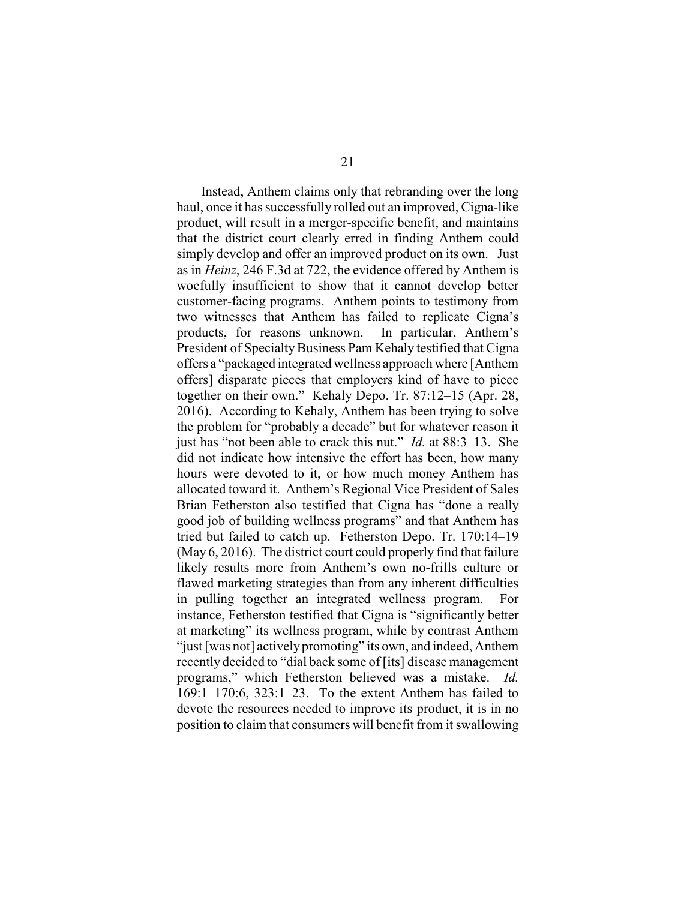Instead, Anthem claims only that rebranding over the long haul, once it has successfully rolled out an improved, Cigna-like product, will result in a merger-specific benefit, and maintains that the district court clearly erred in finding Anthem could simply develop and offer an improved product on its own. Just as in *Heinz*, 246 F.3d at 722, the evidence offered by Anthem is woefully insufficient to show that it cannot develop better customer-facing programs. Anthem points to testimony from two witnesses that Anthem has failed to replicate Cigna's products, for reasons unknown. In particular, Anthem's President of Specialty Business Pam Kehaly testified that Cigna offers a "packaged integrated wellness approach where [Anthem offers] disparate pieces that employers kind of have to piece together on their own." Kehaly Depo. Tr. 87:12–15 (Apr. 28, 2016). According to Kehaly, Anthem has been trying to solve the problem for "probably a decade" but for whatever reason it just has "not been able to crack this nut." *Id.* at 88:3–13. She did not indicate how intensive the effort has been, how many hours were devoted to it, or how much money Anthem has allocated toward it. Anthem's Regional Vice President of Sales Brian Fetherston also testified that Cigna has "done a really good job of building wellness programs" and that Anthem has tried but failed to catch up. Fetherston Depo. Tr. 170:14–19 (May 6, 2016). The district court could properly find that failure likely results more from Anthem's own no-frills culture or flawed marketing strategies than from any inherent difficulties in pulling together an integrated wellness program. For instance, Fetherston testified that Cigna is "significantly better at marketing" its wellness program, while by contrast Anthem "just [was not] actively promoting" its own, and indeed, Anthem recently decided to "dial back some of [its] disease management programs," which Fetherston believed was a mistake. *Id.* 169:1–170:6, 323:1–23. To the extent Anthem has failed to devote the resources needed to improve its product, it is in no position to claim that consumers will benefit from it swallowing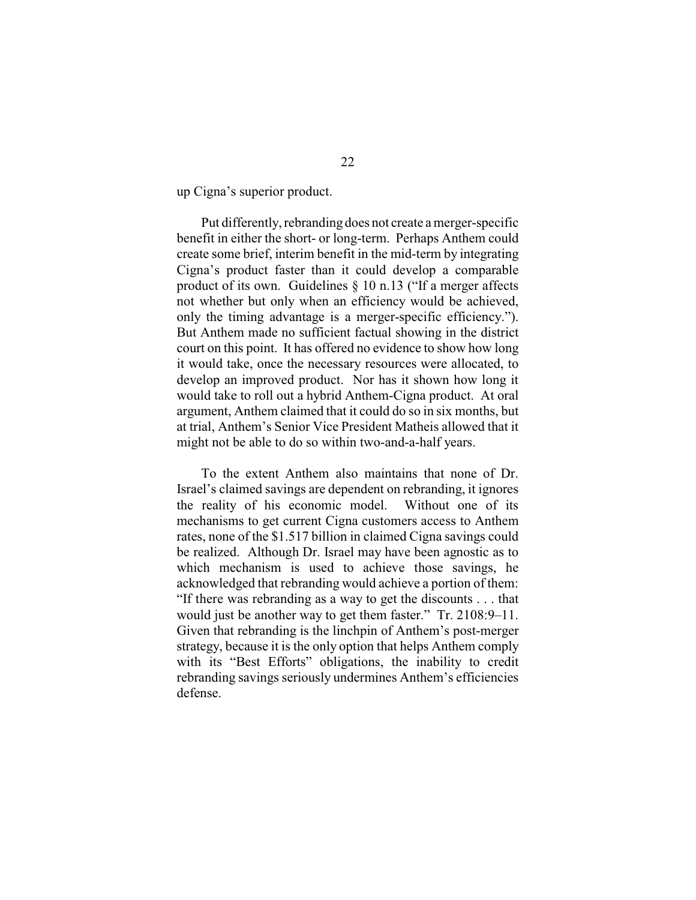up Cigna's superior product.

Put differently, rebranding does not create a merger-specific benefit in either the short- or long-term. Perhaps Anthem could create some brief, interim benefit in the mid-term by integrating Cigna's product faster than it could develop a comparable product of its own. Guidelines § 10 n.13 ("If a merger affects not whether but only when an efficiency would be achieved, only the timing advantage is a merger-specific efficiency."). But Anthem made no sufficient factual showing in the district court on this point. It has offered no evidence to show how long it would take, once the necessary resources were allocated, to develop an improved product. Nor has it shown how long it would take to roll out a hybrid Anthem-Cigna product. At oral argument, Anthem claimed that it could do so in six months, but at trial, Anthem's Senior Vice President Matheis allowed that it might not be able to do so within two-and-a-half years.

To the extent Anthem also maintains that none of Dr. Israel's claimed savings are dependent on rebranding, it ignores the reality of his economic model. Without one of its mechanisms to get current Cigna customers access to Anthem rates, none of the \$1.517 billion in claimed Cigna savings could be realized. Although Dr. Israel may have been agnostic as to which mechanism is used to achieve those savings, he acknowledged that rebranding would achieve a portion of them: "If there was rebranding as a way to get the discounts . . . that would just be another way to get them faster." Tr. 2108:9–11. Given that rebranding is the linchpin of Anthem's post-merger strategy, because it is the only option that helps Anthem comply with its "Best Efforts" obligations, the inability to credit rebranding savings seriously undermines Anthem's efficiencies defense.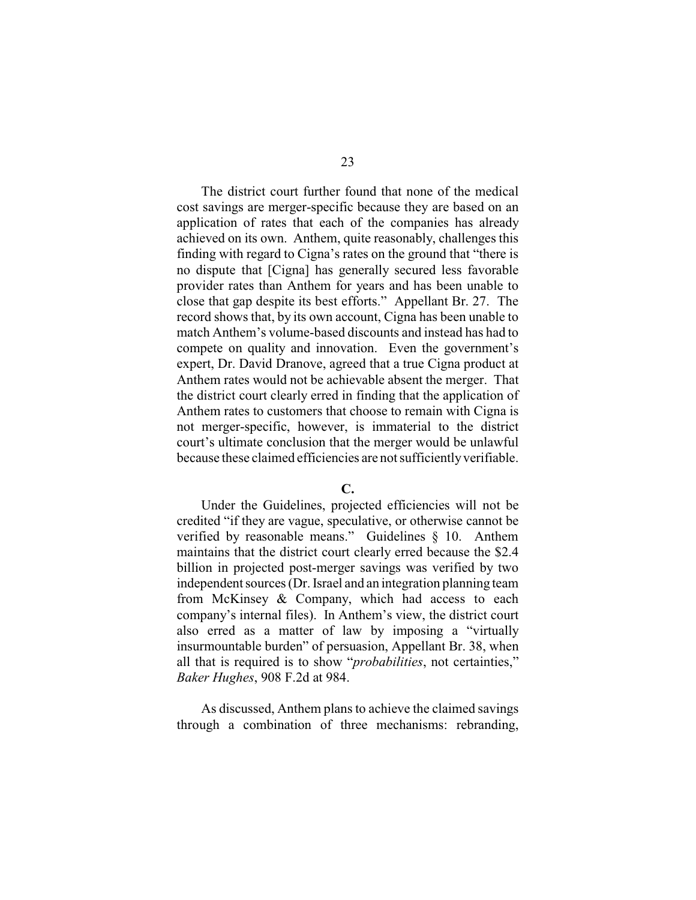The district court further found that none of the medical cost savings are merger-specific because they are based on an application of rates that each of the companies has already achieved on its own. Anthem, quite reasonably, challenges this finding with regard to Cigna's rates on the ground that "there is no dispute that [Cigna] has generally secured less favorable provider rates than Anthem for years and has been unable to close that gap despite its best efforts." Appellant Br. 27. The record shows that, by its own account, Cigna has been unable to match Anthem's volume-based discounts and instead has had to compete on quality and innovation. Even the government's expert, Dr. David Dranove, agreed that a true Cigna product at Anthem rates would not be achievable absent the merger. That the district court clearly erred in finding that the application of Anthem rates to customers that choose to remain with Cigna is not merger-specific, however, is immaterial to the district court's ultimate conclusion that the merger would be unlawful because these claimed efficiencies are not sufficiently verifiable.

**C.**

Under the Guidelines, projected efficiencies will not be credited "if they are vague, speculative, or otherwise cannot be verified by reasonable means." Guidelines § 10. Anthem maintains that the district court clearly erred because the \$2.4 billion in projected post-merger savings was verified by two independent sources (Dr. Israel and an integration planning team from McKinsey & Company, which had access to each company's internal files). In Anthem's view, the district court also erred as a matter of law by imposing a "virtually insurmountable burden" of persuasion, Appellant Br. 38, when all that is required is to show "*probabilities*, not certainties," *Baker Hughes*, 908 F.2d at 984.

As discussed, Anthem plans to achieve the claimed savings through a combination of three mechanisms: rebranding,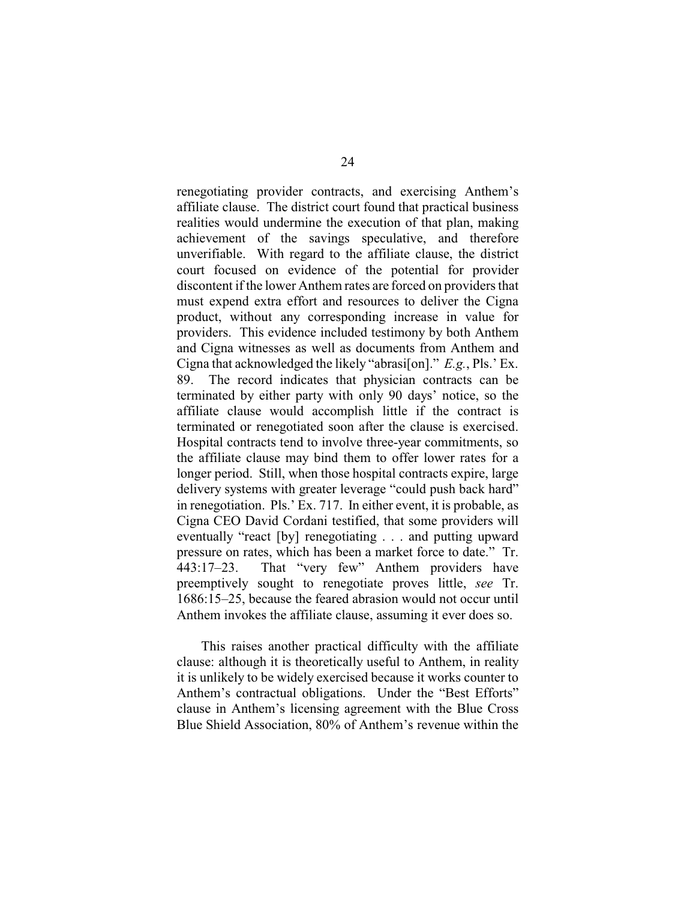renegotiating provider contracts, and exercising Anthem's affiliate clause. The district court found that practical business realities would undermine the execution of that plan, making achievement of the savings speculative, and therefore unverifiable. With regard to the affiliate clause, the district court focused on evidence of the potential for provider discontent if the lower Anthem rates are forced on providers that must expend extra effort and resources to deliver the Cigna product, without any corresponding increase in value for providers. This evidence included testimony by both Anthem and Cigna witnesses as well as documents from Anthem and Cigna that acknowledged the likely "abrasi[on]." *E.g.*, Pls.' Ex. 89. The record indicates that physician contracts can be terminated by either party with only 90 days' notice, so the affiliate clause would accomplish little if the contract is terminated or renegotiated soon after the clause is exercised. Hospital contracts tend to involve three-year commitments, so the affiliate clause may bind them to offer lower rates for a longer period. Still, when those hospital contracts expire, large delivery systems with greater leverage "could push back hard" in renegotiation. Pls.' Ex. 717. In either event, it is probable, as Cigna CEO David Cordani testified, that some providers will eventually "react [by] renegotiating . . . and putting upward pressure on rates, which has been a market force to date." Tr. 443:17–23. That "very few" Anthem providers have preemptively sought to renegotiate proves little, *see* Tr. 1686:15–25, because the feared abrasion would not occur until Anthem invokes the affiliate clause, assuming it ever does so.

This raises another practical difficulty with the affiliate clause: although it is theoretically useful to Anthem, in reality it is unlikely to be widely exercised because it works counter to Anthem's contractual obligations. Under the "Best Efforts" clause in Anthem's licensing agreement with the Blue Cross Blue Shield Association, 80% of Anthem's revenue within the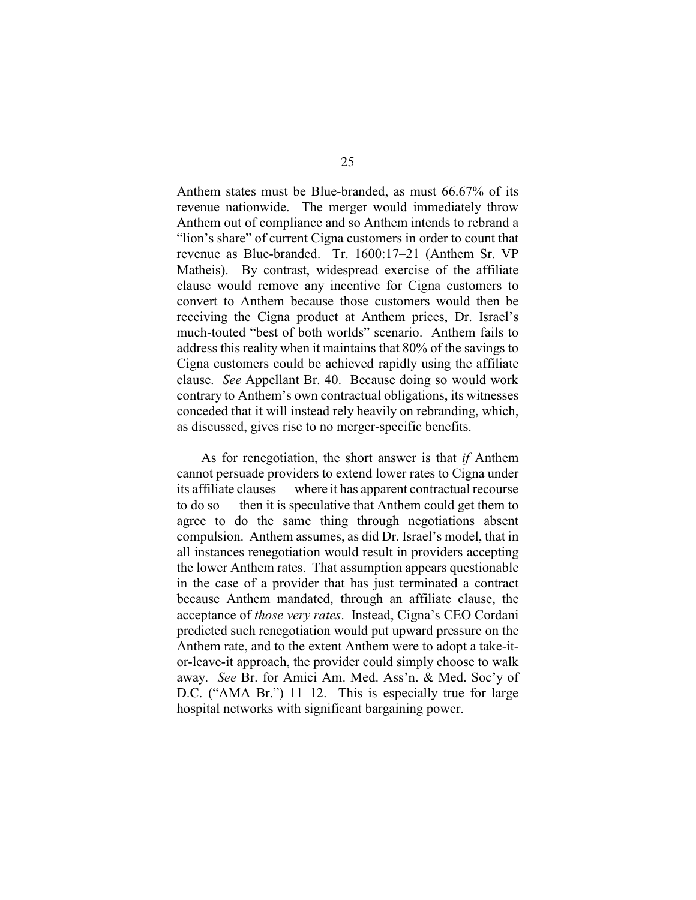Anthem states must be Blue-branded, as must 66.67% of its revenue nationwide. The merger would immediately throw Anthem out of compliance and so Anthem intends to rebrand a "lion's share" of current Cigna customers in order to count that revenue as Blue-branded. Tr. 1600:17–21 (Anthem Sr. VP Matheis). By contrast, widespread exercise of the affiliate clause would remove any incentive for Cigna customers to convert to Anthem because those customers would then be receiving the Cigna product at Anthem prices, Dr. Israel's much-touted "best of both worlds" scenario. Anthem fails to address this reality when it maintains that 80% of the savings to Cigna customers could be achieved rapidly using the affiliate clause. *See* Appellant Br. 40. Because doing so would work contrary to Anthem's own contractual obligations, its witnesses conceded that it will instead rely heavily on rebranding, which, as discussed, gives rise to no merger-specific benefits.

As for renegotiation, the short answer is that *if* Anthem cannot persuade providers to extend lower rates to Cigna under its affiliate clauses — where it has apparent contractual recourse to do so — then it is speculative that Anthem could get them to agree to do the same thing through negotiations absent compulsion. Anthem assumes, as did Dr. Israel's model, that in all instances renegotiation would result in providers accepting the lower Anthem rates. That assumption appears questionable in the case of a provider that has just terminated a contract because Anthem mandated, through an affiliate clause, the acceptance of *those very rates*. Instead, Cigna's CEO Cordani predicted such renegotiation would put upward pressure on the Anthem rate, and to the extent Anthem were to adopt a take-itor-leave-it approach, the provider could simply choose to walk away. *See* Br. for Amici Am. Med. Ass'n. & Med. Soc'y of D.C. ("AMA Br.") 11–12. This is especially true for large hospital networks with significant bargaining power.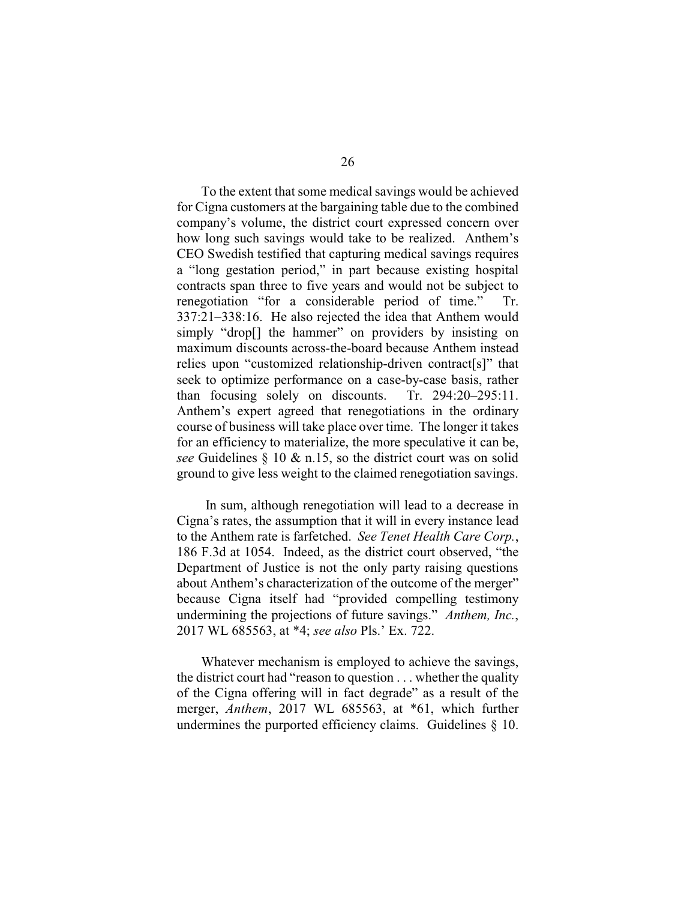To the extent that some medical savings would be achieved for Cigna customers at the bargaining table due to the combined company's volume, the district court expressed concern over how long such savings would take to be realized. Anthem's CEO Swedish testified that capturing medical savings requires a "long gestation period," in part because existing hospital contracts span three to five years and would not be subject to renegotiation "for a considerable period of time." Tr. 337:21–338:16. He also rejected the idea that Anthem would simply "drop[] the hammer" on providers by insisting on maximum discounts across-the-board because Anthem instead relies upon "customized relationship-driven contract[s]" that seek to optimize performance on a case-by-case basis, rather than focusing solely on discounts. Tr. 294:20–295:11. Anthem's expert agreed that renegotiations in the ordinary course of business will take place over time. The longer it takes for an efficiency to materialize, the more speculative it can be, *see* Guidelines § 10 & n.15, so the district court was on solid ground to give less weight to the claimed renegotiation savings.

In sum, although renegotiation will lead to a decrease in Cigna's rates, the assumption that it will in every instance lead to the Anthem rate is farfetched. *See Tenet Health Care Corp.*, 186 F.3d at 1054. Indeed, as the district court observed, "the Department of Justice is not the only party raising questions about Anthem's characterization of the outcome of the merger" because Cigna itself had "provided compelling testimony undermining the projections of future savings." *Anthem, Inc.*, 2017 WL 685563, at \*4; *see also* Pls.' Ex. 722.

Whatever mechanism is employed to achieve the savings, the district court had "reason to question . . . whether the quality of the Cigna offering will in fact degrade" as a result of the merger, *Anthem*, 2017 WL 685563, at \*61, which further undermines the purported efficiency claims. Guidelines § 10.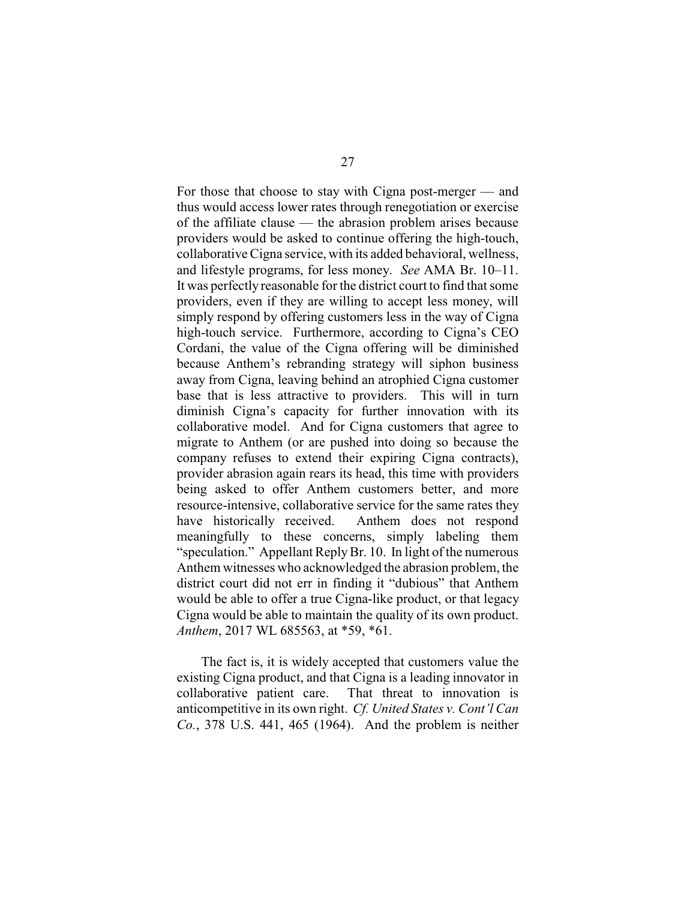For those that choose to stay with Cigna post-merger — and thus would access lower rates through renegotiation or exercise of the affiliate clause — the abrasion problem arises because providers would be asked to continue offering the high-touch, collaborative Cigna service, with its added behavioral, wellness, and lifestyle programs, for less money. *See* AMA Br. 10–11. It was perfectly reasonable for the district court to find that some providers, even if they are willing to accept less money, will simply respond by offering customers less in the way of Cigna high-touch service. Furthermore, according to Cigna's CEO Cordani, the value of the Cigna offering will be diminished because Anthem's rebranding strategy will siphon business away from Cigna, leaving behind an atrophied Cigna customer base that is less attractive to providers. This will in turn diminish Cigna's capacity for further innovation with its collaborative model. And for Cigna customers that agree to migrate to Anthem (or are pushed into doing so because the company refuses to extend their expiring Cigna contracts), provider abrasion again rears its head, this time with providers being asked to offer Anthem customers better, and more resource-intensive, collaborative service for the same rates they have historically received. Anthem does not respond meaningfully to these concerns, simply labeling them "speculation." Appellant ReplyBr. 10. In light of the numerous Anthem witnesses who acknowledged the abrasion problem, the district court did not err in finding it "dubious" that Anthem would be able to offer a true Cigna-like product, or that legacy Cigna would be able to maintain the quality of its own product. *Anthem*, 2017 WL 685563, at \*59, \*61.

The fact is, it is widely accepted that customers value the existing Cigna product, and that Cigna is a leading innovator in collaborative patient care. That threat to innovation is anticompetitive in its own right. *Cf. United States v. Cont'l Can Co.*, 378 U.S. 441, 465 (1964). And the problem is neither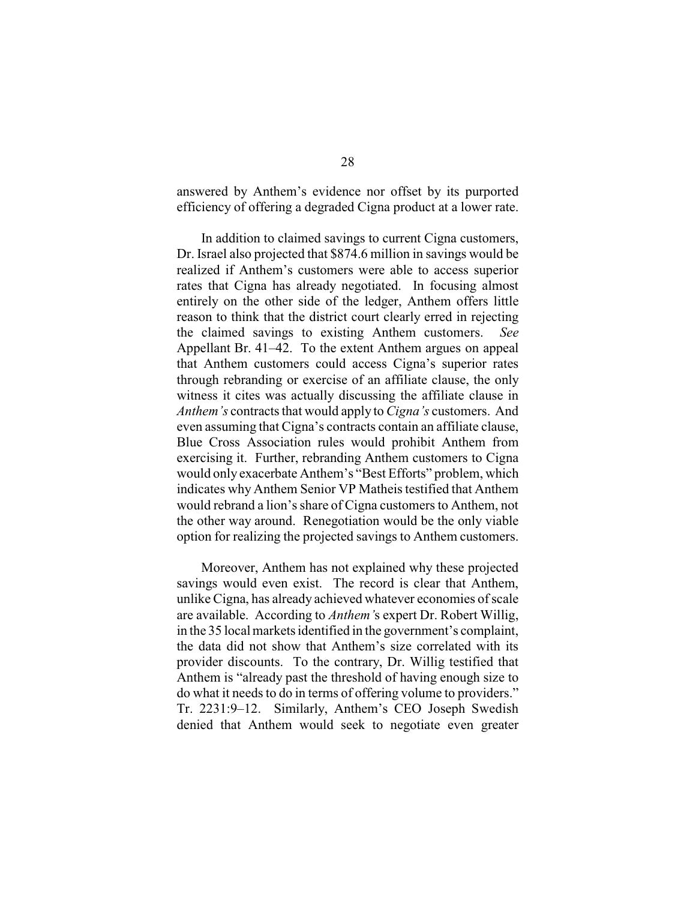answered by Anthem's evidence nor offset by its purported efficiency of offering a degraded Cigna product at a lower rate.

In addition to claimed savings to current Cigna customers, Dr. Israel also projected that \$874.6 million in savings would be realized if Anthem's customers were able to access superior rates that Cigna has already negotiated. In focusing almost entirely on the other side of the ledger, Anthem offers little reason to think that the district court clearly erred in rejecting the claimed savings to existing Anthem customers. *See* Appellant Br. 41–42. To the extent Anthem argues on appeal that Anthem customers could access Cigna's superior rates through rebranding or exercise of an affiliate clause, the only witness it cites was actually discussing the affiliate clause in *Anthem's* contracts that would apply to *Cigna's* customers. And even assuming that Cigna's contracts contain an affiliate clause, Blue Cross Association rules would prohibit Anthem from exercising it. Further, rebranding Anthem customers to Cigna would only exacerbate Anthem's "Best Efforts" problem, which indicates why Anthem Senior VP Matheis testified that Anthem would rebrand a lion's share of Cigna customers to Anthem, not the other way around. Renegotiation would be the only viable option for realizing the projected savings to Anthem customers.

Moreover, Anthem has not explained why these projected savings would even exist. The record is clear that Anthem, unlike Cigna, has already achieved whatever economies of scale are available. According to *Anthem'*s expert Dr. Robert Willig, in the 35 local markets identified in the government's complaint, the data did not show that Anthem's size correlated with its provider discounts. To the contrary, Dr. Willig testified that Anthem is "already past the threshold of having enough size to do what it needs to do in terms of offering volume to providers." Tr. 2231:9–12. Similarly, Anthem's CEO Joseph Swedish denied that Anthem would seek to negotiate even greater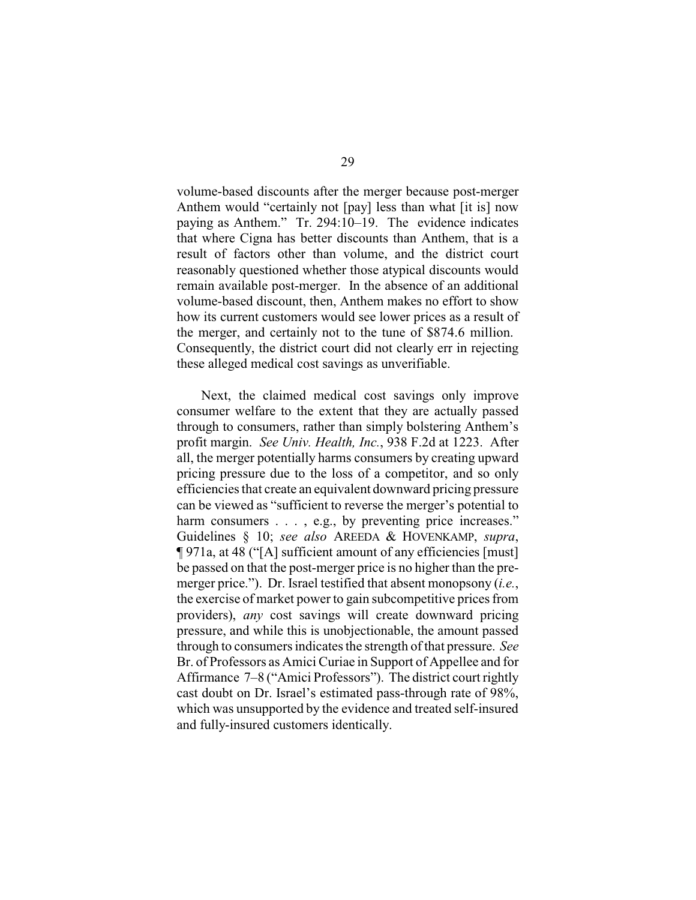volume-based discounts after the merger because post-merger Anthem would "certainly not [pay] less than what [it is] now paying as Anthem." Tr. 294:10–19. The evidence indicates that where Cigna has better discounts than Anthem, that is a result of factors other than volume, and the district court reasonably questioned whether those atypical discounts would remain available post-merger. In the absence of an additional volume-based discount, then, Anthem makes no effort to show how its current customers would see lower prices as a result of the merger, and certainly not to the tune of \$874.6 million. Consequently, the district court did not clearly err in rejecting these alleged medical cost savings as unverifiable.

Next, the claimed medical cost savings only improve consumer welfare to the extent that they are actually passed through to consumers, rather than simply bolstering Anthem's profit margin. *See Univ. Health, Inc.*, 938 F.2d at 1223. After all, the merger potentially harms consumers by creating upward pricing pressure due to the loss of a competitor, and so only efficiencies that create an equivalent downward pricing pressure can be viewed as "sufficient to reverse the merger's potential to harm consumers . . . , e.g., by preventing price increases." Guidelines § 10; *see also* AREEDA & HOVENKAMP, *supra*, ¶ 971a, at 48 ("[A] sufficient amount of any efficiencies [must] be passed on that the post-merger price is no higher than the premerger price."). Dr. Israel testified that absent monopsony (*i.e.*, the exercise of market power to gain subcompetitive prices from providers), *any* cost savings will create downward pricing pressure, and while this is unobjectionable, the amount passed through to consumers indicates the strength of that pressure. *See* Br. of Professors as Amici Curiae in Support of Appellee and for Affirmance 7–8 ("Amici Professors"). The district court rightly cast doubt on Dr. Israel's estimated pass-through rate of 98%, which was unsupported by the evidence and treated self-insured and fully-insured customers identically.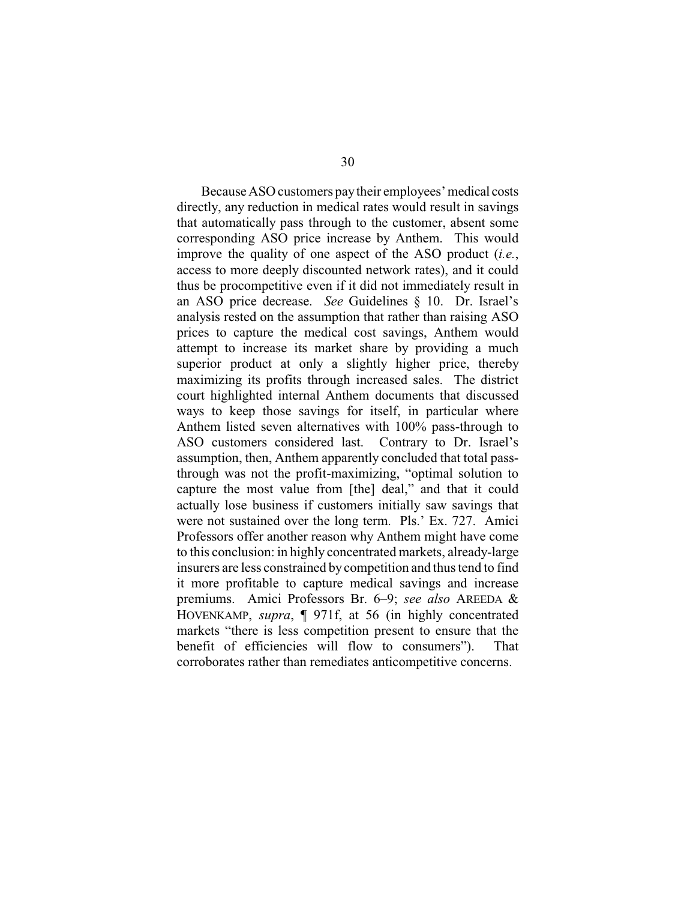BecauseASO customers paytheir employees'medical costs directly, any reduction in medical rates would result in savings that automatically pass through to the customer, absent some corresponding ASO price increase by Anthem. This would improve the quality of one aspect of the ASO product (*i.e.*, access to more deeply discounted network rates), and it could thus be procompetitive even if it did not immediately result in an ASO price decrease. *See* Guidelines § 10. Dr. Israel's analysis rested on the assumption that rather than raising ASO prices to capture the medical cost savings, Anthem would attempt to increase its market share by providing a much superior product at only a slightly higher price, thereby maximizing its profits through increased sales. The district court highlighted internal Anthem documents that discussed ways to keep those savings for itself, in particular where Anthem listed seven alternatives with 100% pass-through to ASO customers considered last. Contrary to Dr. Israel's assumption, then, Anthem apparently concluded that total passthrough was not the profit-maximizing, "optimal solution to capture the most value from [the] deal," and that it could actually lose business if customers initially saw savings that were not sustained over the long term. Pls.' Ex. 727. Amici Professors offer another reason why Anthem might have come to this conclusion: in highly concentrated markets, already-large insurers are less constrained by competition and thus tend to find it more profitable to capture medical savings and increase premiums. Amici Professors Br. 6–9; *see also* AREEDA & HOVENKAMP, *supra*, ¶ 971f, at 56 (in highly concentrated markets "there is less competition present to ensure that the benefit of efficiencies will flow to consumers"). That corroborates rather than remediates anticompetitive concerns.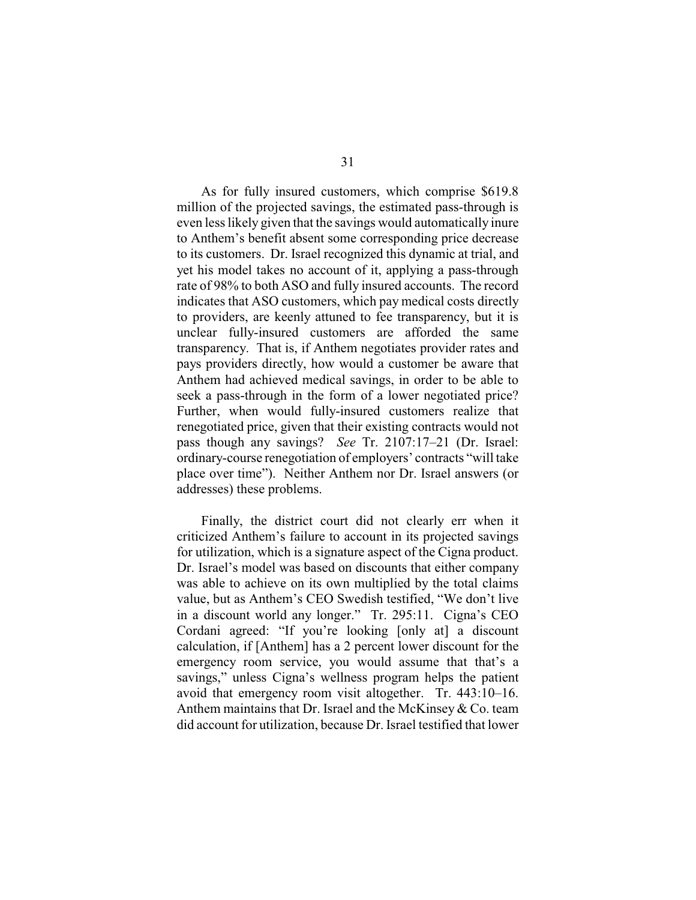As for fully insured customers, which comprise \$619.8 million of the projected savings, the estimated pass-through is even less likely given that the savings would automatically inure to Anthem's benefit absent some corresponding price decrease to its customers. Dr. Israel recognized this dynamic at trial, and yet his model takes no account of it, applying a pass-through rate of 98% to both ASO and fully insured accounts. The record indicates that ASO customers, which pay medical costs directly to providers, are keenly attuned to fee transparency, but it is unclear fully-insured customers are afforded the same transparency. That is, if Anthem negotiates provider rates and pays providers directly, how would a customer be aware that Anthem had achieved medical savings, in order to be able to seek a pass-through in the form of a lower negotiated price? Further, when would fully-insured customers realize that renegotiated price, given that their existing contracts would not pass though any savings? *See* Tr. 2107:17–21 (Dr. Israel: ordinary-course renegotiation of employers' contracts "will take place over time"). Neither Anthem nor Dr. Israel answers (or addresses) these problems.

Finally, the district court did not clearly err when it criticized Anthem's failure to account in its projected savings for utilization, which is a signature aspect of the Cigna product. Dr. Israel's model was based on discounts that either company was able to achieve on its own multiplied by the total claims value, but as Anthem's CEO Swedish testified, "We don't live in a discount world any longer." Tr. 295:11. Cigna's CEO Cordani agreed: "If you're looking [only at] a discount calculation, if [Anthem] has a 2 percent lower discount for the emergency room service, you would assume that that's a savings," unless Cigna's wellness program helps the patient avoid that emergency room visit altogether. Tr. 443:10–16. Anthem maintains that Dr. Israel and the McKinsey & Co. team did account for utilization, because Dr. Israel testified that lower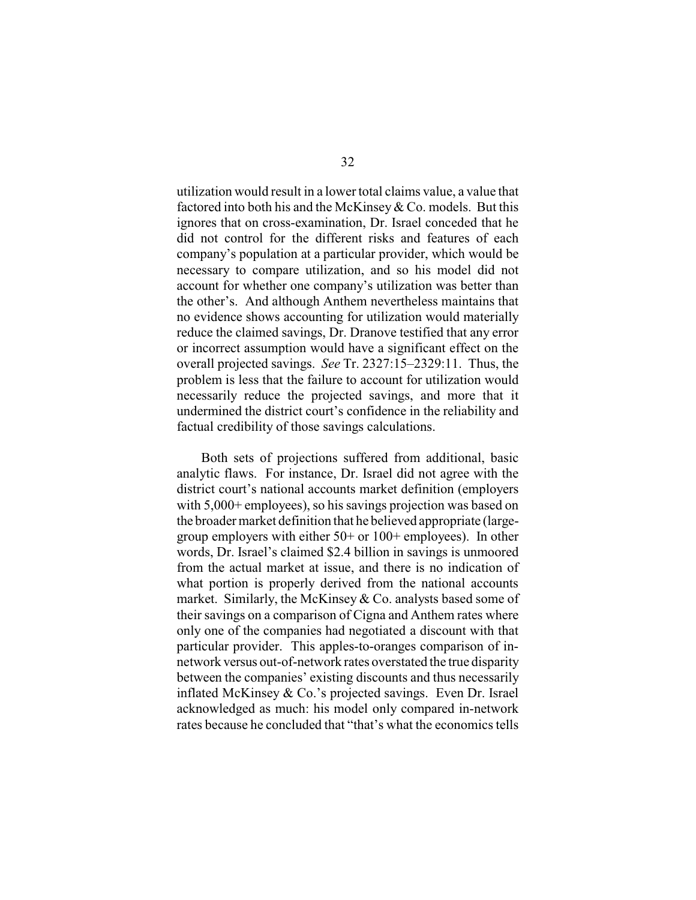utilization would result in a lower total claims value, a value that factored into both his and the McKinsey& Co. models. But this ignores that on cross-examination, Dr. Israel conceded that he did not control for the different risks and features of each company's population at a particular provider, which would be necessary to compare utilization, and so his model did not account for whether one company's utilization was better than the other's. And although Anthem nevertheless maintains that no evidence shows accounting for utilization would materially reduce the claimed savings, Dr. Dranove testified that any error or incorrect assumption would have a significant effect on the overall projected savings. *See* Tr. 2327:15–2329:11. Thus, the problem is less that the failure to account for utilization would necessarily reduce the projected savings, and more that it undermined the district court's confidence in the reliability and factual credibility of those savings calculations.

Both sets of projections suffered from additional, basic analytic flaws. For instance, Dr. Israel did not agree with the district court's national accounts market definition (employers with 5,000+ employees), so his savings projection was based on the broader market definition that he believed appropriate (largegroup employers with either 50+ or 100+ employees). In other words, Dr. Israel's claimed \$2.4 billion in savings is unmoored from the actual market at issue, and there is no indication of what portion is properly derived from the national accounts market. Similarly, the McKinsey & Co. analysts based some of their savings on a comparison of Cigna and Anthem rates where only one of the companies had negotiated a discount with that particular provider. This apples-to-oranges comparison of innetwork versus out-of-network rates overstated the true disparity between the companies' existing discounts and thus necessarily inflated McKinsey & Co.'s projected savings. Even Dr. Israel acknowledged as much: his model only compared in-network rates because he concluded that "that's what the economics tells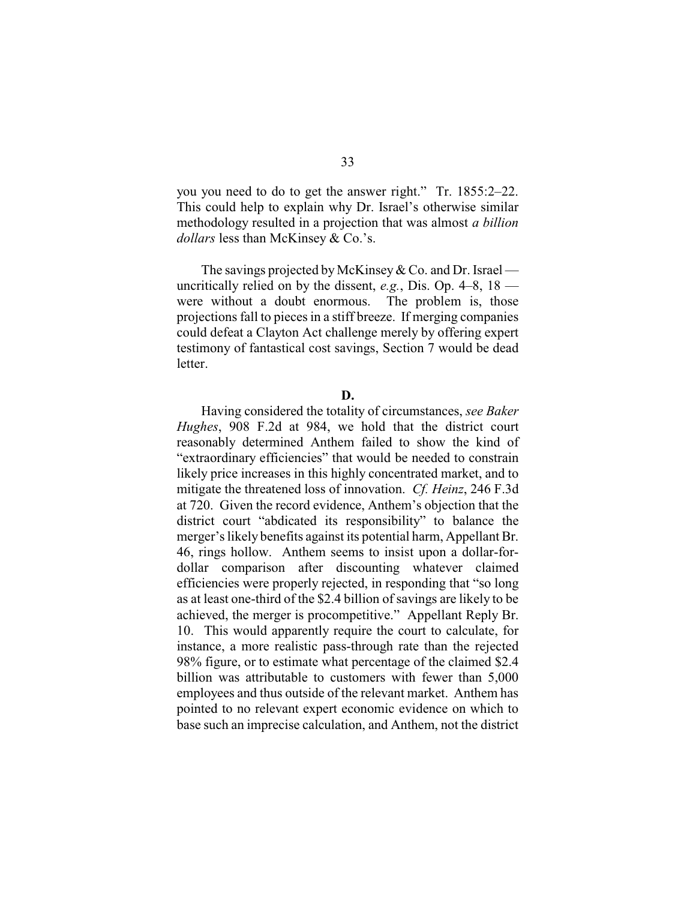you you need to do to get the answer right." Tr. 1855:2–22. This could help to explain why Dr. Israel's otherwise similar methodology resulted in a projection that was almost *a billion dollars* less than McKinsey & Co.'s.

The savings projected by McKinsey  $& Co.$  and Dr. Israel uncritically relied on by the dissent, *e.g.*, Dis. Op. 4–8, 18 were without a doubt enormous. The problem is, those projections fall to pieces in a stiff breeze. If merging companies could defeat a Clayton Act challenge merely by offering expert testimony of fantastical cost savings, Section 7 would be dead letter.

#### **D.**

Having considered the totality of circumstances, *see Baker Hughes*, 908 F.2d at 984, we hold that the district court reasonably determined Anthem failed to show the kind of "extraordinary efficiencies" that would be needed to constrain likely price increases in this highly concentrated market, and to mitigate the threatened loss of innovation. *Cf. Heinz*, 246 F.3d at 720. Given the record evidence, Anthem's objection that the district court "abdicated its responsibility" to balance the merger's likely benefits against its potential harm, Appellant Br. 46, rings hollow. Anthem seems to insist upon a dollar-fordollar comparison after discounting whatever claimed efficiencies were properly rejected, in responding that "so long as at least one-third of the \$2.4 billion of savings are likely to be achieved, the merger is procompetitive." Appellant Reply Br. 10. This would apparently require the court to calculate, for instance, a more realistic pass-through rate than the rejected 98% figure, or to estimate what percentage of the claimed \$2.4 billion was attributable to customers with fewer than 5,000 employees and thus outside of the relevant market. Anthem has pointed to no relevant expert economic evidence on which to base such an imprecise calculation, and Anthem, not the district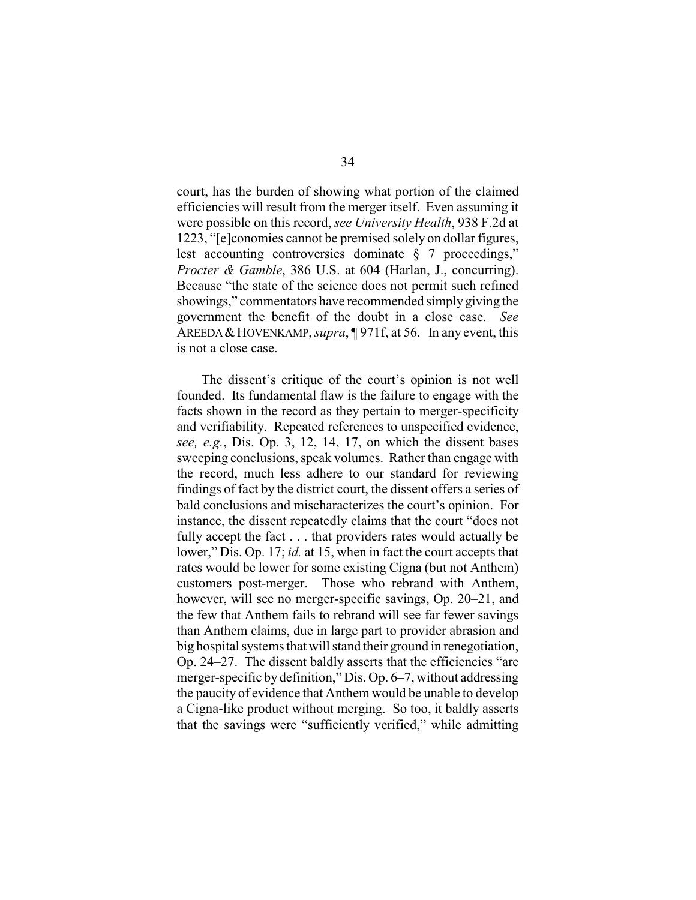court, has the burden of showing what portion of the claimed efficiencies will result from the merger itself. Even assuming it were possible on this record, *see University Health*, 938 F.2d at 1223, "[e]conomies cannot be premised solely on dollar figures, lest accounting controversies dominate § 7 proceedings," *Procter & Gamble*, 386 U.S. at 604 (Harlan, J., concurring). Because "the state of the science does not permit such refined showings," commentators have recommended simply giving the government the benefit of the doubt in a close case. *See* AREEDA&HOVENKAMP, *supra*, ¶ 971f, at 56. In any event, this is not a close case.

The dissent's critique of the court's opinion is not well founded. Its fundamental flaw is the failure to engage with the facts shown in the record as they pertain to merger-specificity and verifiability. Repeated references to unspecified evidence, *see, e.g.*, Dis. Op. 3, 12, 14, 17, on which the dissent bases sweeping conclusions, speak volumes. Rather than engage with the record, much less adhere to our standard for reviewing findings of fact by the district court, the dissent offers a series of bald conclusions and mischaracterizes the court's opinion. For instance, the dissent repeatedly claims that the court "does not fully accept the fact . . . that providers rates would actually be lower," Dis. Op. 17; *id.* at 15, when in fact the court accepts that rates would be lower for some existing Cigna (but not Anthem) customers post-merger. Those who rebrand with Anthem, however, will see no merger-specific savings, Op. 20–21, and the few that Anthem fails to rebrand will see far fewer savings than Anthem claims, due in large part to provider abrasion and big hospital systems that will stand their ground in renegotiation, Op. 24–27. The dissent baldly asserts that the efficiencies "are merger-specific bydefinition," Dis. Op. 6–7, without addressing the paucity of evidence that Anthem would be unable to develop a Cigna-like product without merging. So too, it baldly asserts that the savings were "sufficiently verified," while admitting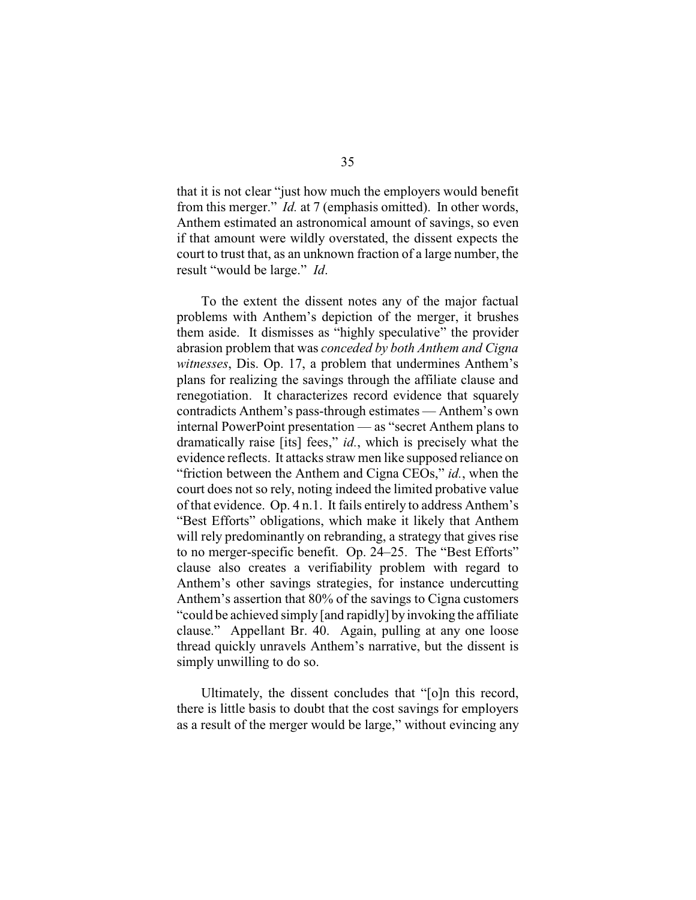that it is not clear "just how much the employers would benefit from this merger." *Id.* at 7 (emphasis omitted). In other words, Anthem estimated an astronomical amount of savings, so even if that amount were wildly overstated, the dissent expects the court to trust that, as an unknown fraction of a large number, the result "would be large." *Id*.

To the extent the dissent notes any of the major factual problems with Anthem's depiction of the merger, it brushes them aside. It dismisses as "highly speculative" the provider abrasion problem that was *conceded by both Anthem and Cigna witnesses*, Dis. Op. 17, a problem that undermines Anthem's plans for realizing the savings through the affiliate clause and renegotiation. It characterizes record evidence that squarely contradicts Anthem's pass-through estimates — Anthem's own internal PowerPoint presentation — as "secret Anthem plans to dramatically raise [its] fees," *id.*, which is precisely what the evidence reflects. It attacks straw men like supposed reliance on "friction between the Anthem and Cigna CEOs," *id.*, when the court does not so rely, noting indeed the limited probative value of that evidence. Op. 4 n.1. It fails entirely to address Anthem's "Best Efforts" obligations, which make it likely that Anthem will rely predominantly on rebranding, a strategy that gives rise to no merger-specific benefit. Op. 24–25. The "Best Efforts" clause also creates a verifiability problem with regard to Anthem's other savings strategies, for instance undercutting Anthem's assertion that 80% of the savings to Cigna customers "could be achieved simply [and rapidly] by invoking the affiliate clause." Appellant Br. 40. Again, pulling at any one loose thread quickly unravels Anthem's narrative, but the dissent is simply unwilling to do so.

Ultimately, the dissent concludes that "[o]n this record, there is little basis to doubt that the cost savings for employers as a result of the merger would be large," without evincing any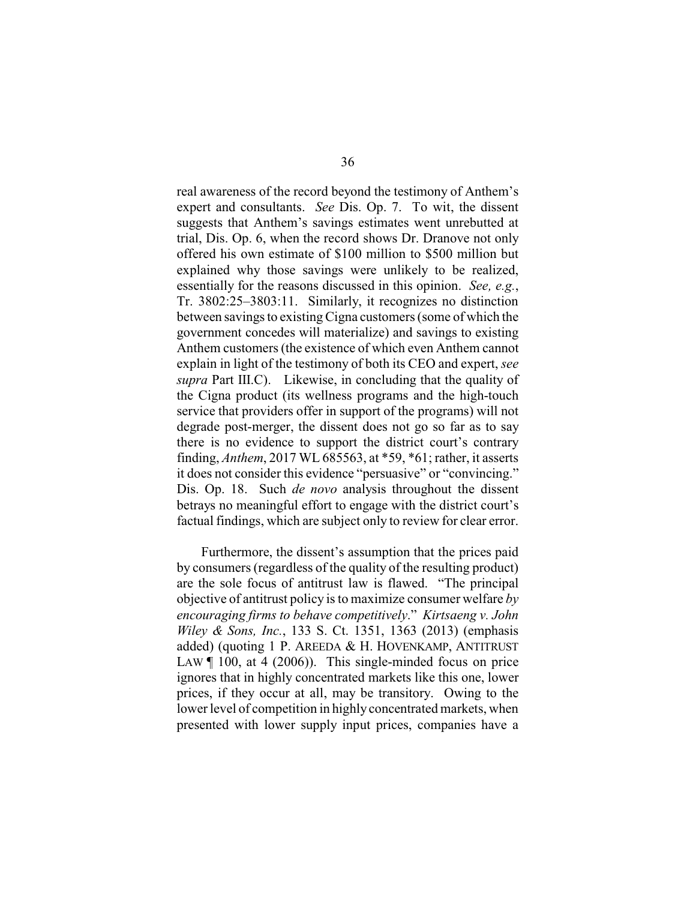real awareness of the record beyond the testimony of Anthem's expert and consultants. *See* Dis. Op. 7. To wit, the dissent suggests that Anthem's savings estimates went unrebutted at trial, Dis. Op. 6, when the record shows Dr. Dranove not only offered his own estimate of \$100 million to \$500 million but explained why those savings were unlikely to be realized, essentially for the reasons discussed in this opinion. *See, e.g.*, Tr. 3802:25–3803:11. Similarly, it recognizes no distinction between savings to existing Cigna customers (some of which the government concedes will materialize) and savings to existing Anthem customers (the existence of which even Anthem cannot explain in light of the testimony of both its CEO and expert, *see supra* Part III.C). Likewise, in concluding that the quality of the Cigna product (its wellness programs and the high-touch service that providers offer in support of the programs) will not degrade post-merger, the dissent does not go so far as to say there is no evidence to support the district court's contrary finding, *Anthem*, 2017 WL 685563, at \*59, \*61; rather, it asserts it does not consider this evidence "persuasive" or "convincing." Dis. Op. 18. Such *de novo* analysis throughout the dissent betrays no meaningful effort to engage with the district court's factual findings, which are subject only to review for clear error.

Furthermore, the dissent's assumption that the prices paid by consumers (regardless of the quality of the resulting product) are the sole focus of antitrust law is flawed. "The principal objective of antitrust policy is to maximize consumer welfare *by encouraging firms to behave competitively*." *Kirtsaeng v. John Wiley & Sons, Inc.*, 133 S. Ct. 1351, 1363 (2013) (emphasis added) (quoting 1 P. AREEDA & H. HOVENKAMP, ANTITRUST LAW  $\llbracket$  100, at 4 (2006)). This single-minded focus on price ignores that in highly concentrated markets like this one, lower prices, if they occur at all, may be transitory. Owing to the lower level of competition in highly concentrated markets, when presented with lower supply input prices, companies have a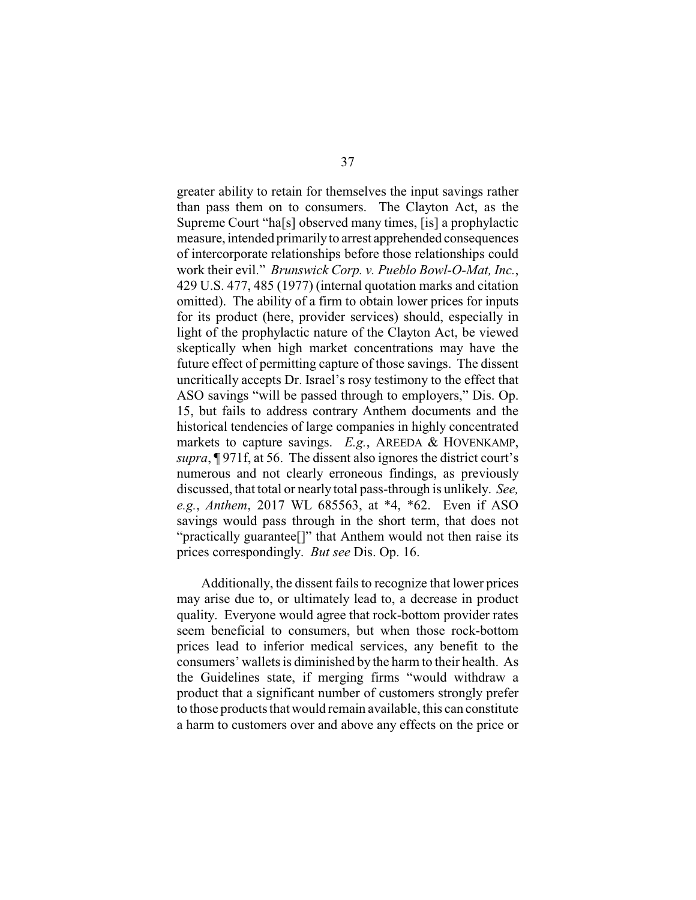greater ability to retain for themselves the input savings rather than pass them on to consumers. The Clayton Act, as the Supreme Court "ha[s] observed many times, [is] a prophylactic measure, intended primarilyto arrest apprehended consequences of intercorporate relationships before those relationships could work their evil." *Brunswick Corp. v. Pueblo Bowl-O-Mat, Inc.*, 429 U.S. 477, 485 (1977) (internal quotation marks and citation omitted). The ability of a firm to obtain lower prices for inputs for its product (here, provider services) should, especially in light of the prophylactic nature of the Clayton Act, be viewed skeptically when high market concentrations may have the future effect of permitting capture of those savings. The dissent uncritically accepts Dr. Israel's rosy testimony to the effect that ASO savings "will be passed through to employers," Dis. Op. 15, but fails to address contrary Anthem documents and the historical tendencies of large companies in highly concentrated markets to capture savings. *E.g.*, AREEDA & HOVENKAMP, *supra*, ¶ 971f, at 56. The dissent also ignores the district court's numerous and not clearly erroneous findings, as previously discussed, that total or nearly total pass-through is unlikely. *See, e.g.*, *Anthem*, 2017 WL 685563, at \*4, \*62. Even if ASO savings would pass through in the short term, that does not "practically guarantee[]" that Anthem would not then raise its prices correspondingly. *But see* Dis. Op. 16.

Additionally, the dissent fails to recognize that lower prices may arise due to, or ultimately lead to, a decrease in product quality. Everyone would agree that rock-bottom provider rates seem beneficial to consumers, but when those rock-bottom prices lead to inferior medical services, any benefit to the consumers' wallets is diminished by the harm to their health. As the Guidelines state, if merging firms "would withdraw a product that a significant number of customers strongly prefer to those products that would remain available, this can constitute a harm to customers over and above any effects on the price or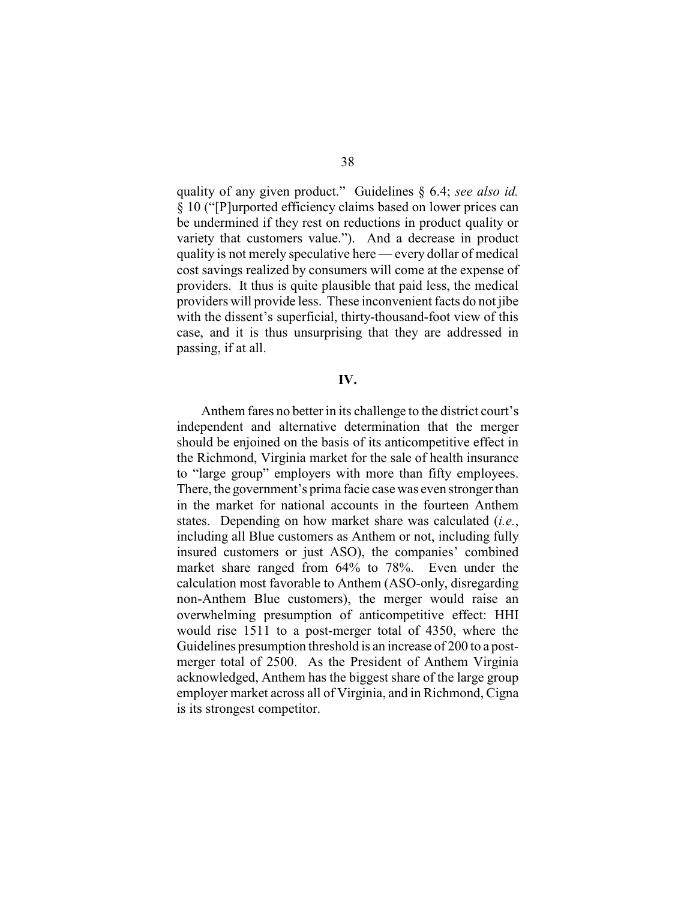quality of any given product." Guidelines § 6.4; *see also id.* § 10 ("[P]urported efficiency claims based on lower prices can be undermined if they rest on reductions in product quality or variety that customers value."). And a decrease in product quality is not merely speculative here — every dollar of medical cost savings realized by consumers will come at the expense of providers. It thus is quite plausible that paid less, the medical providers will provide less. These inconvenient facts do not jibe with the dissent's superficial, thirty-thousand-foot view of this case, and it is thus unsurprising that they are addressed in passing, if at all.

### **IV.**

Anthem fares no better in its challenge to the district court's independent and alternative determination that the merger should be enjoined on the basis of its anticompetitive effect in the Richmond, Virginia market for the sale of health insurance to "large group" employers with more than fifty employees. There, the government's prima facie case was even stronger than in the market for national accounts in the fourteen Anthem states. Depending on how market share was calculated (*i.e.*, including all Blue customers as Anthem or not, including fully insured customers or just ASO), the companies' combined market share ranged from 64% to 78%. Even under the calculation most favorable to Anthem (ASO-only, disregarding non-Anthem Blue customers), the merger would raise an overwhelming presumption of anticompetitive effect: HHI would rise 1511 to a post-merger total of 4350, where the Guidelines presumption threshold is an increase of 200 to a postmerger total of 2500. As the President of Anthem Virginia acknowledged, Anthem has the biggest share of the large group employer market across all of Virginia, and in Richmond, Cigna is its strongest competitor.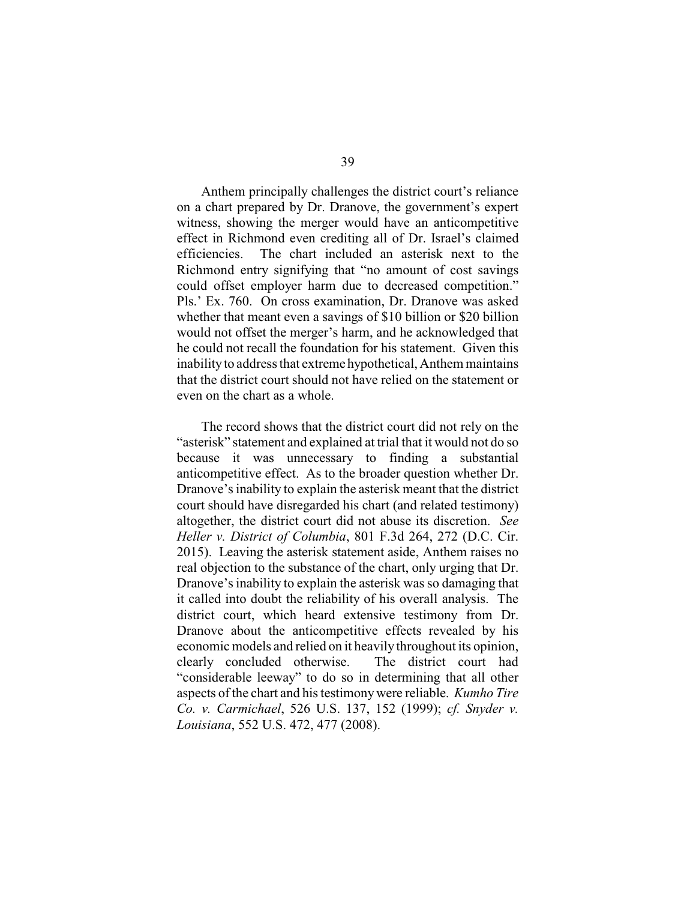Anthem principally challenges the district court's reliance on a chart prepared by Dr. Dranove, the government's expert witness, showing the merger would have an anticompetitive effect in Richmond even crediting all of Dr. Israel's claimed efficiencies. The chart included an asterisk next to the Richmond entry signifying that "no amount of cost savings could offset employer harm due to decreased competition." Pls.' Ex. 760. On cross examination, Dr. Dranove was asked whether that meant even a savings of \$10 billion or \$20 billion would not offset the merger's harm, and he acknowledged that he could not recall the foundation for his statement. Given this inabilityto address that extreme hypothetical, Anthem maintains that the district court should not have relied on the statement or even on the chart as a whole.

The record shows that the district court did not rely on the "asterisk" statement and explained at trial that it would not do so because it was unnecessary to finding a substantial anticompetitive effect. As to the broader question whether Dr. Dranove's inability to explain the asterisk meant that the district court should have disregarded his chart (and related testimony) altogether, the district court did not abuse its discretion. *See Heller v. District of Columbia*, 801 F.3d 264, 272 (D.C. Cir. 2015). Leaving the asterisk statement aside, Anthem raises no real objection to the substance of the chart, only urging that Dr. Dranove's inability to explain the asterisk was so damaging that it called into doubt the reliability of his overall analysis. The district court, which heard extensive testimony from Dr. Dranove about the anticompetitive effects revealed by his economic models and relied on it heavily throughout its opinion, clearly concluded otherwise. The district court had "considerable leeway" to do so in determining that all other aspects of the chart and his testimonywere reliable. *Kumho Tire Co. v. Carmichael*, 526 U.S. 137, 152 (1999); *cf. Snyder v. Louisiana*, 552 U.S. 472, 477 (2008).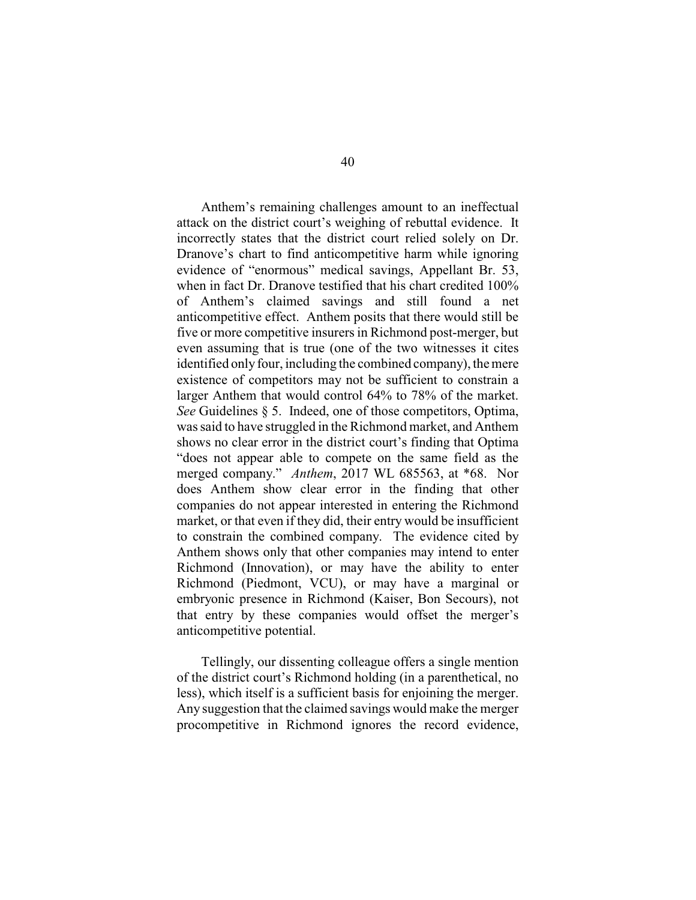Anthem's remaining challenges amount to an ineffectual attack on the district court's weighing of rebuttal evidence. It incorrectly states that the district court relied solely on Dr. Dranove's chart to find anticompetitive harm while ignoring evidence of "enormous" medical savings, Appellant Br. 53, when in fact Dr. Dranove testified that his chart credited 100% of Anthem's claimed savings and still found a net anticompetitive effect. Anthem posits that there would still be five or more competitive insurers in Richmond post-merger, but even assuming that is true (one of the two witnesses it cites identified only four, including the combined company), the mere existence of competitors may not be sufficient to constrain a larger Anthem that would control 64% to 78% of the market. *See* Guidelines § 5. Indeed, one of those competitors, Optima, was said to have struggled in the Richmond market, and Anthem shows no clear error in the district court's finding that Optima "does not appear able to compete on the same field as the merged company." *Anthem*, 2017 WL 685563, at \*68. Nor does Anthem show clear error in the finding that other companies do not appear interested in entering the Richmond market, or that even if they did, their entry would be insufficient to constrain the combined company. The evidence cited by Anthem shows only that other companies may intend to enter Richmond (Innovation), or may have the ability to enter Richmond (Piedmont, VCU), or may have a marginal or embryonic presence in Richmond (Kaiser, Bon Secours), not that entry by these companies would offset the merger's anticompetitive potential.

Tellingly, our dissenting colleague offers a single mention of the district court's Richmond holding (in a parenthetical, no less), which itself is a sufficient basis for enjoining the merger. Any suggestion that the claimed savings would make the merger procompetitive in Richmond ignores the record evidence,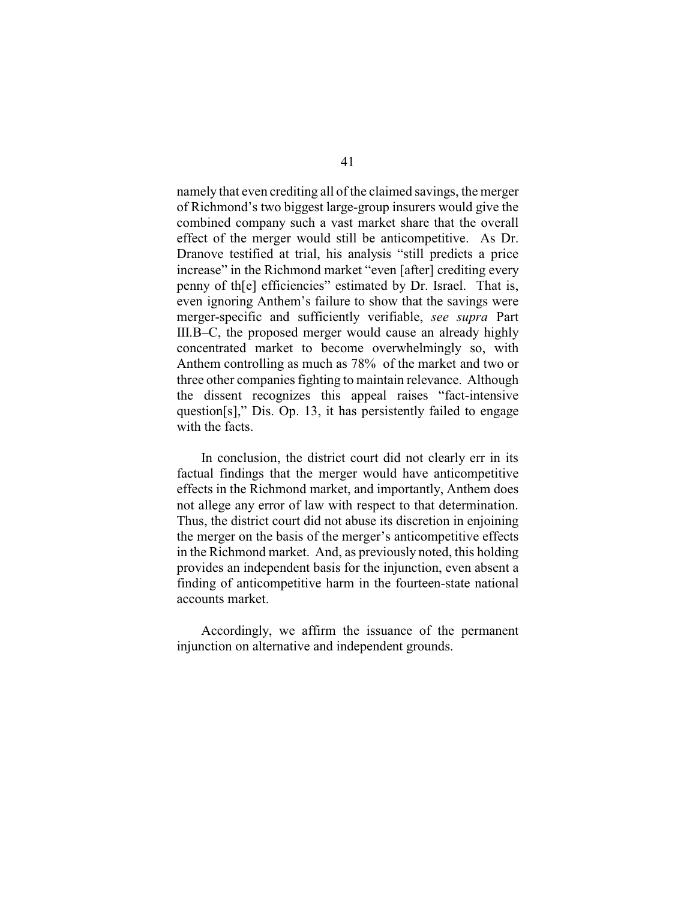namely that even crediting all of the claimed savings, the merger of Richmond's two biggest large-group insurers would give the combined company such a vast market share that the overall effect of the merger would still be anticompetitive. As Dr. Dranove testified at trial, his analysis "still predicts a price increase" in the Richmond market "even [after] crediting every penny of th[e] efficiencies" estimated by Dr. Israel. That is, even ignoring Anthem's failure to show that the savings were merger-specific and sufficiently verifiable, *see supra* Part III.B–C, the proposed merger would cause an already highly concentrated market to become overwhelmingly so, with Anthem controlling as much as 78% of the market and two or three other companies fighting to maintain relevance. Although the dissent recognizes this appeal raises "fact-intensive question[s]," Dis. Op. 13, it has persistently failed to engage with the facts.

In conclusion, the district court did not clearly err in its factual findings that the merger would have anticompetitive effects in the Richmond market, and importantly, Anthem does not allege any error of law with respect to that determination. Thus, the district court did not abuse its discretion in enjoining the merger on the basis of the merger's anticompetitive effects in the Richmond market. And, as previously noted, this holding provides an independent basis for the injunction, even absent a finding of anticompetitive harm in the fourteen-state national accounts market.

Accordingly, we affirm the issuance of the permanent injunction on alternative and independent grounds.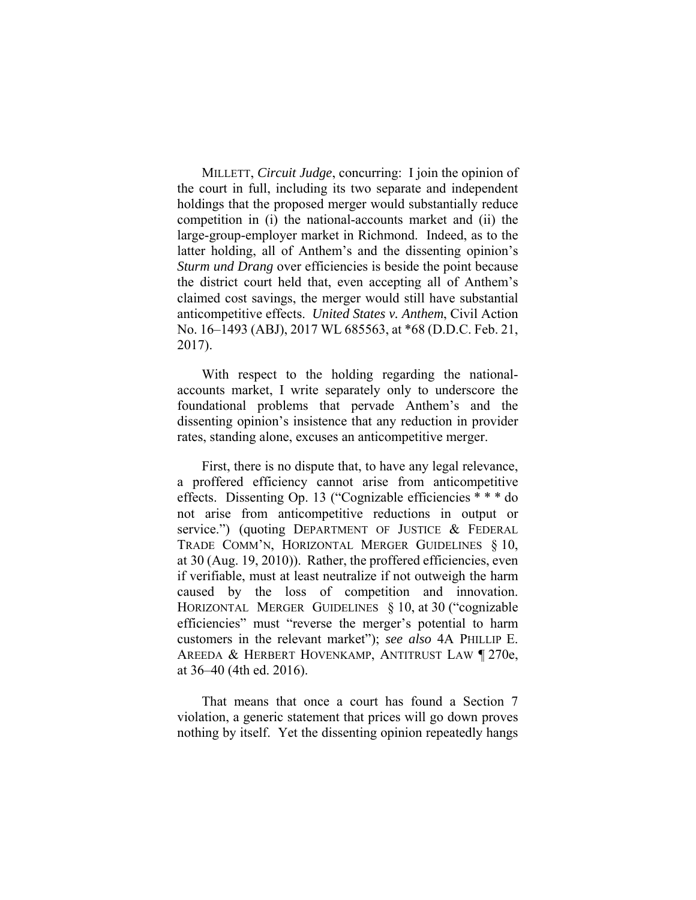MILLETT, *Circuit Judge*, concurring: I join the opinion of the court in full, including its two separate and independent holdings that the proposed merger would substantially reduce competition in (i) the national-accounts market and (ii) the large-group-employer market in Richmond. Indeed, as to the latter holding, all of Anthem's and the dissenting opinion's *Sturm und Drang* over efficiencies is beside the point because the district court held that, even accepting all of Anthem's claimed cost savings, the merger would still have substantial anticompetitive effects. *United States v. Anthem*, Civil Action No. 16–1493 (ABJ), 2017 WL 685563, at \*68 (D.D.C. Feb. 21, 2017).

With respect to the holding regarding the nationalaccounts market, I write separately only to underscore the foundational problems that pervade Anthem's and the dissenting opinion's insistence that any reduction in provider rates, standing alone, excuses an anticompetitive merger.

First, there is no dispute that, to have any legal relevance, a proffered efficiency cannot arise from anticompetitive effects. Dissenting Op. 13 ("Cognizable efficiencies \* \* \* do not arise from anticompetitive reductions in output or service.") (quoting DEPARTMENT OF JUSTICE & FEDERAL TRADE COMM'N, HORIZONTAL MERGER GUIDELINES § 10, at 30 (Aug. 19, 2010)). Rather, the proffered efficiencies, even if verifiable, must at least neutralize if not outweigh the harm caused by the loss of competition and innovation. HORIZONTAL MERGER GUIDELINES § 10, at 30 ("cognizable efficiencies" must "reverse the merger's potential to harm customers in the relevant market"); *see also* 4A PHILLIP E. AREEDA & HERBERT HOVENKAMP, ANTITRUST LAW ¶ 270e, at 36–40 (4th ed. 2016).

 That means that once a court has found a Section 7 violation, a generic statement that prices will go down proves nothing by itself. Yet the dissenting opinion repeatedly hangs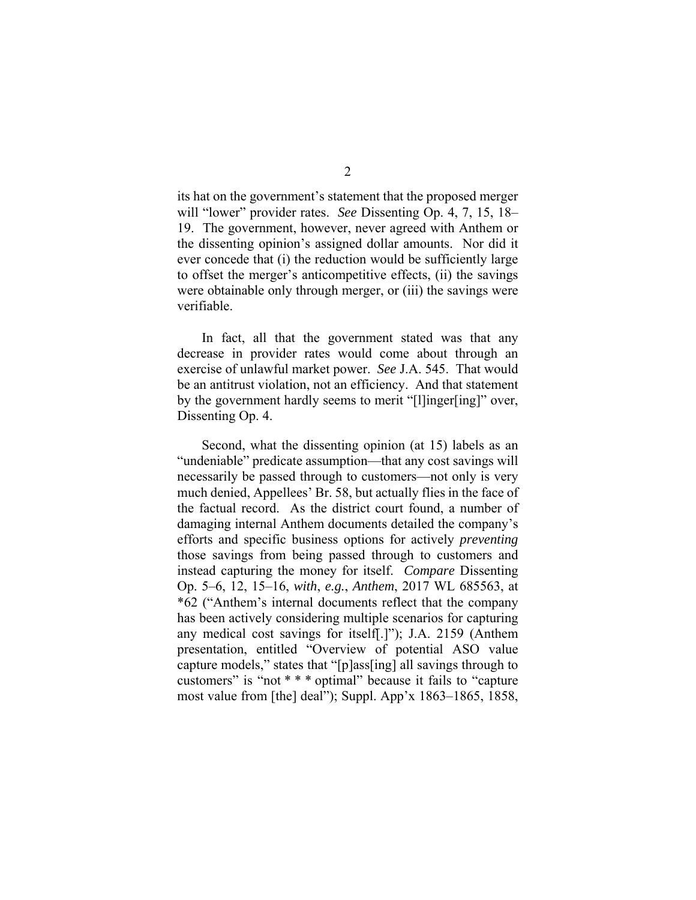its hat on the government's statement that the proposed merger will "lower" provider rates. *See* Dissenting Op. 4, 7, 15, 18– 19. The government, however, never agreed with Anthem or the dissenting opinion's assigned dollar amounts. Nor did it ever concede that (i) the reduction would be sufficiently large to offset the merger's anticompetitive effects, (ii) the savings were obtainable only through merger, or (iii) the savings were verifiable.

In fact, all that the government stated was that any decrease in provider rates would come about through an exercise of unlawful market power. *See* J.A. 545. That would be an antitrust violation, not an efficiency. And that statement by the government hardly seems to merit "[l]inger[ing]" over, Dissenting Op. 4.

Second, what the dissenting opinion (at 15) labels as an "undeniable" predicate assumption—that any cost savings will necessarily be passed through to customers—not only is very much denied, Appellees' Br. 58, but actually flies in the face of the factual record. As the district court found, a number of damaging internal Anthem documents detailed the company's efforts and specific business options for actively *preventing* those savings from being passed through to customers and instead capturing the money for itself. *Compare* Dissenting Op. 5–6, 12, 15–16, *with*, *e.g.*, *Anthem*, 2017 WL 685563, at \*62 ("Anthem's internal documents reflect that the company has been actively considering multiple scenarios for capturing any medical cost savings for itself[.]"); J.A. 2159 (Anthem presentation, entitled "Overview of potential ASO value capture models," states that "[p]ass[ing] all savings through to customers" is "not \* \* \* optimal" because it fails to "capture most value from [the] deal"); Suppl. App'x 1863–1865, 1858,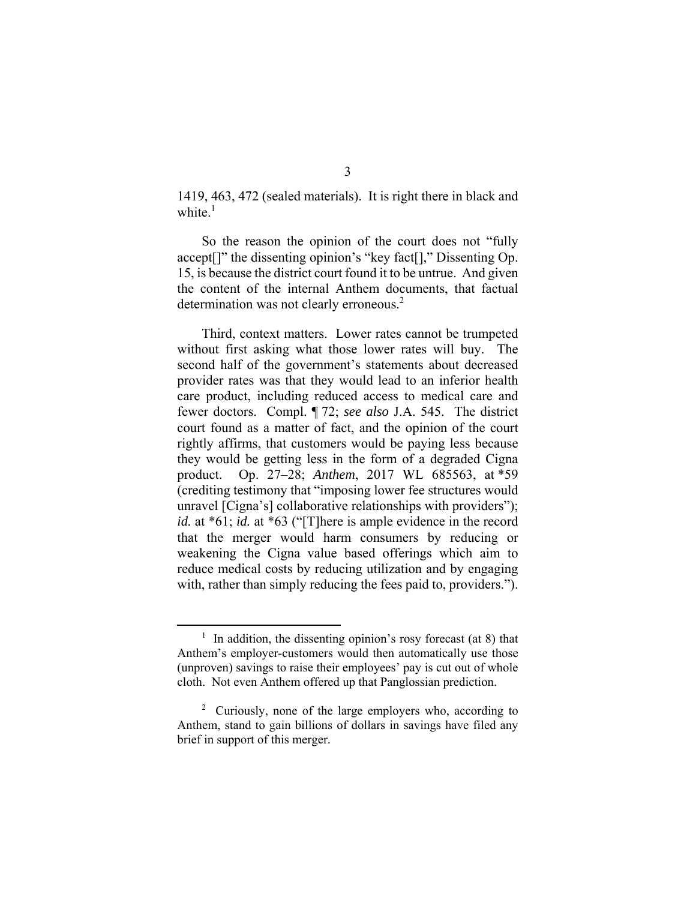1419, 463, 472 (sealed materials). It is right there in black and white. $<sup>1</sup>$ </sup>

So the reason the opinion of the court does not "fully accept[]" the dissenting opinion's "key fact[]," Dissenting Op. 15, is because the district court found it to be untrue. And given the content of the internal Anthem documents, that factual determination was not clearly erroneous.<sup>2</sup>

Third, context matters. Lower rates cannot be trumpeted without first asking what those lower rates will buy. The second half of the government's statements about decreased provider rates was that they would lead to an inferior health care product, including reduced access to medical care and fewer doctors. Compl. ¶ 72; *see also* J.A. 545. The district court found as a matter of fact, and the opinion of the court rightly affirms, that customers would be paying less because they would be getting less in the form of a degraded Cigna product. Op. 27–28; *Anthem*, 2017 WL 685563, at \*59 (crediting testimony that "imposing lower fee structures would unravel [Cigna's] collaborative relationships with providers"); *id.* at \*61; *id.* at \*63 ("[T]here is ample evidence in the record that the merger would harm consumers by reducing or weakening the Cigna value based offerings which aim to reduce medical costs by reducing utilization and by engaging with, rather than simply reducing the fees paid to, providers.").

 <sup>1</sup>  $1$  In addition, the dissenting opinion's rosy forecast (at 8) that Anthem's employer-customers would then automatically use those (unproven) savings to raise their employees' pay is cut out of whole cloth. Not even Anthem offered up that Panglossian prediction.

<sup>&</sup>lt;sup>2</sup> Curiously, none of the large employers who, according to Anthem, stand to gain billions of dollars in savings have filed any brief in support of this merger.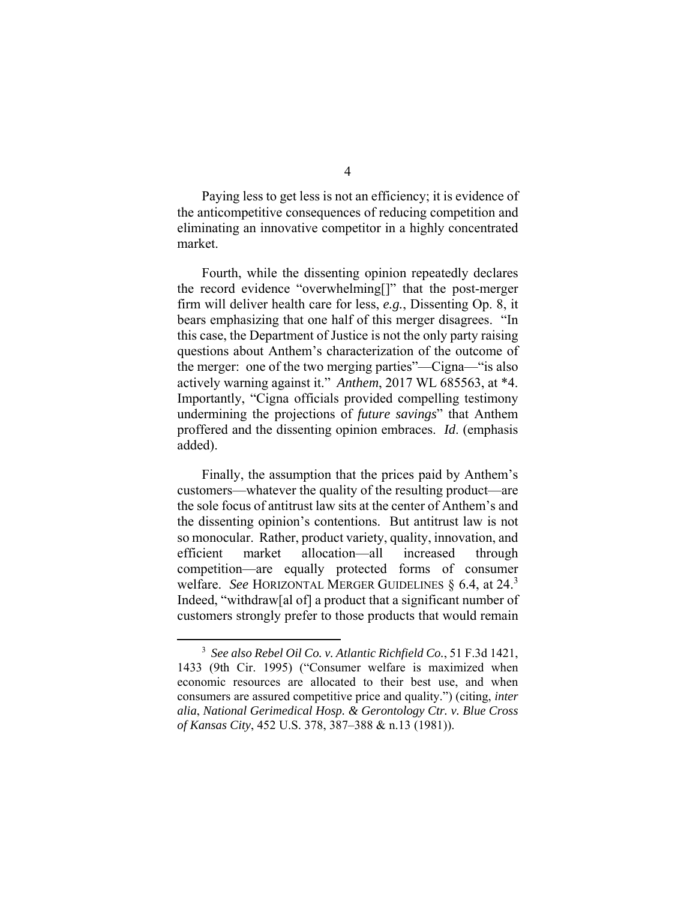Paying less to get less is not an efficiency; it is evidence of the anticompetitive consequences of reducing competition and eliminating an innovative competitor in a highly concentrated market.

Fourth, while the dissenting opinion repeatedly declares the record evidence "overwhelming[]" that the post-merger firm will deliver health care for less, *e.g.*, Dissenting Op. 8, it bears emphasizing that one half of this merger disagrees. "In this case, the Department of Justice is not the only party raising questions about Anthem's characterization of the outcome of the merger: one of the two merging parties"—Cigna—"is also actively warning against it." *Anthem*, 2017 WL 685563, at \*4. Importantly, "Cigna officials provided compelling testimony undermining the projections of *future savings*" that Anthem proffered and the dissenting opinion embraces. *Id*. (emphasis added).

Finally, the assumption that the prices paid by Anthem's customers—whatever the quality of the resulting product—are the sole focus of antitrust law sits at the center of Anthem's and the dissenting opinion's contentions. But antitrust law is not so monocular. Rather, product variety, quality, innovation, and efficient market allocation—all increased through competition—are equally protected forms of consumer welfare. *See* HORIZONTAL MERGER GUIDELINES § 6.4, at 24.<sup>3</sup> Indeed, "withdraw[al of] a product that a significant number of customers strongly prefer to those products that would remain

 <sup>3</sup> *See also Rebel Oil Co. v. Atlantic Richfield Co.*, 51 F.3d 1421, 1433 (9th Cir. 1995) ("Consumer welfare is maximized when economic resources are allocated to their best use, and when consumers are assured competitive price and quality.") (citing, *inter alia*, *National Gerimedical Hosp. & Gerontology Ctr. v. Blue Cross of Kansas City*, 452 U.S. 378, 387–388 & n.13 (1981)).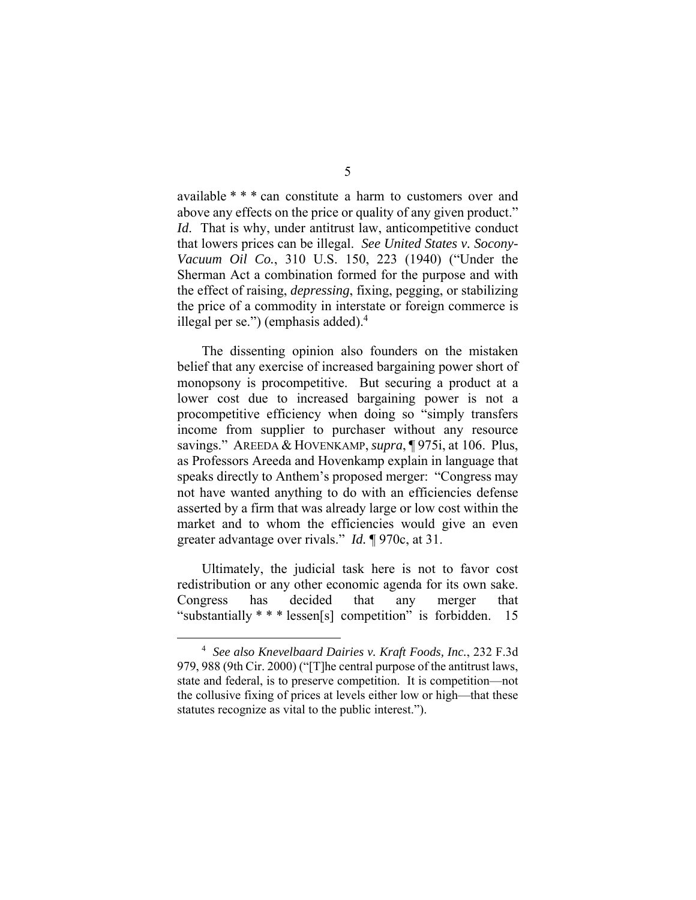available \* \* \* can constitute a harm to customers over and above any effects on the price or quality of any given product." *Id*. That is why, under antitrust law, anticompetitive conduct that lowers prices can be illegal. *See United States v. Socony-Vacuum Oil Co.*, 310 U.S. 150, 223 (1940) ("Under the Sherman Act a combination formed for the purpose and with the effect of raising, *depressing*, fixing, pegging, or stabilizing the price of a commodity in interstate or foreign commerce is illegal per se.") (emphasis added). $4$ 

The dissenting opinion also founders on the mistaken belief that any exercise of increased bargaining power short of monopsony is procompetitive. But securing a product at a lower cost due to increased bargaining power is not a procompetitive efficiency when doing so "simply transfers income from supplier to purchaser without any resource savings." AREEDA & HOVENKAMP, *supra*, ¶ 975i, at 106. Plus, as Professors Areeda and Hovenkamp explain in language that speaks directly to Anthem's proposed merger: "Congress may not have wanted anything to do with an efficiencies defense asserted by a firm that was already large or low cost within the market and to whom the efficiencies would give an even greater advantage over rivals." *Id.* ¶ 970c, at 31.

Ultimately, the judicial task here is not to favor cost redistribution or any other economic agenda for its own sake. Congress has decided that any merger that "substantially \* \* \* lessen[s] competition" is forbidden. 15

 $\frac{1}{4}$  *See also Knevelbaard Dairies v. Kraft Foods, Inc.*, 232 F.3d 979, 988 (9th Cir. 2000) ("[T]he central purpose of the antitrust laws, state and federal, is to preserve competition. It is competition—not the collusive fixing of prices at levels either low or high—that these statutes recognize as vital to the public interest.").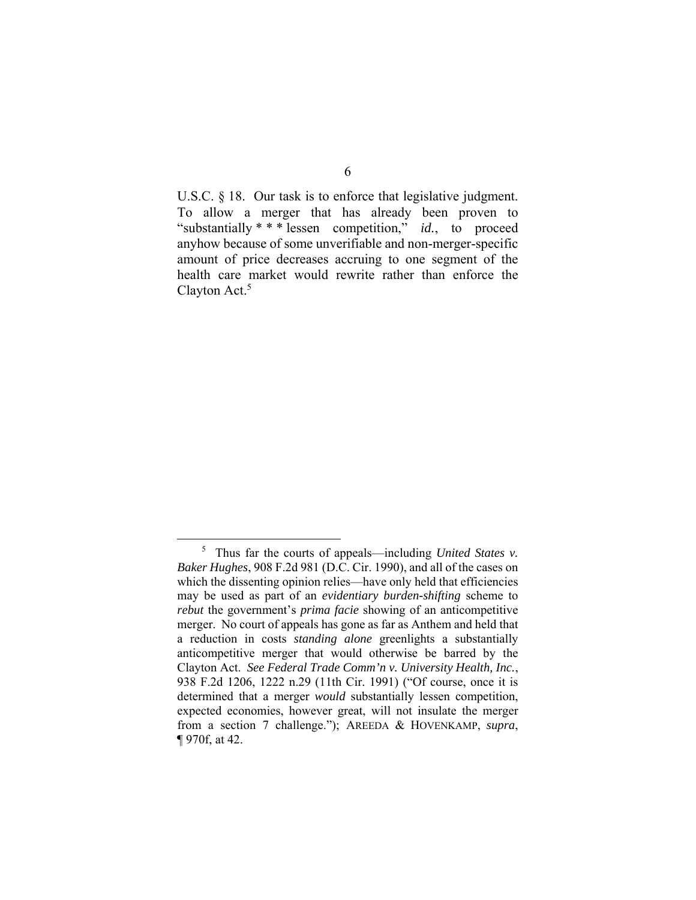U.S.C. § 18. Our task is to enforce that legislative judgment. To allow a merger that has already been proven to "substantially \* \* \* lessen competition," *id.*, to proceed anyhow because of some unverifiable and non-merger-specific amount of price decreases accruing to one segment of the health care market would rewrite rather than enforce the Clayton Act.<sup>5</sup>

 $rac{1}{5}$  Thus far the courts of appeals—including *United States v. Baker Hughes*, 908 F.2d 981 (D.C. Cir. 1990), and all of the cases on which the dissenting opinion relies—have only held that efficiencies may be used as part of an *evidentiary burden-shifting* scheme to *rebut* the government's *prima facie* showing of an anticompetitive merger. No court of appeals has gone as far as Anthem and held that a reduction in costs *standing alone* greenlights a substantially anticompetitive merger that would otherwise be barred by the Clayton Act. *See Federal Trade Comm'n v. University Health, Inc.*, 938 F.2d 1206, 1222 n.29 (11th Cir. 1991) ("Of course, once it is determined that a merger *would* substantially lessen competition, expected economies, however great, will not insulate the merger from a section 7 challenge."); AREEDA & HOVENKAMP, *supra*, ¶ 970f, at 42.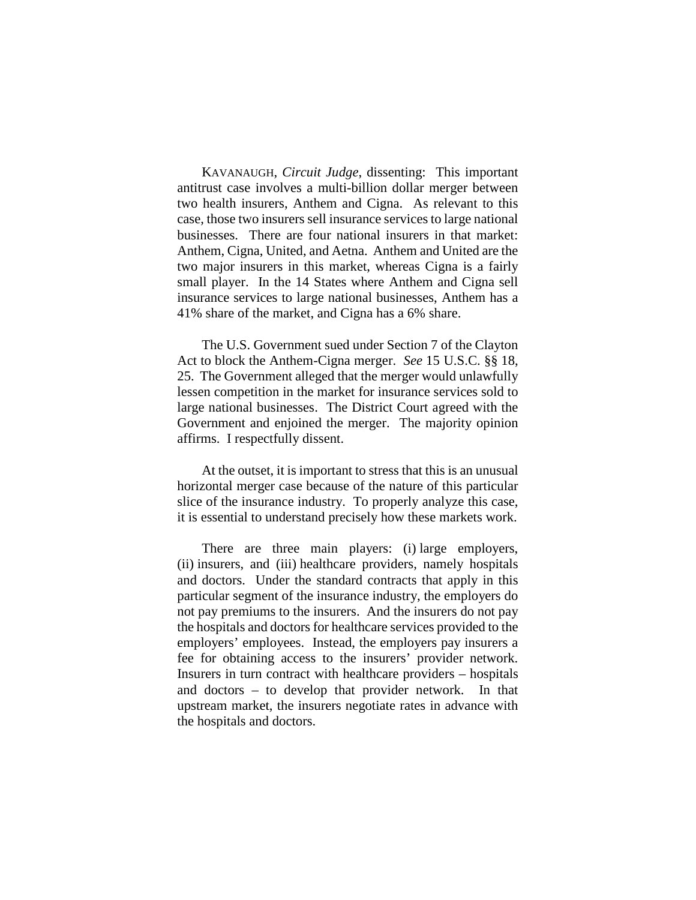KAVANAUGH, *Circuit Judge*, dissenting: This important antitrust case involves a multi-billion dollar merger between two health insurers, Anthem and Cigna. As relevant to this case, those two insurers sell insurance services to large national businesses. There are four national insurers in that market: Anthem, Cigna, United, and Aetna. Anthem and United are the two major insurers in this market, whereas Cigna is a fairly small player. In the 14 States where Anthem and Cigna sell insurance services to large national businesses, Anthem has a 41% share of the market, and Cigna has a 6% share.

The U.S. Government sued under Section 7 of the Clayton Act to block the Anthem-Cigna merger. *See* 15 U.S.C. §§ 18, 25. The Government alleged that the merger would unlawfully lessen competition in the market for insurance services sold to large national businesses. The District Court agreed with the Government and enjoined the merger. The majority opinion affirms. I respectfully dissent.

At the outset, it is important to stress that this is an unusual horizontal merger case because of the nature of this particular slice of the insurance industry. To properly analyze this case, it is essential to understand precisely how these markets work.

There are three main players: (i) large employers, (ii) insurers, and (iii) healthcare providers, namely hospitals and doctors. Under the standard contracts that apply in this particular segment of the insurance industry, the employers do not pay premiums to the insurers. And the insurers do not pay the hospitals and doctors for healthcare services provided to the employers' employees. Instead, the employers pay insurers a fee for obtaining access to the insurers' provider network. Insurers in turn contract with healthcare providers – hospitals and doctors – to develop that provider network. In that upstream market, the insurers negotiate rates in advance with the hospitals and doctors.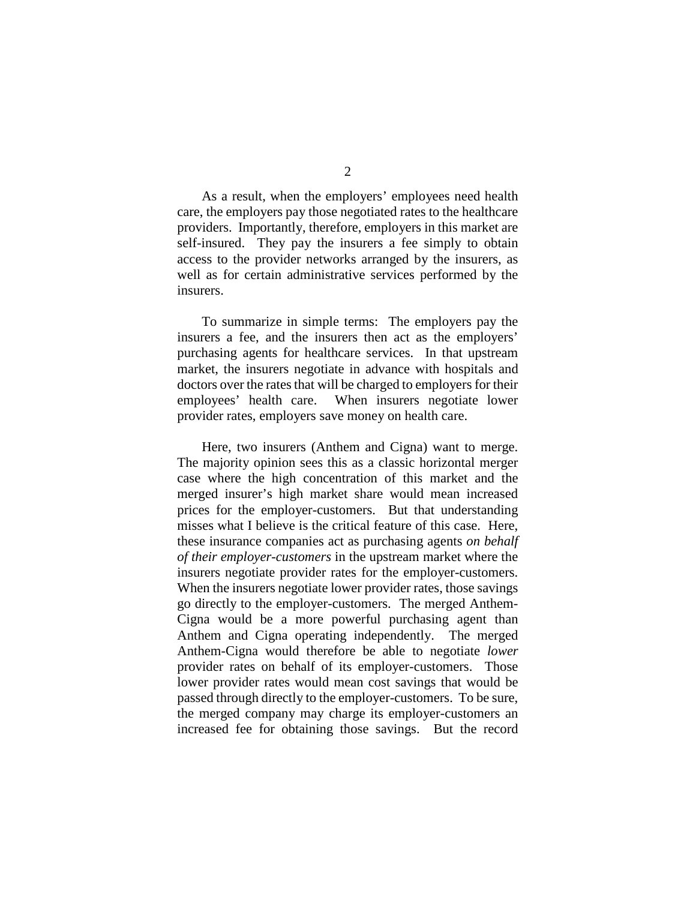As a result, when the employers' employees need health care, the employers pay those negotiated rates to the healthcare providers. Importantly, therefore, employers in this market are self-insured. They pay the insurers a fee simply to obtain access to the provider networks arranged by the insurers, as well as for certain administrative services performed by the insurers.

To summarize in simple terms: The employers pay the insurers a fee, and the insurers then act as the employers' purchasing agents for healthcare services. In that upstream market, the insurers negotiate in advance with hospitals and doctors over the rates that will be charged to employers for their employees' health care. When insurers negotiate lower provider rates, employers save money on health care.

Here, two insurers (Anthem and Cigna) want to merge. The majority opinion sees this as a classic horizontal merger case where the high concentration of this market and the merged insurer's high market share would mean increased prices for the employer-customers. But that understanding misses what I believe is the critical feature of this case. Here, these insurance companies act as purchasing agents *on behalf of their employer-customers* in the upstream market where the insurers negotiate provider rates for the employer-customers. When the insurers negotiate lower provider rates, those savings go directly to the employer-customers. The merged Anthem-Cigna would be a more powerful purchasing agent than Anthem and Cigna operating independently. The merged Anthem-Cigna would therefore be able to negotiate *lower* provider rates on behalf of its employer-customers. Those lower provider rates would mean cost savings that would be passed through directly to the employer-customers. To be sure, the merged company may charge its employer-customers an increased fee for obtaining those savings. But the record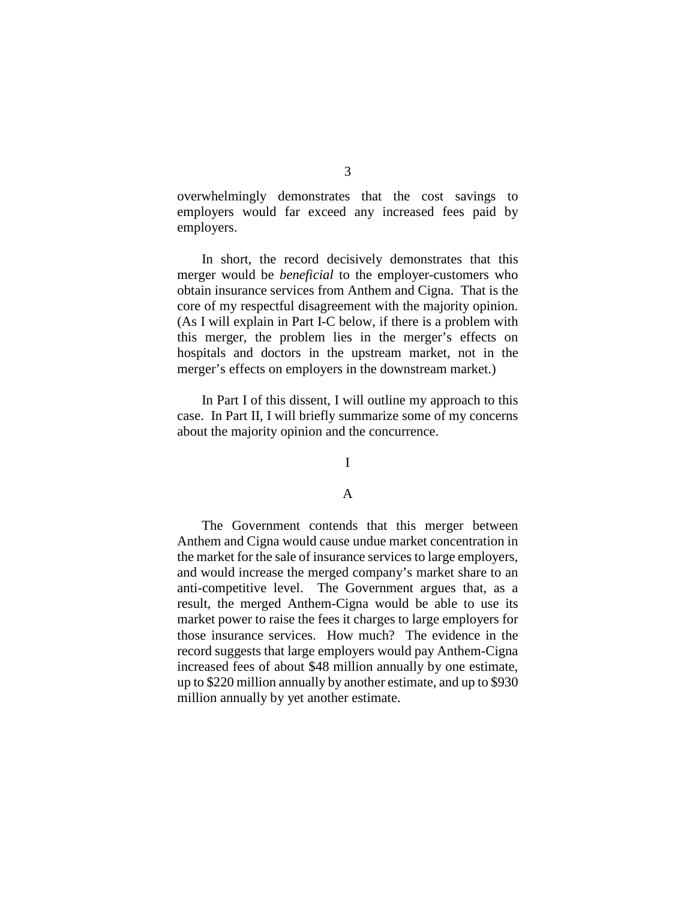overwhelmingly demonstrates that the cost savings to employers would far exceed any increased fees paid by employers.

In short, the record decisively demonstrates that this merger would be *beneficial* to the employer-customers who obtain insurance services from Anthem and Cigna. That is the core of my respectful disagreement with the majority opinion. (As I will explain in Part I-C below, if there is a problem with this merger, the problem lies in the merger's effects on hospitals and doctors in the upstream market, not in the merger's effects on employers in the downstream market.)

In Part I of this dissent, I will outline my approach to this case. In Part II, I will briefly summarize some of my concerns about the majority opinion and the concurrence.

## I

## A

The Government contends that this merger between Anthem and Cigna would cause undue market concentration in the market for the sale of insurance services to large employers, and would increase the merged company's market share to an anti-competitive level. The Government argues that, as a result, the merged Anthem-Cigna would be able to use its market power to raise the fees it charges to large employers for those insurance services. How much? The evidence in the record suggests that large employers would pay Anthem-Cigna increased fees of about \$48 million annually by one estimate, up to \$220 million annually by another estimate, and up to \$930 million annually by yet another estimate.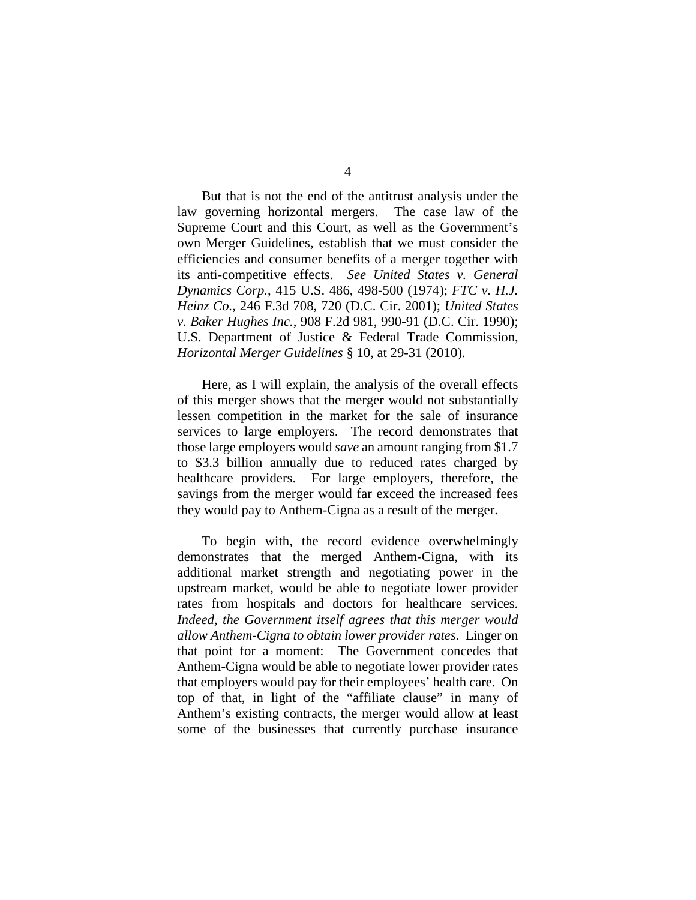But that is not the end of the antitrust analysis under the law governing horizontal mergers. The case law of the Supreme Court and this Court, as well as the Government's own Merger Guidelines, establish that we must consider the efficiencies and consumer benefits of a merger together with its anti-competitive effects. *See United States v. General Dynamics Corp.*, 415 U.S. 486, 498-500 (1974); *FTC v. H.J. Heinz Co.*, 246 F.3d 708, 720 (D.C. Cir. 2001); *United States v. Baker Hughes Inc.*, 908 F.2d 981, 990-91 (D.C. Cir. 1990); U.S. Department of Justice & Federal Trade Commission, *Horizontal Merger Guidelines* § 10, at 29-31 (2010).

Here, as I will explain, the analysis of the overall effects of this merger shows that the merger would not substantially lessen competition in the market for the sale of insurance services to large employers. The record demonstrates that those large employers would *save* an amount ranging from \$1.7 to \$3.3 billion annually due to reduced rates charged by healthcare providers. For large employers, therefore, the savings from the merger would far exceed the increased fees they would pay to Anthem-Cigna as a result of the merger.

To begin with, the record evidence overwhelmingly demonstrates that the merged Anthem-Cigna, with its additional market strength and negotiating power in the upstream market, would be able to negotiate lower provider rates from hospitals and doctors for healthcare services. *Indeed, the Government itself agrees that this merger would allow Anthem-Cigna to obtain lower provider rates*. Linger on that point for a moment: The Government concedes that Anthem-Cigna would be able to negotiate lower provider rates that employers would pay for their employees' health care. On top of that, in light of the "affiliate clause" in many of Anthem's existing contracts, the merger would allow at least some of the businesses that currently purchase insurance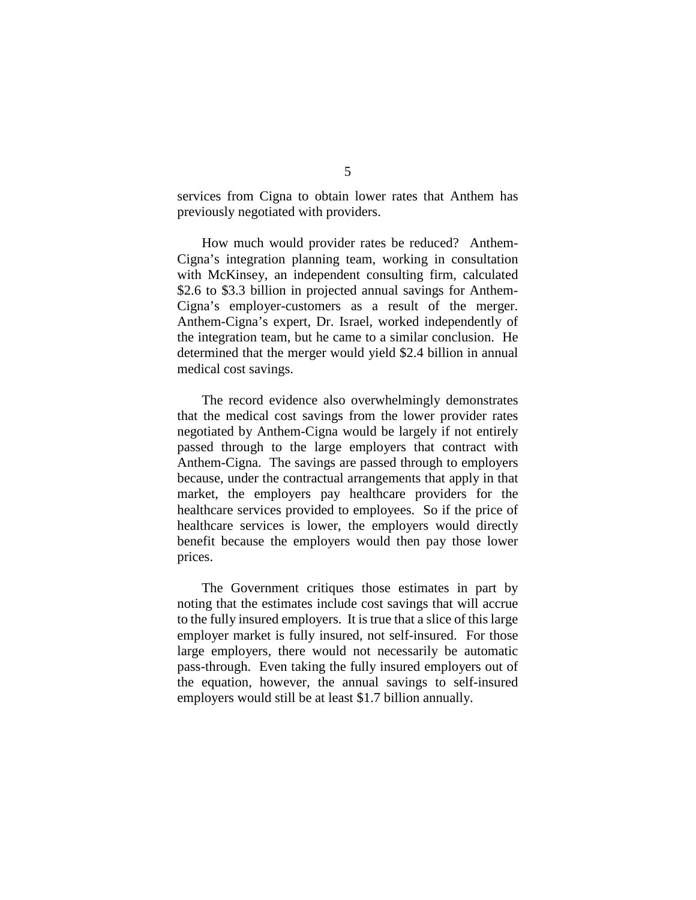services from Cigna to obtain lower rates that Anthem has previously negotiated with providers.

How much would provider rates be reduced? Anthem-Cigna's integration planning team, working in consultation with McKinsey, an independent consulting firm, calculated \$2.6 to \$3.3 billion in projected annual savings for Anthem-Cigna's employer-customers as a result of the merger. Anthem-Cigna's expert, Dr. Israel, worked independently of the integration team, but he came to a similar conclusion. He determined that the merger would yield \$2.4 billion in annual medical cost savings.

The record evidence also overwhelmingly demonstrates that the medical cost savings from the lower provider rates negotiated by Anthem-Cigna would be largely if not entirely passed through to the large employers that contract with Anthem-Cigna. The savings are passed through to employers because, under the contractual arrangements that apply in that market, the employers pay healthcare providers for the healthcare services provided to employees. So if the price of healthcare services is lower, the employers would directly benefit because the employers would then pay those lower prices.

The Government critiques those estimates in part by noting that the estimates include cost savings that will accrue to the fully insured employers. It is true that a slice of this large employer market is fully insured, not self-insured. For those large employers, there would not necessarily be automatic pass-through. Even taking the fully insured employers out of the equation, however, the annual savings to self-insured employers would still be at least \$1.7 billion annually.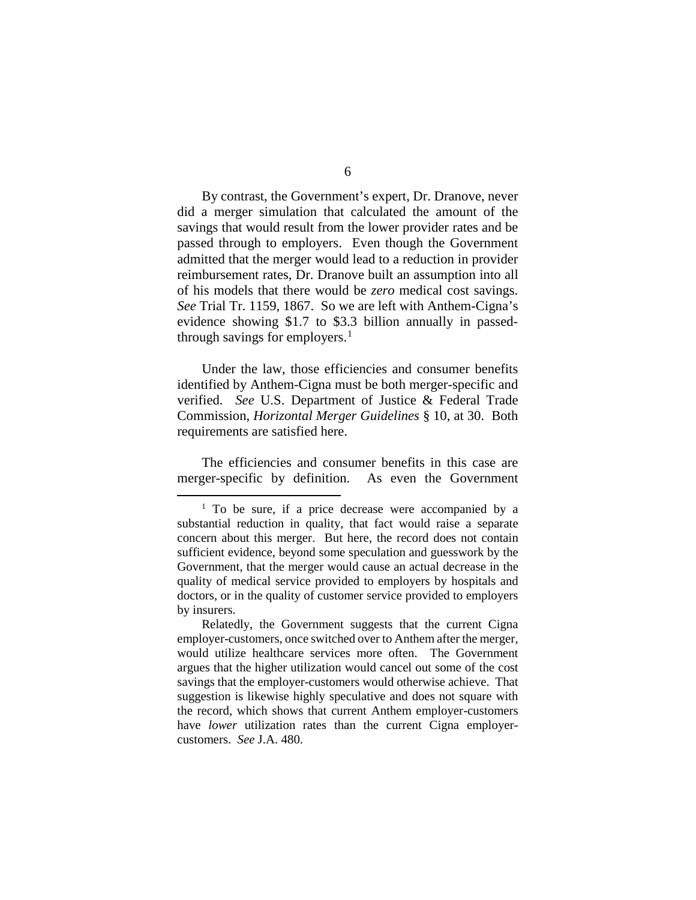6

By contrast, the Government's expert, Dr. Dranove, never did a merger simulation that calculated the amount of the savings that would result from the lower provider rates and be passed through to employers. Even though the Government admitted that the merger would lead to a reduction in provider reimbursement rates, Dr. Dranove built an assumption into all of his models that there would be *zero* medical cost savings. *See* Trial Tr. 1159, 1867. So we are left with Anthem-Cigna's evidence showing \$1.7 to \$3.3 billion annually in passedthrough savings for employers. $<sup>1</sup>$  $<sup>1</sup>$  $<sup>1</sup>$ </sup>

Under the law, those efficiencies and consumer benefits identified by Anthem-Cigna must be both merger-specific and verified. *See* U.S. Department of Justice & Federal Trade Commission, *Horizontal Merger Guidelines* § 10, at 30. Both requirements are satisfied here.

The efficiencies and consumer benefits in this case are merger-specific by definition. As even the Government

<span id="page-52-0"></span><sup>&</sup>lt;sup>1</sup> To be sure, if a price decrease were accompanied by a substantial reduction in quality, that fact would raise a separate concern about this merger. But here, the record does not contain sufficient evidence, beyond some speculation and guesswork by the Government, that the merger would cause an actual decrease in the quality of medical service provided to employers by hospitals and doctors, or in the quality of customer service provided to employers by insurers.

Relatedly, the Government suggests that the current Cigna employer-customers, once switched over to Anthem after the merger, would utilize healthcare services more often. The Government argues that the higher utilization would cancel out some of the cost savings that the employer-customers would otherwise achieve. That suggestion is likewise highly speculative and does not square with the record, which shows that current Anthem employer-customers have *lower* utilization rates than the current Cigna employercustomers. *See* J.A. 480.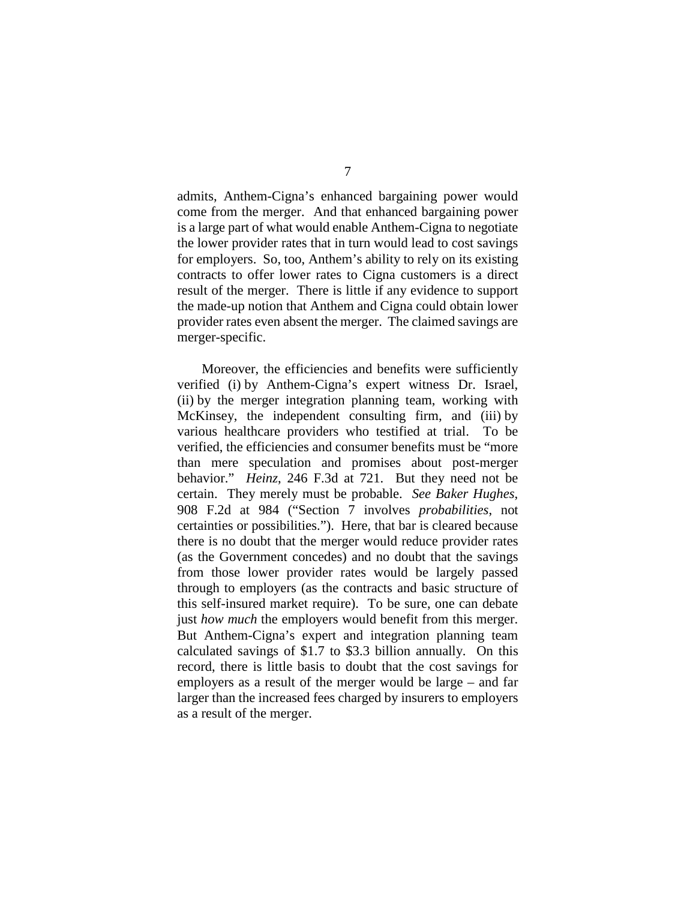admits, Anthem-Cigna's enhanced bargaining power would come from the merger. And that enhanced bargaining power is a large part of what would enable Anthem-Cigna to negotiate the lower provider rates that in turn would lead to cost savings for employers. So, too, Anthem's ability to rely on its existing contracts to offer lower rates to Cigna customers is a direct result of the merger. There is little if any evidence to support the made-up notion that Anthem and Cigna could obtain lower provider rates even absent the merger. The claimed savings are merger-specific.

Moreover, the efficiencies and benefits were sufficiently verified (i) by Anthem-Cigna's expert witness Dr. Israel, (ii) by the merger integration planning team, working with McKinsey, the independent consulting firm, and (iii) by various healthcare providers who testified at trial. To be verified, the efficiencies and consumer benefits must be "more than mere speculation and promises about post-merger behavior." *Heinz*, 246 F.3d at 721. But they need not be certain. They merely must be probable. *See Baker Hughes*, 908 F.2d at 984 ("Section 7 involves *probabilities*, not certainties or possibilities."). Here, that bar is cleared because there is no doubt that the merger would reduce provider rates (as the Government concedes) and no doubt that the savings from those lower provider rates would be largely passed through to employers (as the contracts and basic structure of this self-insured market require). To be sure, one can debate just *how much* the employers would benefit from this merger. But Anthem-Cigna's expert and integration planning team calculated savings of \$1.7 to \$3.3 billion annually. On this record, there is little basis to doubt that the cost savings for employers as a result of the merger would be large – and far larger than the increased fees charged by insurers to employers as a result of the merger.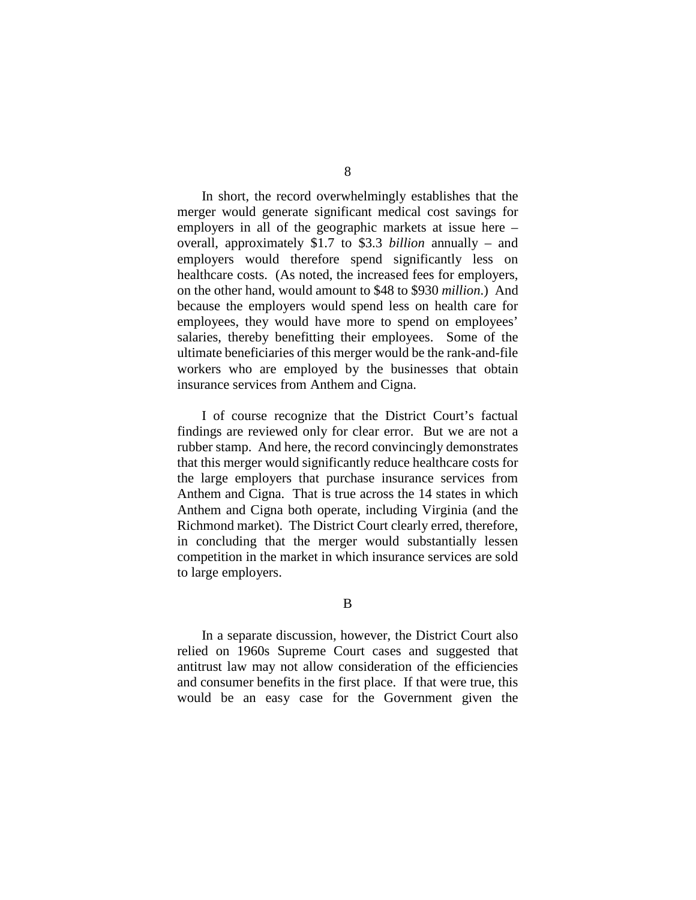In short, the record overwhelmingly establishes that the merger would generate significant medical cost savings for employers in all of the geographic markets at issue here – overall, approximately \$1.7 to \$3.3 *billion* annually – and employers would therefore spend significantly less on healthcare costs. (As noted, the increased fees for employers, on the other hand, would amount to \$48 to \$930 *million*.) And because the employers would spend less on health care for employees, they would have more to spend on employees' salaries, thereby benefitting their employees. Some of the ultimate beneficiaries of this merger would be the rank-and-file workers who are employed by the businesses that obtain insurance services from Anthem and Cigna.

I of course recognize that the District Court's factual findings are reviewed only for clear error. But we are not a rubber stamp. And here, the record convincingly demonstrates that this merger would significantly reduce healthcare costs for the large employers that purchase insurance services from Anthem and Cigna. That is true across the 14 states in which Anthem and Cigna both operate, including Virginia (and the Richmond market). The District Court clearly erred, therefore, in concluding that the merger would substantially lessen competition in the market in which insurance services are sold to large employers.

B

In a separate discussion, however, the District Court also relied on 1960s Supreme Court cases and suggested that antitrust law may not allow consideration of the efficiencies and consumer benefits in the first place. If that were true, this would be an easy case for the Government given the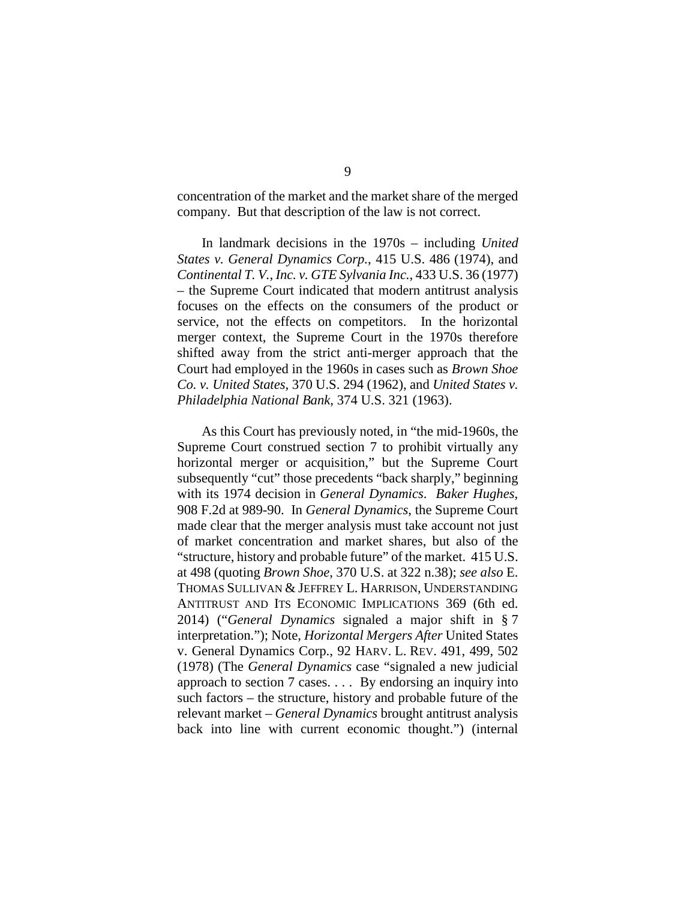concentration of the market and the market share of the merged company. But that description of the law is not correct.

In landmark decisions in the 1970s – including *United States v. General Dynamics Corp.*, 415 U.S. 486 (1974), and *Continental T. V., Inc. v. GTE Sylvania Inc.*, 433 U.S. 36 (1977) – the Supreme Court indicated that modern antitrust analysis focuses on the effects on the consumers of the product or service, not the effects on competitors. In the horizontal merger context, the Supreme Court in the 1970s therefore shifted away from the strict anti-merger approach that the Court had employed in the 1960s in cases such as *Brown Shoe Co. v. United States*, 370 U.S. 294 (1962), and *United States v. Philadelphia National Bank*, 374 U.S. 321 (1963).

As this Court has previously noted, in "the mid-1960s, the Supreme Court construed section 7 to prohibit virtually any horizontal merger or acquisition," but the Supreme Court subsequently "cut" those precedents "back sharply," beginning with its 1974 decision in *General Dynamics*. *Baker Hughes*, 908 F.2d at 989-90. In *General Dynamics*, the Supreme Court made clear that the merger analysis must take account not just of market concentration and market shares, but also of the "structure, history and probable future" of the market. 415 U.S. at 498 (quoting *Brown Shoe*, 370 U.S. at 322 n.38); *see also* E. THOMAS SULLIVAN & JEFFREY L. HARRISON, UNDERSTANDING ANTITRUST AND ITS ECONOMIC IMPLICATIONS 369 (6th ed. 2014) ("*General Dynamics* signaled a major shift in § 7 interpretation."); Note, *Horizontal Mergers After* United States v. General Dynamics Corp., 92 HARV. L. REV. 491, 499, 502 (1978) (The *General Dynamics* case "signaled a new judicial approach to section 7 cases. . . . By endorsing an inquiry into such factors – the structure, history and probable future of the relevant market – *General Dynamics* brought antitrust analysis back into line with current economic thought.") (internal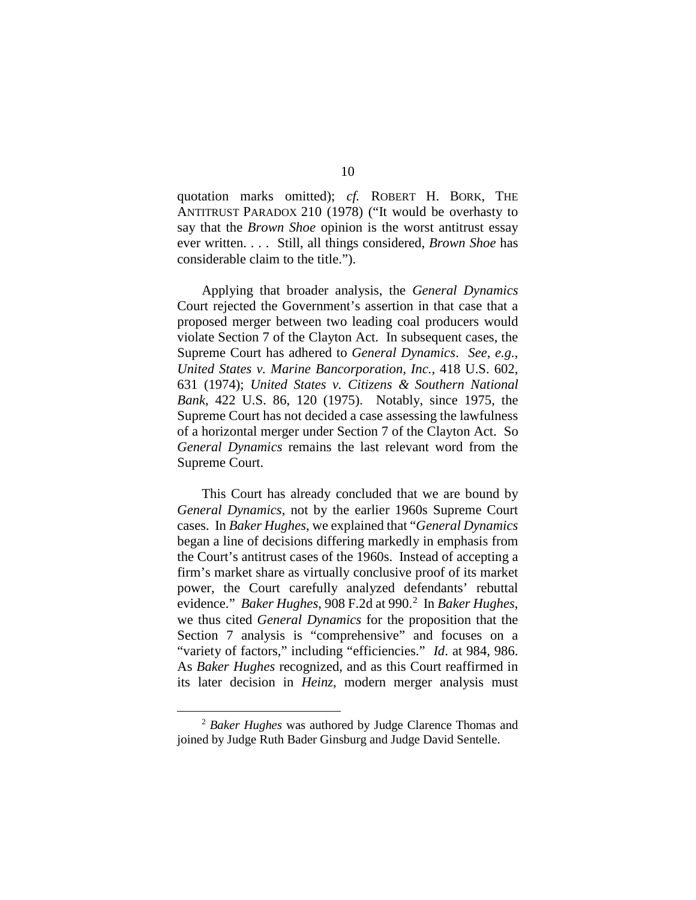quotation marks omitted); *cf.* ROBERT H. BORK, THE ANTITRUST PARADOX 210 (1978) ("It would be overhasty to say that the *Brown Shoe* opinion is the worst antitrust essay ever written. . . . Still, all things considered, *Brown Shoe* has considerable claim to the title.").

Applying that broader analysis, the *General Dynamics* Court rejected the Government's assertion in that case that a proposed merger between two leading coal producers would violate Section 7 of the Clayton Act. In subsequent cases, the Supreme Court has adhered to *General Dynamics*. *See, e.g.*, *United States v. Marine Bancorporation, Inc.*, 418 U.S. 602, 631 (1974); *United States v. Citizens & Southern National Bank*, 422 U.S. 86, 120 (1975). Notably, since 1975, the Supreme Court has not decided a case assessing the lawfulness of a horizontal merger under Section 7 of the Clayton Act. So *General Dynamics* remains the last relevant word from the Supreme Court.

This Court has already concluded that we are bound by *General Dynamics*, not by the earlier 1960s Supreme Court cases. In *Baker Hughes*, we explained that "*General Dynamics* began a line of decisions differing markedly in emphasis from the Court's antitrust cases of the 1960s. Instead of accepting a firm's market share as virtually conclusive proof of its market power, the Court carefully analyzed defendants' rebuttal evidence." *Baker Hughes*, 908 F.[2](#page-56-0)d at 990.<sup>2</sup> In *Baker Hughes*, we thus cited *General Dynamics* for the proposition that the Section 7 analysis is "comprehensive" and focuses on a "variety of factors," including "efficiencies." *Id*. at 984, 986. As *Baker Hughes* recognized, and as this Court reaffirmed in its later decision in *Heinz*, modern merger analysis must

<span id="page-56-0"></span> <sup>2</sup> *Baker Hughes* was authored by Judge Clarence Thomas and joined by Judge Ruth Bader Ginsburg and Judge David Sentelle.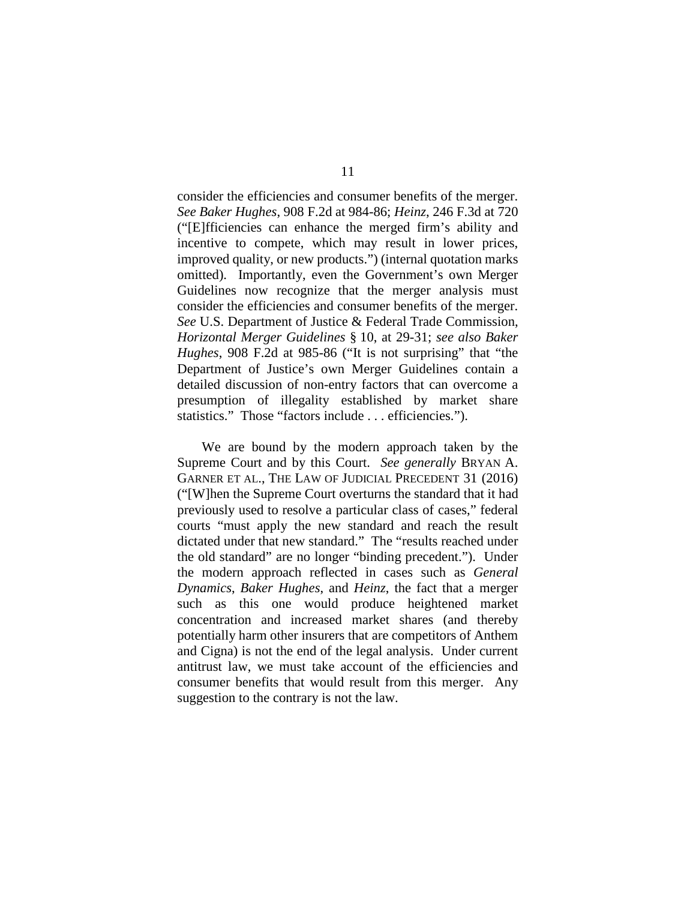consider the efficiencies and consumer benefits of the merger. *See Baker Hughes*, 908 F.2d at 984-86; *Heinz*, 246 F.3d at 720 ("[E]fficiencies can enhance the merged firm's ability and incentive to compete, which may result in lower prices, improved quality, or new products.") (internal quotation marks omitted). Importantly, even the Government's own Merger Guidelines now recognize that the merger analysis must consider the efficiencies and consumer benefits of the merger. *See* U.S. Department of Justice & Federal Trade Commission, *Horizontal Merger Guidelines* § 10, at 29-31; *see also Baker Hughes*, 908 F.2d at 985-86 ("It is not surprising" that "the Department of Justice's own Merger Guidelines contain a detailed discussion of non-entry factors that can overcome a presumption of illegality established by market share statistics." Those "factors include . . . efficiencies.").

We are bound by the modern approach taken by the Supreme Court and by this Court. *See generally* BRYAN A. GARNER ET AL., THE LAW OF JUDICIAL PRECEDENT 31 (2016) ("[W]hen the Supreme Court overturns the standard that it had previously used to resolve a particular class of cases," federal courts "must apply the new standard and reach the result dictated under that new standard." The "results reached under the old standard" are no longer "binding precedent."). Under the modern approach reflected in cases such as *General Dynamics*, *Baker Hughes*, and *Heinz*, the fact that a merger such as this one would produce heightened market concentration and increased market shares (and thereby potentially harm other insurers that are competitors of Anthem and Cigna) is not the end of the legal analysis. Under current antitrust law, we must take account of the efficiencies and consumer benefits that would result from this merger. Any suggestion to the contrary is not the law.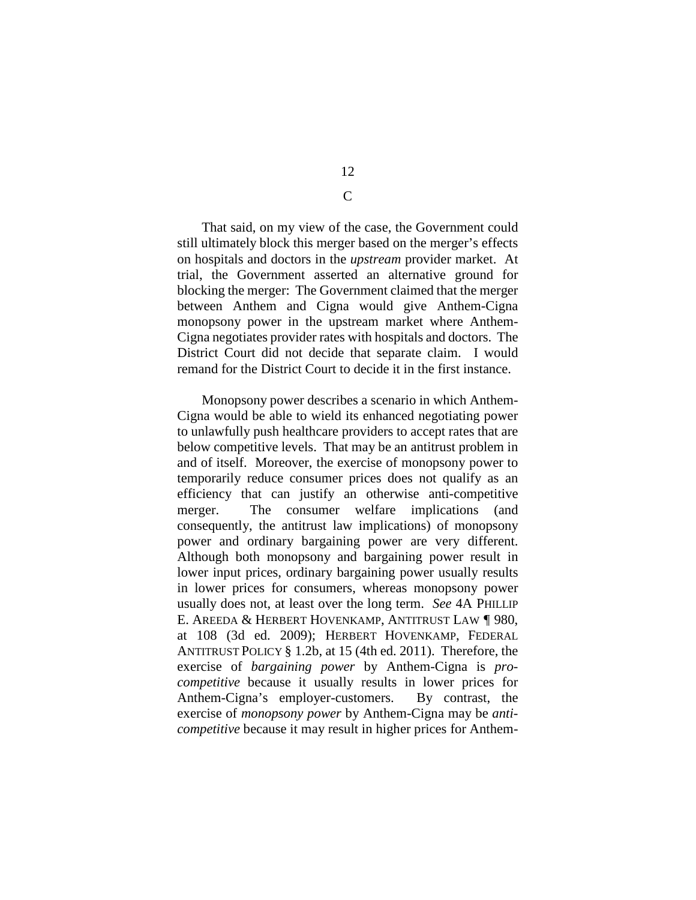12  $\mathcal{C}$ 

That said, on my view of the case, the Government could still ultimately block this merger based on the merger's effects on hospitals and doctors in the *upstream* provider market. At trial, the Government asserted an alternative ground for blocking the merger: The Government claimed that the merger between Anthem and Cigna would give Anthem-Cigna monopsony power in the upstream market where Anthem-Cigna negotiates provider rates with hospitals and doctors. The District Court did not decide that separate claim. I would remand for the District Court to decide it in the first instance.

Monopsony power describes a scenario in which Anthem-Cigna would be able to wield its enhanced negotiating power to unlawfully push healthcare providers to accept rates that are below competitive levels. That may be an antitrust problem in and of itself. Moreover, the exercise of monopsony power to temporarily reduce consumer prices does not qualify as an efficiency that can justify an otherwise anti-competitive merger. The consumer welfare implications (and consequently, the antitrust law implications) of monopsony power and ordinary bargaining power are very different. Although both monopsony and bargaining power result in lower input prices, ordinary bargaining power usually results in lower prices for consumers, whereas monopsony power usually does not, at least over the long term. *See* 4A PHILLIP E. AREEDA & HERBERT HOVENKAMP, ANTITRUST LAW ¶ 980, at 108 (3d ed. 2009); HERBERT HOVENKAMP, FEDERAL ANTITRUST POLICY § 1.2b, at 15 (4th ed. 2011). Therefore, the exercise of *bargaining power* by Anthem-Cigna is *procompetitive* because it usually results in lower prices for Anthem-Cigna's employer-customers. By contrast, the exercise of *monopsony power* by Anthem-Cigna may be *anticompetitive* because it may result in higher prices for Anthem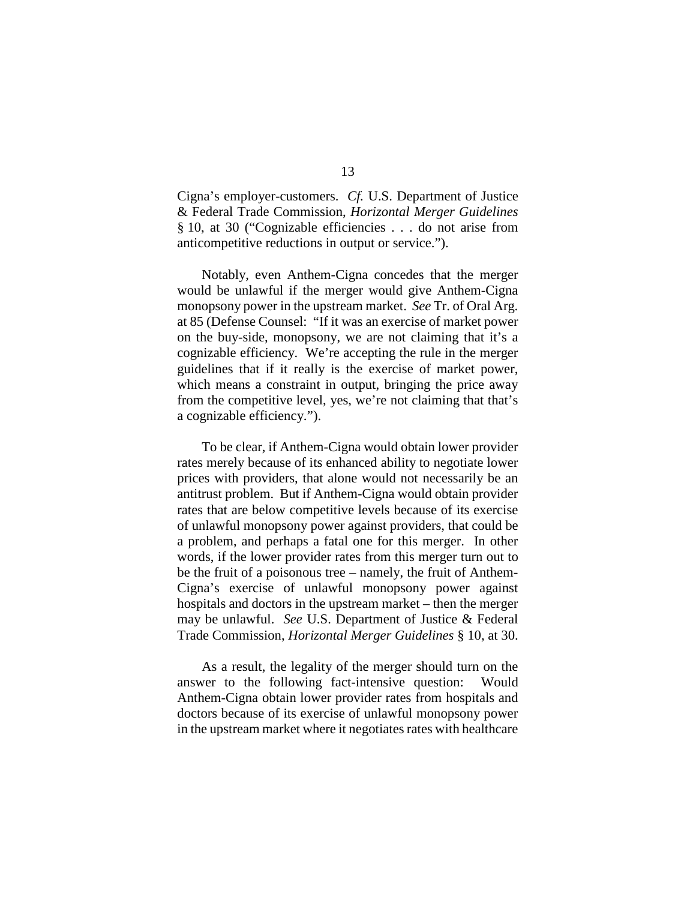Cigna's employer-customers. *Cf.* U.S. Department of Justice & Federal Trade Commission, *Horizontal Merger Guidelines* § 10, at 30 ("Cognizable efficiencies . . . do not arise from anticompetitive reductions in output or service.").

Notably, even Anthem-Cigna concedes that the merger would be unlawful if the merger would give Anthem-Cigna monopsony power in the upstream market. *See* Tr. of Oral Arg. at 85 (Defense Counsel: "If it was an exercise of market power on the buy-side, monopsony, we are not claiming that it's a cognizable efficiency. We're accepting the rule in the merger guidelines that if it really is the exercise of market power, which means a constraint in output, bringing the price away from the competitive level, yes, we're not claiming that that's a cognizable efficiency.").

To be clear, if Anthem-Cigna would obtain lower provider rates merely because of its enhanced ability to negotiate lower prices with providers, that alone would not necessarily be an antitrust problem. But if Anthem-Cigna would obtain provider rates that are below competitive levels because of its exercise of unlawful monopsony power against providers, that could be a problem, and perhaps a fatal one for this merger. In other words, if the lower provider rates from this merger turn out to be the fruit of a poisonous tree – namely, the fruit of Anthem-Cigna's exercise of unlawful monopsony power against hospitals and doctors in the upstream market – then the merger may be unlawful. *See* U.S. Department of Justice & Federal Trade Commission, *Horizontal Merger Guidelines* § 10, at 30.

As a result, the legality of the merger should turn on the answer to the following fact-intensive question: Would Anthem-Cigna obtain lower provider rates from hospitals and doctors because of its exercise of unlawful monopsony power in the upstream market where it negotiates rates with healthcare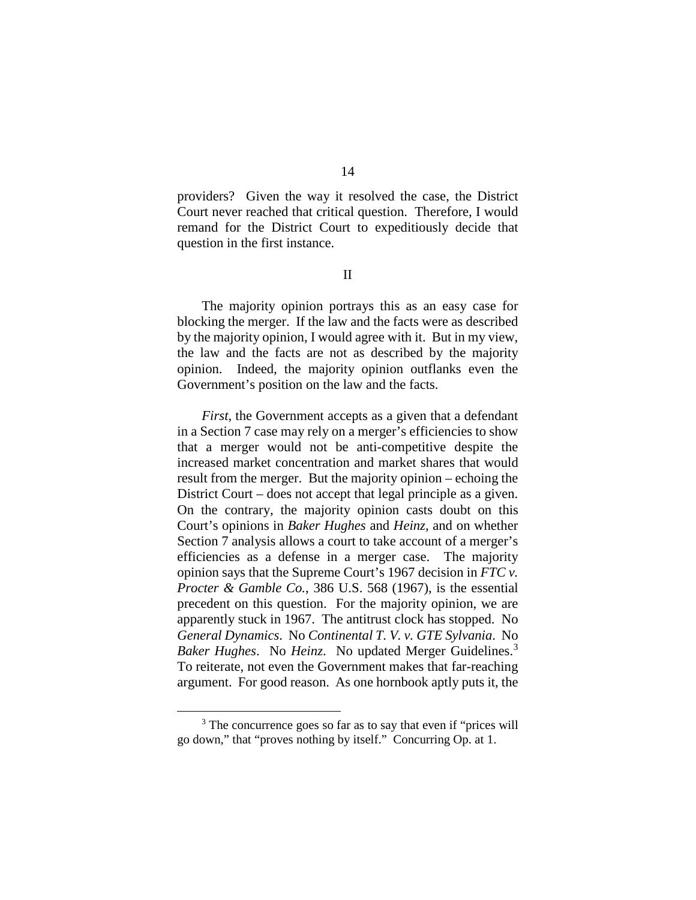providers? Given the way it resolved the case, the District Court never reached that critical question. Therefore, I would remand for the District Court to expeditiously decide that question in the first instance.

II

The majority opinion portrays this as an easy case for blocking the merger. If the law and the facts were as described by the majority opinion, I would agree with it. But in my view, the law and the facts are not as described by the majority opinion. Indeed, the majority opinion outflanks even the Government's position on the law and the facts.

*First*, the Government accepts as a given that a defendant in a Section 7 case may rely on a merger's efficiencies to show that a merger would not be anti-competitive despite the increased market concentration and market shares that would result from the merger. But the majority opinion – echoing the District Court – does not accept that legal principle as a given. On the contrary, the majority opinion casts doubt on this Court's opinions in *Baker Hughes* and *Heinz*, and on whether Section 7 analysis allows a court to take account of a merger's efficiencies as a defense in a merger case. The majority opinion says that the Supreme Court's 1967 decision in *FTC v. Procter & Gamble Co.*, 386 U.S. 568 (1967), is the essential precedent on this question. For the majority opinion, we are apparently stuck in 1967. The antitrust clock has stopped. No *General Dynamics*. No *Continental T. V. v. GTE Sylvania*. No *Baker Hughes*. No *Heinz*. No updated Merger Guidelines.[3](#page-60-0) To reiterate, not even the Government makes that far-reaching argument. For good reason. As one hornbook aptly puts it, the

<span id="page-60-0"></span><sup>&</sup>lt;sup>3</sup> The concurrence goes so far as to say that even if "prices will go down," that "proves nothing by itself." Concurring Op. at 1.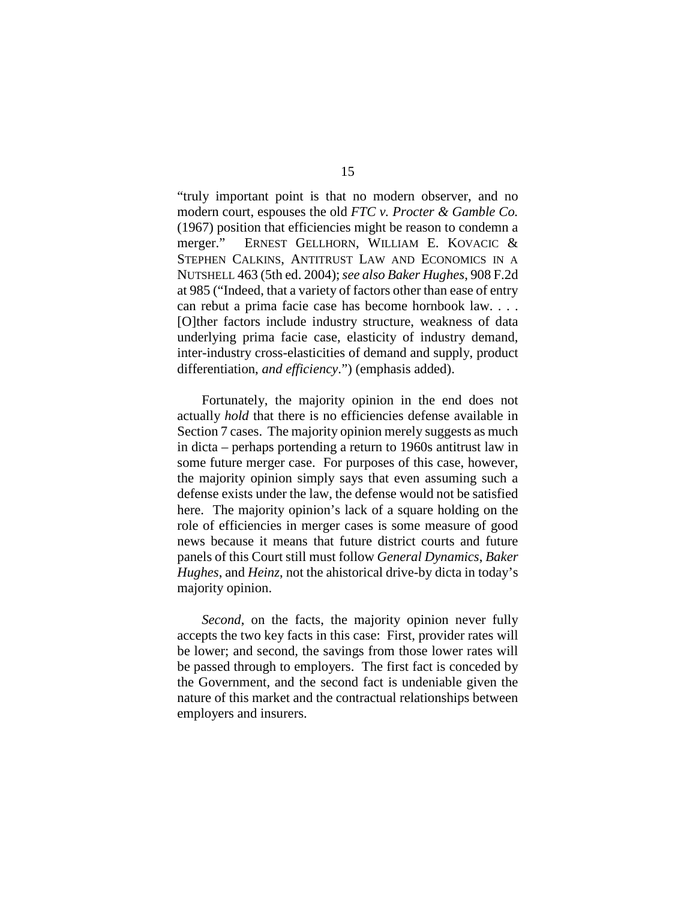"truly important point is that no modern observer, and no modern court, espouses the old *FTC v. Procter & Gamble Co.* (1967) position that efficiencies might be reason to condemn a merger." ERNEST GELLHORN, WILLIAM E. KOVACIC & STEPHEN CALKINS, ANTITRUST LAW AND ECONOMICS IN A NUTSHELL 463 (5th ed. 2004); *see also Baker Hughes*, 908 F.2d at 985 ("Indeed, that a variety of factors other than ease of entry can rebut a prima facie case has become hornbook law. . . . [O]ther factors include industry structure, weakness of data underlying prima facie case, elasticity of industry demand, inter-industry cross-elasticities of demand and supply, product differentiation, *and efficiency*.") (emphasis added).

Fortunately, the majority opinion in the end does not actually *hold* that there is no efficiencies defense available in Section 7 cases. The majority opinion merely suggests as much in dicta – perhaps portending a return to 1960s antitrust law in some future merger case. For purposes of this case, however, the majority opinion simply says that even assuming such a defense exists under the law, the defense would not be satisfied here. The majority opinion's lack of a square holding on the role of efficiencies in merger cases is some measure of good news because it means that future district courts and future panels of this Court still must follow *General Dynamics*, *Baker Hughes*, and *Heinz*, not the ahistorical drive-by dicta in today's majority opinion.

*Second*, on the facts, the majority opinion never fully accepts the two key facts in this case: First, provider rates will be lower; and second, the savings from those lower rates will be passed through to employers. The first fact is conceded by the Government, and the second fact is undeniable given the nature of this market and the contractual relationships between employers and insurers.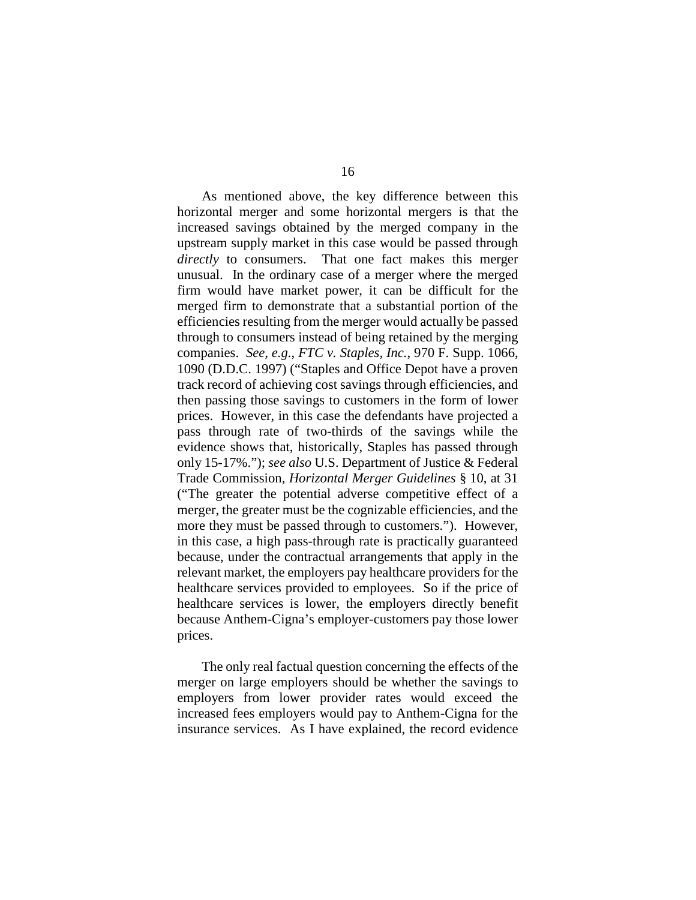As mentioned above, the key difference between this horizontal merger and some horizontal mergers is that the increased savings obtained by the merged company in the upstream supply market in this case would be passed through *directly* to consumers. That one fact makes this merger unusual. In the ordinary case of a merger where the merged firm would have market power, it can be difficult for the merged firm to demonstrate that a substantial portion of the efficiencies resulting from the merger would actually be passed through to consumers instead of being retained by the merging companies. *See, e.g.*, *FTC v. Staples, Inc.*, 970 F. Supp. 1066, 1090 (D.D.C. 1997) ("Staples and Office Depot have a proven track record of achieving cost savings through efficiencies, and then passing those savings to customers in the form of lower prices. However, in this case the defendants have projected a pass through rate of two-thirds of the savings while the evidence shows that, historically, Staples has passed through only 15-17%."); *see also* U.S. Department of Justice & Federal Trade Commission, *Horizontal Merger Guidelines* § 10, at 31 ("The greater the potential adverse competitive effect of a merger, the greater must be the cognizable efficiencies, and the more they must be passed through to customers."). However, in this case, a high pass-through rate is practically guaranteed because, under the contractual arrangements that apply in the relevant market, the employers pay healthcare providers for the healthcare services provided to employees. So if the price of healthcare services is lower, the employers directly benefit because Anthem-Cigna's employer-customers pay those lower prices.

The only real factual question concerning the effects of the merger on large employers should be whether the savings to employers from lower provider rates would exceed the increased fees employers would pay to Anthem-Cigna for the insurance services. As I have explained, the record evidence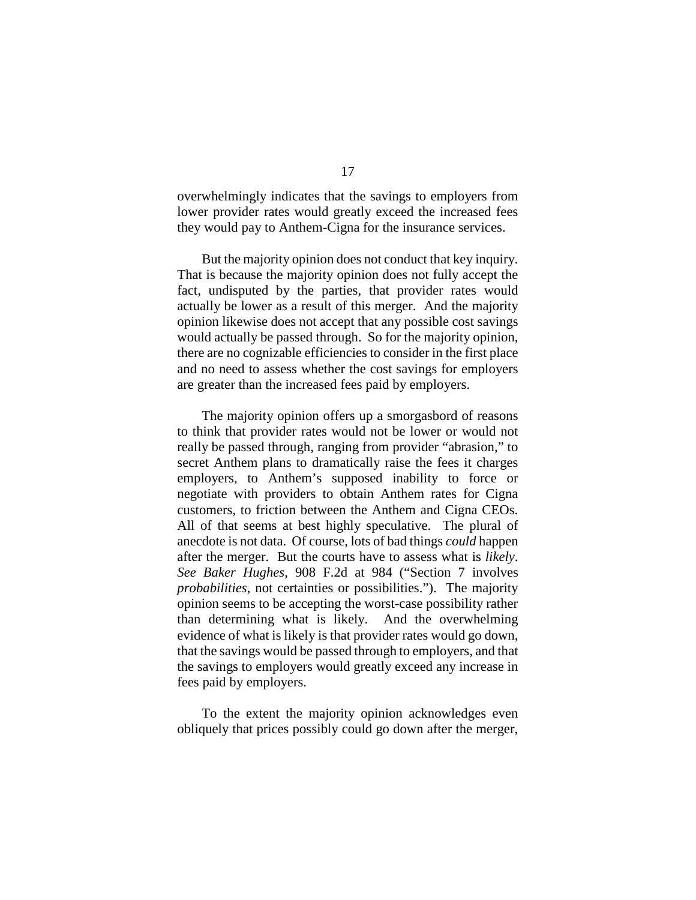overwhelmingly indicates that the savings to employers from lower provider rates would greatly exceed the increased fees they would pay to Anthem-Cigna for the insurance services.

But the majority opinion does not conduct that key inquiry. That is because the majority opinion does not fully accept the fact, undisputed by the parties, that provider rates would actually be lower as a result of this merger. And the majority opinion likewise does not accept that any possible cost savings would actually be passed through. So for the majority opinion, there are no cognizable efficiencies to consider in the first place and no need to assess whether the cost savings for employers are greater than the increased fees paid by employers.

The majority opinion offers up a smorgasbord of reasons to think that provider rates would not be lower or would not really be passed through, ranging from provider "abrasion," to secret Anthem plans to dramatically raise the fees it charges employers, to Anthem's supposed inability to force or negotiate with providers to obtain Anthem rates for Cigna customers, to friction between the Anthem and Cigna CEOs. All of that seems at best highly speculative. The plural of anecdote is not data. Of course, lots of bad things *could* happen after the merger. But the courts have to assess what is *likely*. *See Baker Hughes*, 908 F.2d at 984 ("Section 7 involves *probabilities*, not certainties or possibilities."). The majority opinion seems to be accepting the worst-case possibility rather than determining what is likely. And the overwhelming evidence of what is likely is that provider rates would go down, that the savings would be passed through to employers, and that the savings to employers would greatly exceed any increase in fees paid by employers.

To the extent the majority opinion acknowledges even obliquely that prices possibly could go down after the merger,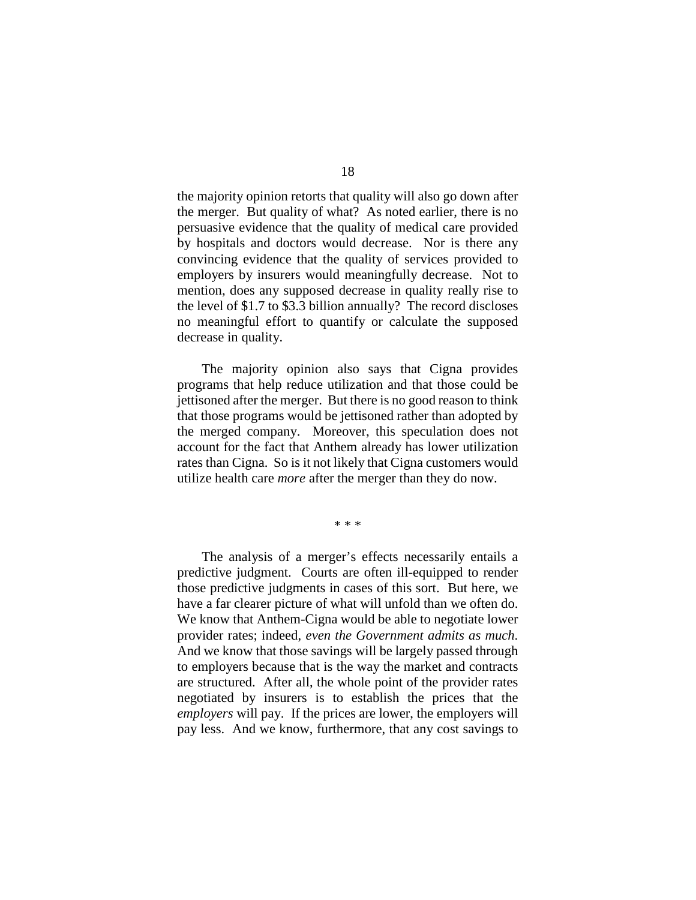the majority opinion retorts that quality will also go down after the merger. But quality of what? As noted earlier, there is no persuasive evidence that the quality of medical care provided by hospitals and doctors would decrease. Nor is there any convincing evidence that the quality of services provided to employers by insurers would meaningfully decrease. Not to mention, does any supposed decrease in quality really rise to the level of \$1.7 to \$3.3 billion annually? The record discloses no meaningful effort to quantify or calculate the supposed decrease in quality.

The majority opinion also says that Cigna provides programs that help reduce utilization and that those could be jettisoned after the merger. But there is no good reason to think that those programs would be jettisoned rather than adopted by the merged company. Moreover, this speculation does not account for the fact that Anthem already has lower utilization rates than Cigna. So is it not likely that Cigna customers would utilize health care *more* after the merger than they do now.

\* \* \*

The analysis of a merger's effects necessarily entails a predictive judgment. Courts are often ill-equipped to render those predictive judgments in cases of this sort. But here, we have a far clearer picture of what will unfold than we often do. We know that Anthem-Cigna would be able to negotiate lower provider rates; indeed, *even the Government admits as much*. And we know that those savings will be largely passed through to employers because that is the way the market and contracts are structured. After all, the whole point of the provider rates negotiated by insurers is to establish the prices that the *employers* will pay. If the prices are lower, the employers will pay less. And we know, furthermore, that any cost savings to